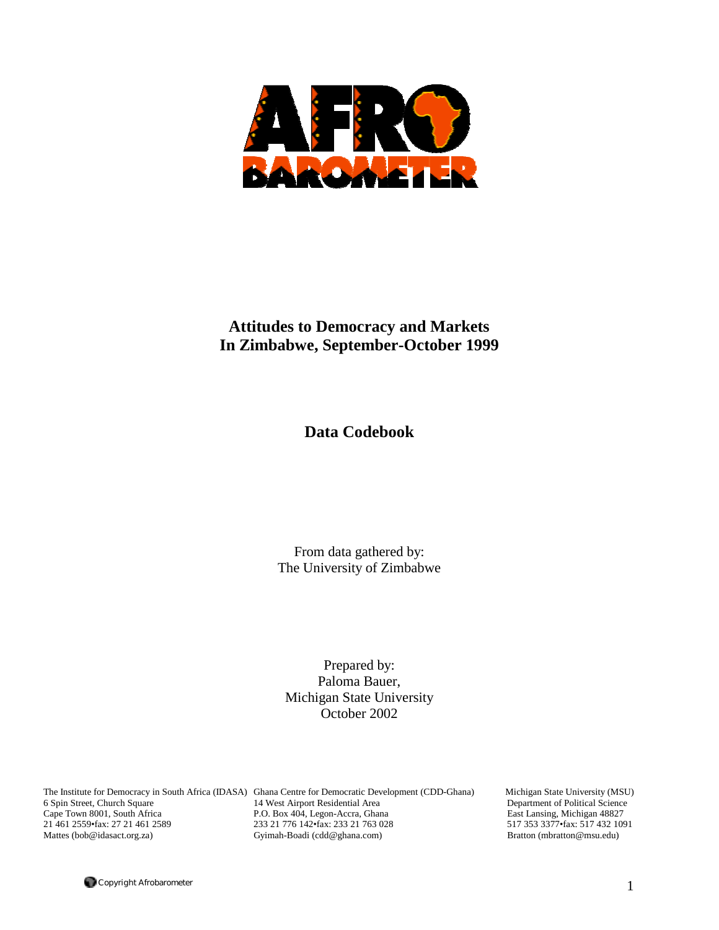

# **Attitudes to Democracy and Markets In Zimbabwe, September-October 1999**

**Data Codebook** 

From data gathered by: The University of Zimbabwe

Prepared by: Paloma Bauer, Michigan State University October 2002

The Institute for Democracy in South Africa (IDASA) Ghana Centre for Democratic Development (CDD-Ghana) Michigan State University (MSU) 6 Spin Street, Church Square 14 West Airport Residential Area Department of Political Science<br>
2892 Cape Town 8001, South Africa P.O. Box 404, Legon-Accra, Ghana East Lansing, Michigan 48827 P.O. Box 404, Legon-Accra, Ghana 21 461 2559•fax: 27 21 461 2589 233 21 776 142•fax: 233 21 763 028 517 353 3377•fax: 517 432 1091 Gyimah-Boadi (cdd@ghana.com) Bratton (mbratton@msu.edu)

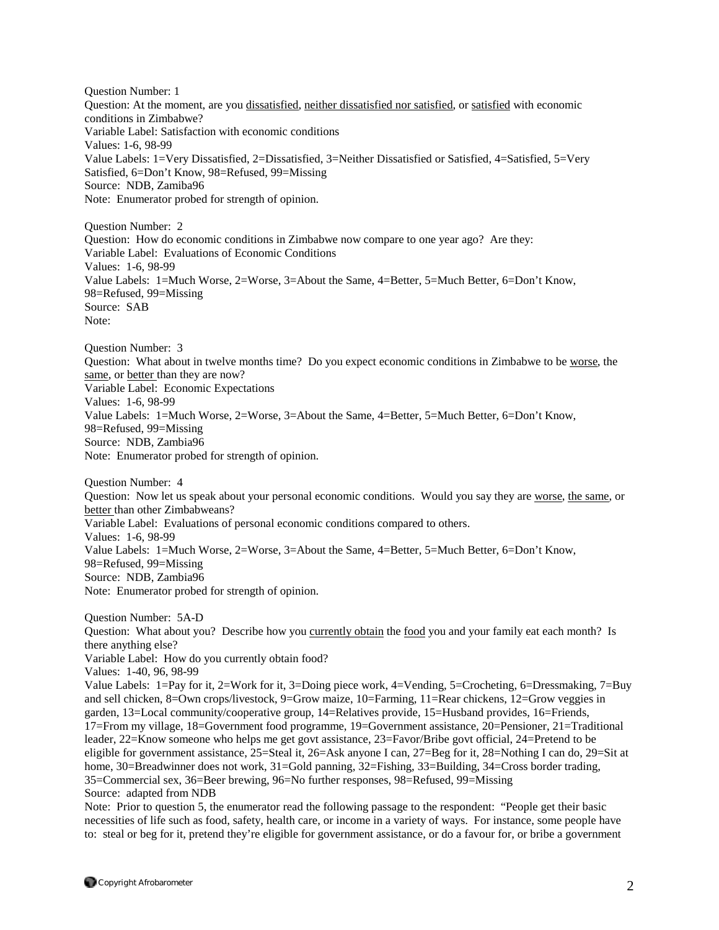Question Number: 1 Question: At the moment, are you dissatisfied, neither dissatisfied nor satisfied, or satisfied with economic conditions in Zimbabwe? Variable Label: Satisfaction with economic conditions Values: 1-6, 98-99 Value Labels: 1=Very Dissatisfied, 2=Dissatisfied, 3=Neither Dissatisfied or Satisfied, 4=Satisfied, 5=Very Satisfied, 6=Don't Know, 98=Refused, 99=Missing Source: NDB, Zamiba96 Note: Enumerator probed for strength of opinion. Question Number: 2 Question: How do economic conditions in Zimbabwe now compare to one year ago? Are they:

Variable Label: Evaluations of Economic Conditions Values: 1-6, 98-99 Value Labels: 1=Much Worse, 2=Worse, 3=About the Same, 4=Better, 5=Much Better, 6=Don't Know, 98=Refused, 99=Missing Source: SAB Note:

Question Number: 3 Question: What about in twelve months time? Do you expect economic conditions in Zimbabwe to be worse, the same, or better than they are now? Variable Label: Economic Expectations Values: 1-6, 98-99 Value Labels: 1=Much Worse, 2=Worse, 3=About the Same, 4=Better, 5=Much Better, 6=Don't Know, 98=Refused, 99=Missing Source: NDB, Zambia96 Note: Enumerator probed for strength of opinion.

Question Number: 4 Question: Now let us speak about your personal economic conditions. Would you say they are worse, the same, or better than other Zimbabweans? Variable Label: Evaluations of personal economic conditions compared to others. Values: 1-6, 98-99 Value Labels: 1=Much Worse, 2=Worse, 3=About the Same, 4=Better, 5=Much Better, 6=Don't Know, 98=Refused, 99=Missing Source: NDB, Zambia96 Note: Enumerator probed for strength of opinion.

Question Number: 5A-D Question: What about you? Describe how you currently obtain the food you and your family eat each month? Is there anything else? Variable Label: How do you currently obtain food? Values: 1-40, 96, 98-99 Value Labels: 1=Pay for it, 2=Work for it, 3=Doing piece work, 4=Vending, 5=Crocheting, 6=Dressmaking, 7=Buy and sell chicken, 8=Own crops/livestock, 9=Grow maize, 10=Farming, 11=Rear chickens, 12=Grow veggies in garden, 13=Local community/cooperative group, 14=Relatives provide, 15=Husband provides, 16=Friends, 17=From my village, 18=Government food programme, 19=Government assistance, 20=Pensioner, 21=Traditional leader, 22=Know someone who helps me get govt assistance, 23=Favor/Bribe govt official, 24=Pretend to be eligible for government assistance, 25=Steal it, 26=Ask anyone I can, 27=Beg for it, 28=Nothing I can do, 29=Sit at home, 30=Breadwinner does not work, 31=Gold panning, 32=Fishing, 33=Building, 34=Cross border trading, 35=Commercial sex, 36=Beer brewing, 96=No further responses, 98=Refused, 99=Missing Source: adapted from NDB

Note: Prior to question 5, the enumerator read the following passage to the respondent: "People get their basic necessities of life such as food, safety, health care, or income in a variety of ways. For instance, some people have to: steal or beg for it, pretend they're eligible for government assistance, or do a favour for, or bribe a government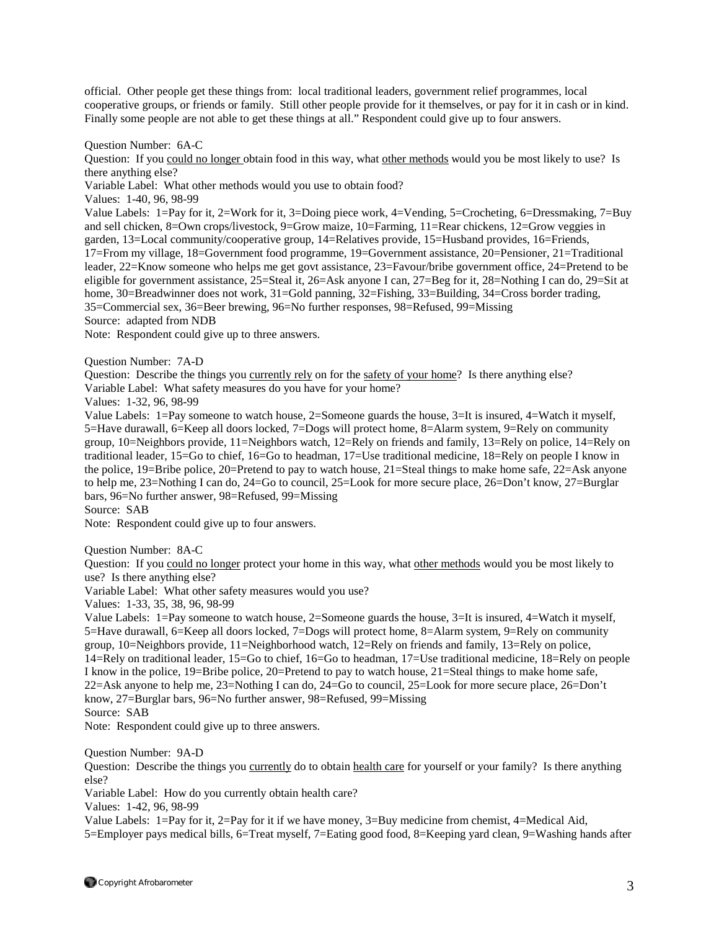official. Other people get these things from: local traditional leaders, government relief programmes, local cooperative groups, or friends or family. Still other people provide for it themselves, or pay for it in cash or in kind. Finally some people are not able to get these things at all." Respondent could give up to four answers.

Question Number: 6A-C

Question: If you could no longer obtain food in this way, what other methods would you be most likely to use? Is there anything else?

Variable Label: What other methods would you use to obtain food?

Values: 1-40, 96, 98-99

Value Labels: 1=Pay for it, 2=Work for it, 3=Doing piece work, 4=Vending, 5=Crocheting, 6=Dressmaking, 7=Buy and sell chicken, 8=Own crops/livestock, 9=Grow maize, 10=Farming, 11=Rear chickens, 12=Grow veggies in garden, 13=Local community/cooperative group, 14=Relatives provide, 15=Husband provides, 16=Friends, 17=From my village, 18=Government food programme, 19=Government assistance, 20=Pensioner, 21=Traditional leader, 22=Know someone who helps me get govt assistance, 23=Favour/bribe government office, 24=Pretend to be eligible for government assistance, 25=Steal it, 26=Ask anyone I can, 27=Beg for it, 28=Nothing I can do, 29=Sit at home, 30=Breadwinner does not work, 31=Gold panning, 32=Fishing, 33=Building, 34=Cross border trading, 35=Commercial sex, 36=Beer brewing, 96=No further responses, 98=Refused, 99=Missing Source: adapted from NDB

Note: Respondent could give up to three answers.

Question Number: 7A-D

Question: Describe the things you currently rely on for the safety of your home? Is there anything else? Variable Label: What safety measures do you have for your home?

Values: 1-32, 96, 98-99

Value Labels: 1=Pay someone to watch house, 2=Someone guards the house, 3=It is insured, 4=Watch it myself, 5=Have durawall, 6=Keep all doors locked, 7=Dogs will protect home, 8=Alarm system, 9=Rely on community group, 10=Neighbors provide, 11=Neighbors watch, 12=Rely on friends and family, 13=Rely on police, 14=Rely on traditional leader, 15=Go to chief, 16=Go to headman, 17=Use traditional medicine, 18=Rely on people I know in the police, 19=Bribe police, 20=Pretend to pay to watch house, 21=Steal things to make home safe, 22=Ask anyone to help me, 23=Nothing I can do, 24=Go to council, 25=Look for more secure place, 26=Don't know, 27=Burglar bars, 96=No further answer, 98=Refused, 99=Missing

Source: SAB

Note: Respondent could give up to four answers.

Question Number: 8A-C

Question: If you could no longer protect your home in this way, what other methods would you be most likely to use? Is there anything else?

Variable Label: What other safety measures would you use?

Values: 1-33, 35, 38, 96, 98-99

Value Labels: 1=Pay someone to watch house, 2=Someone guards the house, 3=It is insured, 4=Watch it myself, 5=Have durawall, 6=Keep all doors locked, 7=Dogs will protect home, 8=Alarm system, 9=Rely on community group, 10=Neighbors provide, 11=Neighborhood watch, 12=Rely on friends and family, 13=Rely on police, 14=Rely on traditional leader, 15=Go to chief, 16=Go to headman, 17=Use traditional medicine, 18=Rely on people I know in the police, 19=Bribe police, 20=Pretend to pay to watch house, 21=Steal things to make home safe, 22=Ask anyone to help me, 23=Nothing I can do, 24=Go to council, 25=Look for more secure place, 26=Don't know, 27=Burglar bars, 96=No further answer, 98=Refused, 99=Missing

Source: SAB

Note: Respondent could give up to three answers.

Question Number: 9A-D

Question: Describe the things you currently do to obtain health care for yourself or your family? Is there anything else?

Variable Label: How do you currently obtain health care?

Values: 1-42, 96, 98-99

Value Labels: 1=Pay for it, 2=Pay for it if we have money, 3=Buy medicine from chemist, 4=Medical Aid, 5=Employer pays medical bills, 6=Treat myself, 7=Eating good food, 8=Keeping yard clean, 9=Washing hands after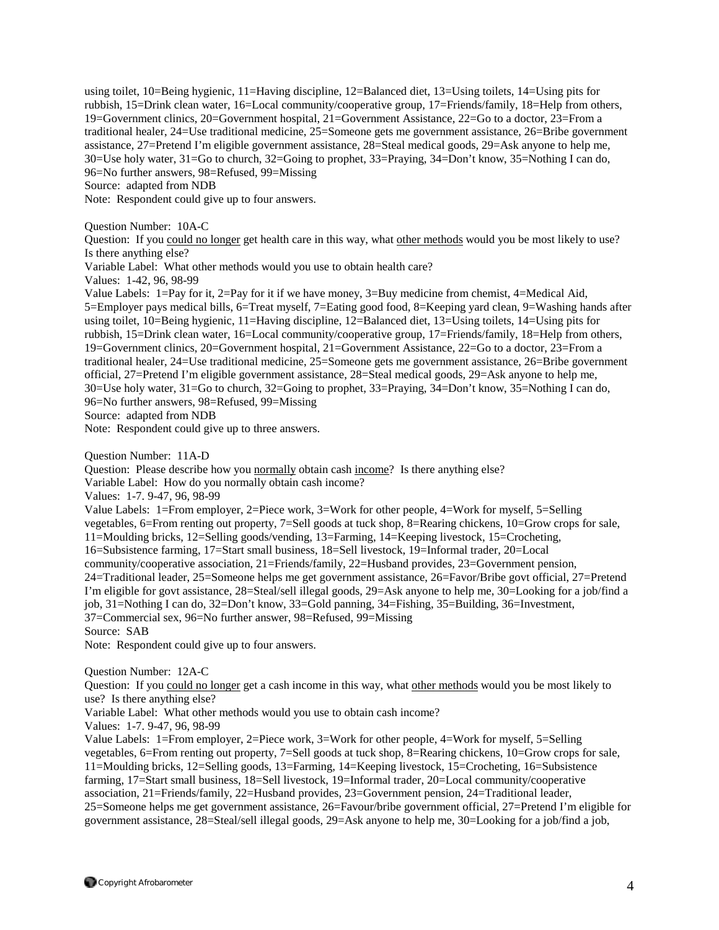using toilet, 10=Being hygienic, 11=Having discipline, 12=Balanced diet, 13=Using toilets, 14=Using pits for rubbish, 15=Drink clean water, 16=Local community/cooperative group, 17=Friends/family, 18=Help from others, 19=Government clinics, 20=Government hospital, 21=Government Assistance, 22=Go to a doctor, 23=From a traditional healer, 24=Use traditional medicine, 25=Someone gets me government assistance, 26=Bribe government assistance, 27=Pretend I'm eligible government assistance, 28=Steal medical goods, 29=Ask anyone to help me, 30=Use holy water, 31=Go to church, 32=Going to prophet, 33=Praying, 34=Don't know, 35=Nothing I can do, 96=No further answers, 98=Refused, 99=Missing Source: adapted from NDB

Note: Respondent could give up to four answers.

Question Number: 10A-C

Question: If you could no longer get health care in this way, what other methods would you be most likely to use? Is there anything else?

Variable Label: What other methods would you use to obtain health care?

Values: 1-42, 96, 98-99

Value Labels: 1=Pay for it, 2=Pay for it if we have money, 3=Buy medicine from chemist, 4=Medical Aid, 5=Employer pays medical bills, 6=Treat myself, 7=Eating good food, 8=Keeping yard clean, 9=Washing hands after using toilet, 10=Being hygienic, 11=Having discipline, 12=Balanced diet, 13=Using toilets, 14=Using pits for rubbish, 15=Drink clean water, 16=Local community/cooperative group, 17=Friends/family, 18=Help from others, 19=Government clinics, 20=Government hospital, 21=Government Assistance, 22=Go to a doctor, 23=From a traditional healer, 24=Use traditional medicine, 25=Someone gets me government assistance, 26=Bribe government official, 27=Pretend I'm eligible government assistance, 28=Steal medical goods, 29=Ask anyone to help me, 30=Use holy water, 31=Go to church, 32=Going to prophet, 33=Praying, 34=Don't know, 35=Nothing I can do, 96=No further answers, 98=Refused, 99=Missing Source: adapted from NDB

Note: Respondent could give up to three answers.

Question Number: 11A-D

Question: Please describe how you normally obtain cash income? Is there anything else?

Variable Label: How do you normally obtain cash income?

Values: 1-7. 9-47, 96, 98-99

Value Labels: 1=From employer, 2=Piece work, 3=Work for other people, 4=Work for myself, 5=Selling vegetables, 6=From renting out property, 7=Sell goods at tuck shop, 8=Rearing chickens, 10=Grow crops for sale, 11=Moulding bricks, 12=Selling goods/vending, 13=Farming, 14=Keeping livestock, 15=Crocheting, 16=Subsistence farming, 17=Start small business, 18=Sell livestock, 19=Informal trader, 20=Local community/cooperative association, 21=Friends/family, 22=Husband provides, 23=Government pension, 24=Traditional leader, 25=Someone helps me get government assistance, 26=Favor/Bribe govt official, 27=Pretend I'm eligible for govt assistance, 28=Steal/sell illegal goods, 29=Ask anyone to help me, 30=Looking for a job/find a job, 31=Nothing I can do, 32=Don't know, 33=Gold panning, 34=Fishing, 35=Building, 36=Investment, 37=Commercial sex, 96=No further answer, 98=Refused, 99=Missing Source: SAB

Note: Respondent could give up to four answers.

Question Number: 12A-C

Question: If you could no longer get a cash income in this way, what other methods would you be most likely to use? Is there anything else?

Variable Label: What other methods would you use to obtain cash income?

Values: 1-7. 9-47, 96, 98-99

Value Labels: 1=From employer, 2=Piece work, 3=Work for other people, 4=Work for myself, 5=Selling vegetables, 6=From renting out property, 7=Sell goods at tuck shop, 8=Rearing chickens, 10=Grow crops for sale, 11=Moulding bricks, 12=Selling goods, 13=Farming, 14=Keeping livestock, 15=Crocheting, 16=Subsistence farming, 17=Start small business, 18=Sell livestock, 19=Informal trader, 20=Local community/cooperative association, 21=Friends/family, 22=Husband provides, 23=Government pension, 24=Traditional leader, 25=Someone helps me get government assistance, 26=Favour/bribe government official, 27=Pretend I'm eligible for government assistance, 28=Steal/sell illegal goods, 29=Ask anyone to help me, 30=Looking for a job/find a job,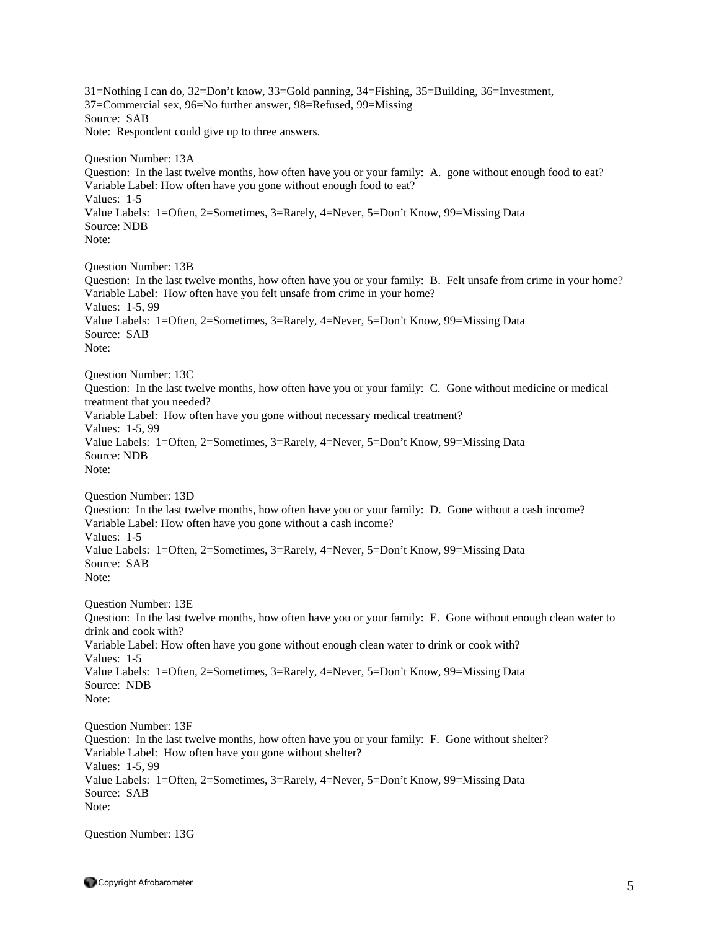31=Nothing I can do, 32=Don't know, 33=Gold panning, 34=Fishing, 35=Building, 36=Investment, 37=Commercial sex, 96=No further answer, 98=Refused, 99=Missing Source: SAB Note: Respondent could give up to three answers. Question Number: 13A Question: In the last twelve months, how often have you or your family: A. gone without enough food to eat? Variable Label: How often have you gone without enough food to eat? Values: 1-5 Value Labels: 1=Often, 2=Sometimes, 3=Rarely, 4=Never, 5=Don't Know, 99=Missing Data Source: NDB Note: Question Number: 13B Question: In the last twelve months, how often have you or your family: B. Felt unsafe from crime in your home? Variable Label: How often have you felt unsafe from crime in your home? Values: 1-5, 99 Value Labels: 1=Often, 2=Sometimes, 3=Rarely, 4=Never, 5=Don't Know, 99=Missing Data Source: SAB Note: Question Number: 13C Question: In the last twelve months, how often have you or your family: C. Gone without medicine or medical treatment that you needed? Variable Label: How often have you gone without necessary medical treatment? Values: 1-5, 99 Value Labels: 1=Often, 2=Sometimes, 3=Rarely, 4=Never, 5=Don't Know, 99=Missing Data Source: NDB Note: Question Number: 13D Question: In the last twelve months, how often have you or your family: D. Gone without a cash income? Variable Label: How often have you gone without a cash income? Values: 1-5 Value Labels: 1=Often, 2=Sometimes, 3=Rarely, 4=Never, 5=Don't Know, 99=Missing Data Source: SAB Note: Question Number: 13E Question: In the last twelve months, how often have you or your family: E. Gone without enough clean water to drink and cook with? Variable Label: How often have you gone without enough clean water to drink or cook with? Values: 1-5 Value Labels: 1=Often, 2=Sometimes, 3=Rarely, 4=Never, 5=Don't Know, 99=Missing Data Source: NDB Note: Question Number: 13F Question: In the last twelve months, how often have you or your family: F. Gone without shelter? Variable Label: How often have you gone without shelter? Values: 1-5, 99 Value Labels: 1=Often, 2=Sometimes, 3=Rarely, 4=Never, 5=Don't Know, 99=Missing Data Source: SAB Note:

Question Number: 13G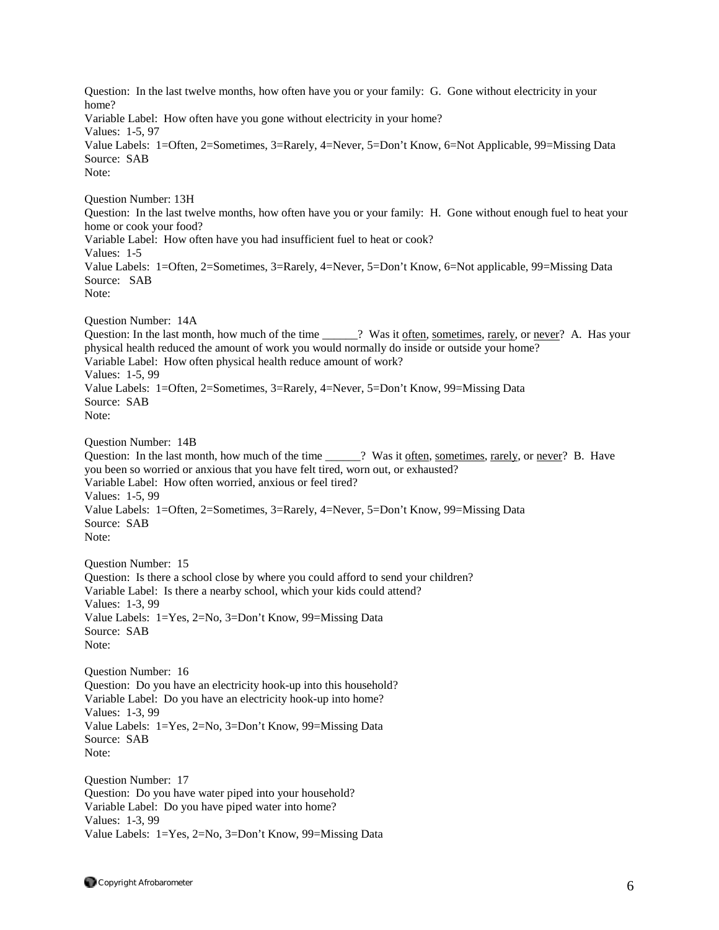Question: In the last twelve months, how often have you or your family: G. Gone without electricity in your home? Variable Label: How often have you gone without electricity in your home? Values: 1-5, 97 Value Labels: 1=Often, 2=Sometimes, 3=Rarely, 4=Never, 5=Don't Know, 6=Not Applicable, 99=Missing Data Source: SAB Note: Question Number: 13H Question: In the last twelve months, how often have you or your family: H. Gone without enough fuel to heat your home or cook your food? Variable Label: How often have you had insufficient fuel to heat or cook? Values: 1-5 Value Labels: 1=Often, 2=Sometimes, 3=Rarely, 4=Never, 5=Don't Know, 6=Not applicable, 99=Missing Data Source: SAB Note: Question Number: 14A Question: In the last month, how much of the time \_\_\_\_\_? Was it often, sometimes, rarely, or never? A. Has your physical health reduced the amount of work you would normally do inside or outside your home? Variable Label: How often physical health reduce amount of work? Values: 1-5, 99 Value Labels: 1=Often, 2=Sometimes, 3=Rarely, 4=Never, 5=Don't Know, 99=Missing Data Source: SAB Note: Question Number: 14B Question: In the last month, how much of the time  $\cdots$  ? Was it often, sometimes, rarely, or never? B. Have you been so worried or anxious that you have felt tired, worn out, or exhausted? Variable Label: How often worried, anxious or feel tired? Values: 1-5, 99 Value Labels: 1=Often, 2=Sometimes, 3=Rarely, 4=Never, 5=Don't Know, 99=Missing Data Source: SAB Note: Question Number: 15 Question: Is there a school close by where you could afford to send your children? Variable Label: Is there a nearby school, which your kids could attend? Values: 1-3, 99 Value Labels: 1=Yes, 2=No, 3=Don't Know, 99=Missing Data Source: SAB Note: Question Number: 16 Question: Do you have an electricity hook-up into this household? Variable Label: Do you have an electricity hook-up into home? Values: 1-3, 99 Value Labels: 1=Yes, 2=No, 3=Don't Know, 99=Missing Data Source: SAB Note: Question Number: 17 Question: Do you have water piped into your household? Variable Label: Do you have piped water into home? Values: 1-3, 99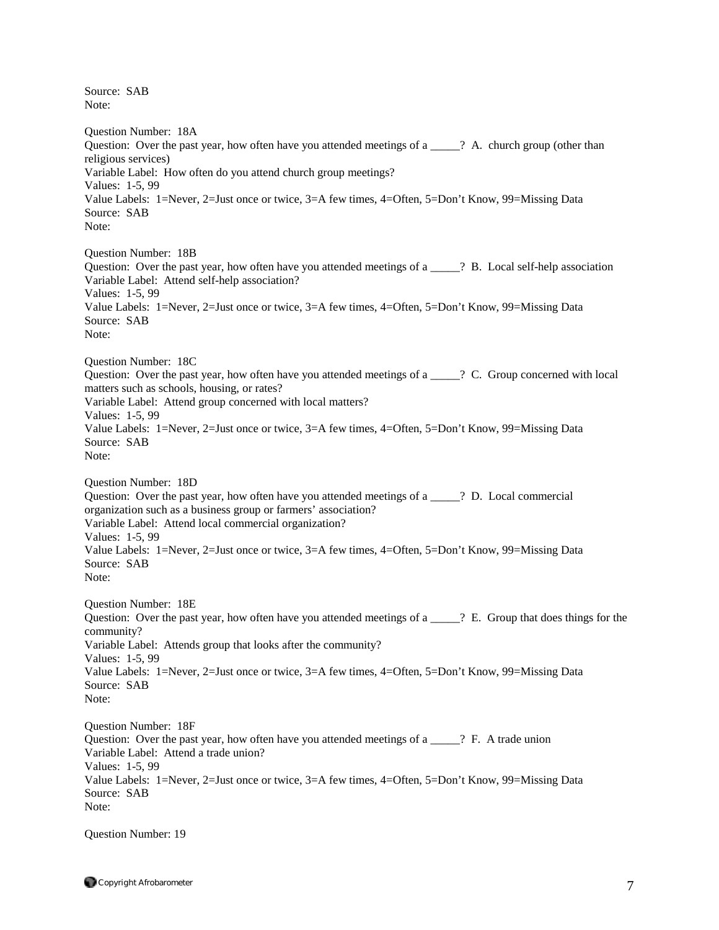Source: SAB Note: Question Number: 18A Question: Over the past year, how often have you attended meetings of a  $\frac{1}{2}$  A. church group (other than religious services) Variable Label: How often do you attend church group meetings? Values: 1-5, 99 Value Labels: 1=Never, 2=Just once or twice, 3=A few times, 4=Often, 5=Don't Know, 99=Missing Data Source: SAB Note: Question Number: 18B Question: Over the past year, how often have you attended meetings of a z 2 B. Local self-help association Variable Label: Attend self-help association? Values: 1-5, 99 Value Labels: 1=Never, 2=Just once or twice, 3=A few times, 4=Often, 5=Don't Know, 99=Missing Data Source: SAB Note: Question Number: 18C Question: Over the past year, how often have you attended meetings of a \_\_\_\_\_? C. Group concerned with local matters such as schools, housing, or rates? Variable Label: Attend group concerned with local matters? Values: 1-5, 99 Value Labels: 1=Never, 2=Just once or twice, 3=A few times, 4=Often, 5=Don't Know, 99=Missing Data Source: SAB Note: Question Number: 18D Question: Over the past year, how often have you attended meetings of a \_\_\_\_\_? D. Local commercial organization such as a business group or farmers' association? Variable Label: Attend local commercial organization? Values: 1-5, 99 Value Labels: 1=Never, 2=Just once or twice, 3=A few times, 4=Often, 5=Don't Know, 99=Missing Data Source: SAB Note: Question Number: 18E Question: Over the past year, how often have you attended meetings of a \_\_\_\_\_? E. Group that does things for the community? Variable Label: Attends group that looks after the community? Values: 1-5, 99 Value Labels: 1=Never, 2=Just once or twice, 3=A few times, 4=Often, 5=Don't Know, 99=Missing Data Source: SAB Note: Question Number: 18F Question: Over the past year, how often have you attended meetings of a \_\_\_\_\_? F. A trade union Variable Label: Attend a trade union? Values: 1-5, 99 Value Labels: 1=Never, 2=Just once or twice, 3=A few times, 4=Often, 5=Don't Know, 99=Missing Data Source: SAB Note:

Question Number: 19

 $\bullet$  Copyright Afrobarometer  $\sim$  7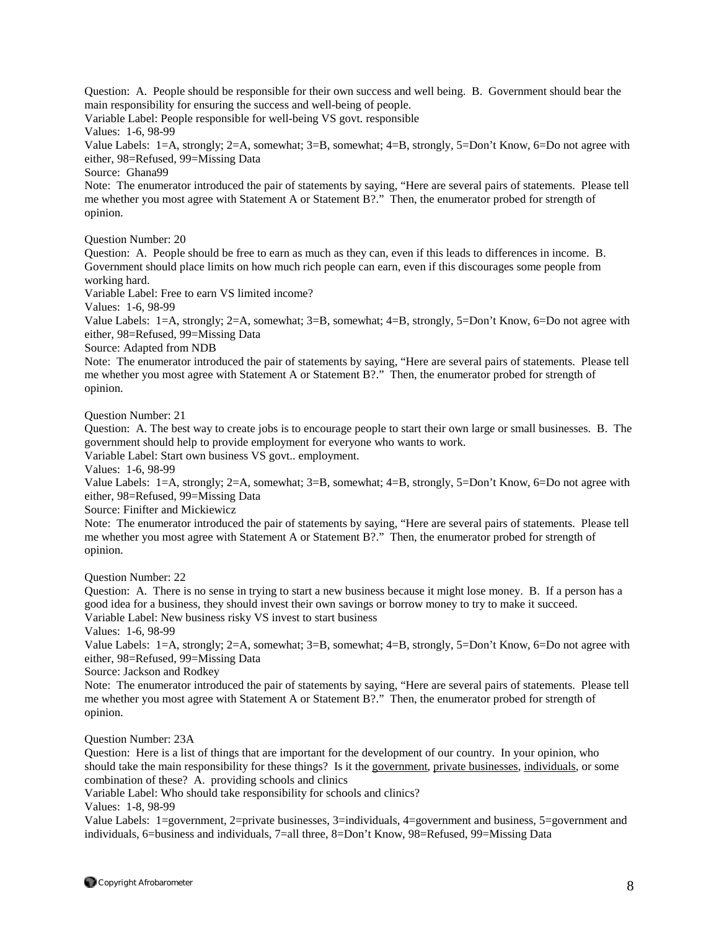Question: A. People should be responsible for their own success and well being. B. Government should bear the main responsibility for ensuring the success and well-being of people.

Variable Label: People responsible for well-being VS govt. responsible

Values: 1-6, 98-99

Value Labels: 1=A, strongly; 2=A, somewhat; 3=B, somewhat; 4=B, strongly, 5=Don't Know, 6=Do not agree with either, 98=Refused, 99=Missing Data

Source: Ghana99

Note: The enumerator introduced the pair of statements by saying, "Here are several pairs of statements. Please tell me whether you most agree with Statement A or Statement B?." Then, the enumerator probed for strength of opinion.

Question Number: 20

Question: A. People should be free to earn as much as they can, even if this leads to differences in income. B. Government should place limits on how much rich people can earn, even if this discourages some people from working hard.

Variable Label: Free to earn VS limited income?

Values: 1-6, 98-99

Value Labels: 1=A, strongly; 2=A, somewhat; 3=B, somewhat; 4=B, strongly, 5=Don't Know, 6=Do not agree with either, 98=Refused, 99=Missing Data

Source: Adapted from NDB

Note: The enumerator introduced the pair of statements by saying, "Here are several pairs of statements. Please tell me whether you most agree with Statement A or Statement B?." Then, the enumerator probed for strength of opinion.

Question Number: 21

Question: A. The best way to create jobs is to encourage people to start their own large or small businesses. B. The government should help to provide employment for everyone who wants to work.

Variable Label: Start own business VS govt.. employment.

Values: 1-6, 98-99

Value Labels: 1=A, strongly; 2=A, somewhat; 3=B, somewhat; 4=B, strongly, 5=Don't Know, 6=Do not agree with either, 98=Refused, 99=Missing Data

Source: Finifter and Mickiewicz

Note: The enumerator introduced the pair of statements by saying, "Here are several pairs of statements. Please tell me whether you most agree with Statement A or Statement B?." Then, the enumerator probed for strength of opinion.

Question Number: 22

Question: A. There is no sense in trying to start a new business because it might lose money. B. If a person has a good idea for a business, they should invest their own savings or borrow money to try to make it succeed. Variable Label: New business risky VS invest to start business

Values: 1-6, 98-99

Value Labels: 1=A, strongly; 2=A, somewhat; 3=B, somewhat; 4=B, strongly, 5=Don't Know, 6=Do not agree with either, 98=Refused, 99=Missing Data

Source: Jackson and Rodkey

Note: The enumerator introduced the pair of statements by saying, "Here are several pairs of statements. Please tell me whether you most agree with Statement A or Statement B?." Then, the enumerator probed for strength of opinion.

Question Number: 23A

Question: Here is a list of things that are important for the development of our country. In your opinion, who should take the main responsibility for these things? Is it the government, private businesses, individuals, or some combination of these? A. providing schools and clinics

Variable Label: Who should take responsibility for schools and clinics?

Values: 1-8, 98-99

Value Labels: 1=government, 2=private businesses, 3=individuals, 4=government and business, 5=government and individuals, 6=business and individuals, 7=all three, 8=Don't Know, 98=Refused, 99=Missing Data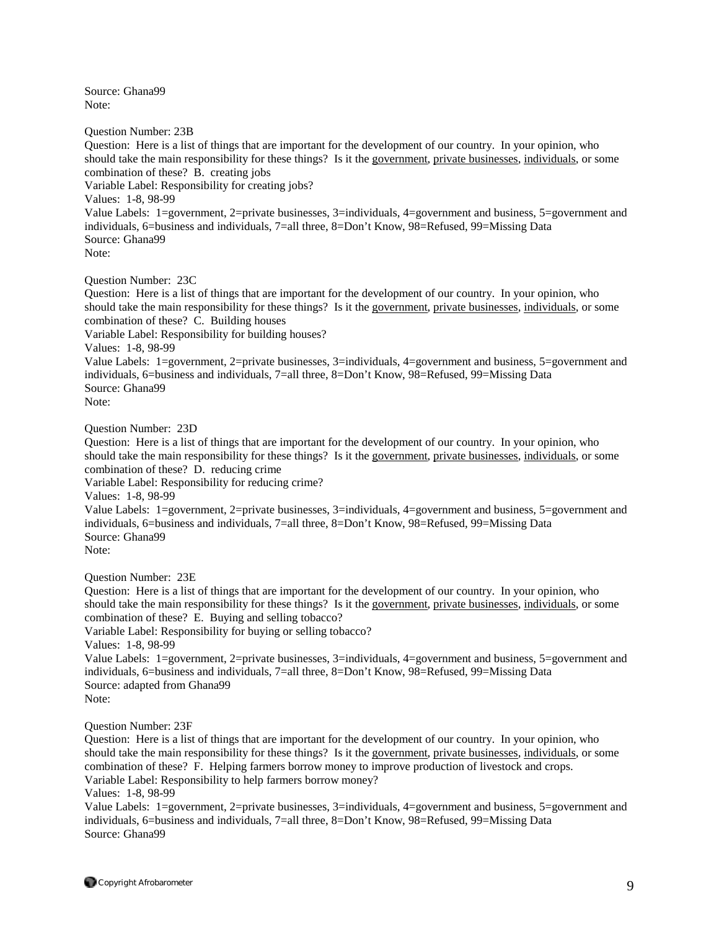Source: Ghana99 Note:

Question Number: 23B

Question: Here is a list of things that are important for the development of our country. In your opinion, who should take the main responsibility for these things? Is it the government, private businesses, individuals, or some combination of these? B. creating jobs

Variable Label: Responsibility for creating jobs?

Values: 1-8, 98-99

Value Labels: 1=government, 2=private businesses, 3=individuals, 4=government and business, 5=government and individuals, 6=business and individuals, 7=all three, 8=Don't Know, 98=Refused, 99=Missing Data Source: Ghana99

Note:

Question Number: 23C

Question: Here is a list of things that are important for the development of our country. In your opinion, who should take the main responsibility for these things? Is it the government, private businesses, individuals, or some combination of these? C. Building houses

Variable Label: Responsibility for building houses?

Values: 1-8, 98-99

Value Labels: 1=government, 2=private businesses, 3=individuals, 4=government and business, 5=government and individuals, 6=business and individuals, 7=all three, 8=Don't Know, 98=Refused, 99=Missing Data Source: Ghana99

Note:

Question Number: 23D

Question: Here is a list of things that are important for the development of our country. In your opinion, who should take the main responsibility for these things? Is it the government, private businesses, individuals, or some combination of these? D. reducing crime

Variable Label: Responsibility for reducing crime?

Values: 1-8, 98-99

Value Labels: 1=government, 2=private businesses, 3=individuals, 4=government and business, 5=government and individuals, 6=business and individuals, 7=all three, 8=Don't Know, 98=Refused, 99=Missing Data Source: Ghana99 Note:

Question Number: 23E

Question: Here is a list of things that are important for the development of our country. In your opinion, who should take the main responsibility for these things? Is it the government, private businesses, individuals, or some combination of these? E. Buying and selling tobacco?

Variable Label: Responsibility for buying or selling tobacco?

Values: 1-8, 98-99

Value Labels: 1=government, 2=private businesses, 3=individuals, 4=government and business, 5=government and individuals, 6=business and individuals, 7=all three, 8=Don't Know, 98=Refused, 99=Missing Data Source: adapted from Ghana99 Note:

Question Number: 23F

Question: Here is a list of things that are important for the development of our country. In your opinion, who should take the main responsibility for these things? Is it the government, private businesses, individuals, or some combination of these? F. Helping farmers borrow money to improve production of livestock and crops. Variable Label: Responsibility to help farmers borrow money?

Values: 1-8, 98-99

Value Labels: 1=government, 2=private businesses, 3=individuals, 4=government and business, 5=government and individuals, 6=business and individuals, 7=all three, 8=Don't Know, 98=Refused, 99=Missing Data Source: Ghana99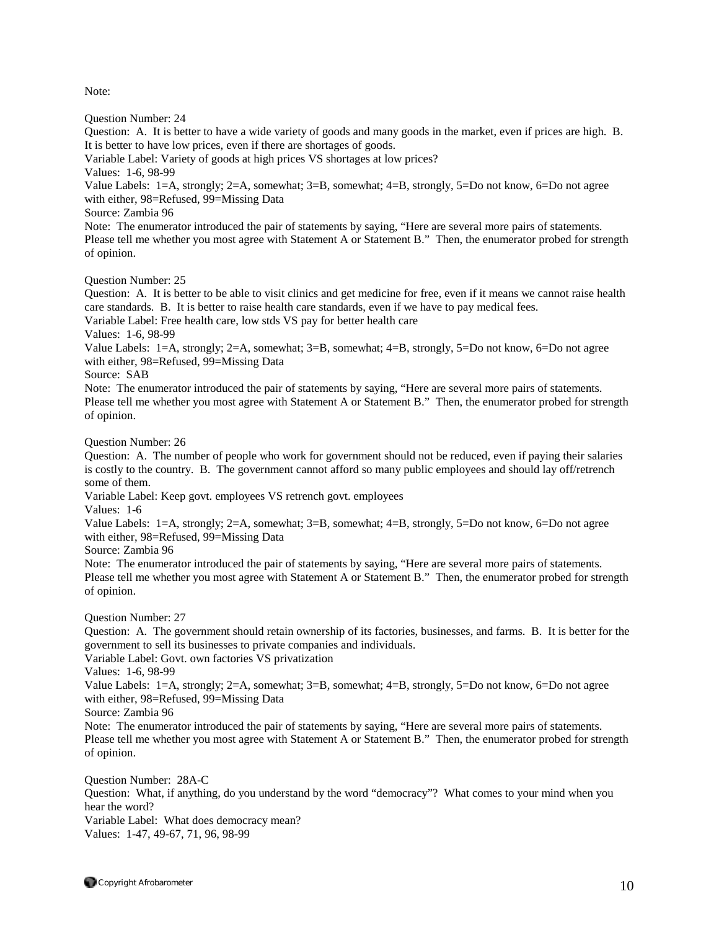Note:

Question Number: 24

Question: A. It is better to have a wide variety of goods and many goods in the market, even if prices are high. B. It is better to have low prices, even if there are shortages of goods.

Variable Label: Variety of goods at high prices VS shortages at low prices?

Values: 1-6, 98-99

Value Labels: 1=A, strongly; 2=A, somewhat; 3=B, somewhat; 4=B, strongly, 5=Do not know, 6=Do not agree with either, 98=Refused, 99=Missing Data

Source: Zambia 96

Note: The enumerator introduced the pair of statements by saying, "Here are several more pairs of statements. Please tell me whether you most agree with Statement A or Statement B." Then, the enumerator probed for strength of opinion.

Question Number: 25

Question: A. It is better to be able to visit clinics and get medicine for free, even if it means we cannot raise health care standards. B. It is better to raise health care standards, even if we have to pay medical fees.

Variable Label: Free health care, low stds VS pay for better health care

Values: 1-6, 98-99

Value Labels: 1=A, strongly; 2=A, somewhat; 3=B, somewhat; 4=B, strongly, 5=Do not know, 6=Do not agree with either, 98=Refused, 99=Missing Data

Source: SAB

Note: The enumerator introduced the pair of statements by saying, "Here are several more pairs of statements. Please tell me whether you most agree with Statement A or Statement B." Then, the enumerator probed for strength of opinion.

Question Number: 26

Question: A. The number of people who work for government should not be reduced, even if paying their salaries is costly to the country. B. The government cannot afford so many public employees and should lay off/retrench some of them.

Variable Label: Keep govt. employees VS retrench govt. employees

Values: 1-6

Value Labels: 1=A, strongly; 2=A, somewhat; 3=B, somewhat; 4=B, strongly, 5=Do not know, 6=Do not agree with either, 98=Refused, 99=Missing Data

Source: Zambia 96

Note: The enumerator introduced the pair of statements by saying, "Here are several more pairs of statements. Please tell me whether you most agree with Statement A or Statement B." Then, the enumerator probed for strength of opinion.

Question Number: 27

Question: A. The government should retain ownership of its factories, businesses, and farms. B. It is better for the government to sell its businesses to private companies and individuals.

Variable Label: Govt. own factories VS privatization

Values: 1-6, 98-99

Value Labels: 1=A, strongly; 2=A, somewhat; 3=B, somewhat; 4=B, strongly, 5=Do not know, 6=Do not agree with either, 98=Refused, 99=Missing Data

Source: Zambia 96

Note: The enumerator introduced the pair of statements by saying, "Here are several more pairs of statements. Please tell me whether you most agree with Statement A or Statement B." Then, the enumerator probed for strength of opinion.

Question Number: 28A-C Question: What, if anything, do you understand by the word "democracy"? What comes to your mind when you hear the word? Variable Label: What does democracy mean? Values: 1-47, 49-67, 71, 96, 98-99

 $\bullet$  Copyright Afrobarometer  $10$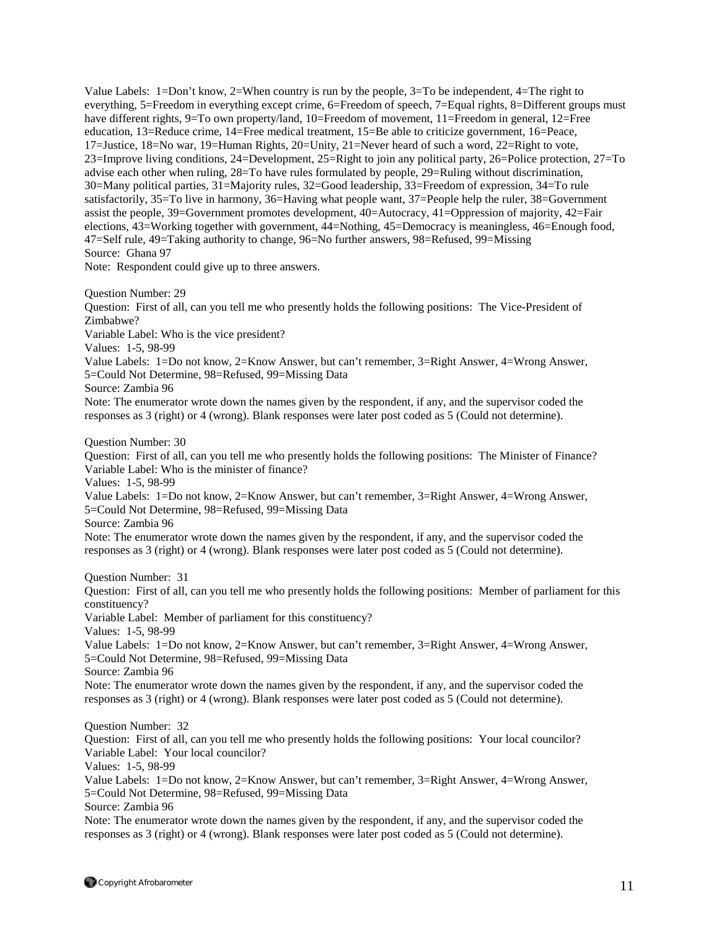Value Labels: 1=Don't know, 2=When country is run by the people, 3=To be independent, 4=The right to everything, 5=Freedom in everything except crime, 6=Freedom of speech, 7=Equal rights, 8=Different groups must have different rights, 9=To own property/land, 10=Freedom of movement, 11=Freedom in general, 12=Free education, 13=Reduce crime, 14=Free medical treatment, 15=Be able to criticize government, 16=Peace, 17=Justice, 18=No war, 19=Human Rights, 20=Unity, 21=Never heard of such a word, 22=Right to vote, 23=Improve living conditions, 24=Development, 25=Right to join any political party, 26=Police protection, 27=To advise each other when ruling, 28=To have rules formulated by people, 29=Ruling without discrimination, 30=Many political parties, 31=Majority rules, 32=Good leadership, 33=Freedom of expression, 34=To rule satisfactorily, 35=To live in harmony, 36=Having what people want, 37=People help the ruler, 38=Government assist the people, 39=Government promotes development, 40=Autocracy, 41=Oppression of majority, 42=Fair elections, 43=Working together with government, 44=Nothing, 45=Democracy is meaningless, 46=Enough food, 47=Self rule, 49=Taking authority to change, 96=No further answers, 98=Refused, 99=Missing Source: Ghana 97

Note: Respondent could give up to three answers.

Question Number: 29

Question: First of all, can you tell me who presently holds the following positions: The Vice-President of Zimbabwe?

Variable Label: Who is the vice president?

Values: 1-5, 98-99

Value Labels: 1=Do not know, 2=Know Answer, but can't remember, 3=Right Answer, 4=Wrong Answer, 5=Could Not Determine, 98=Refused, 99=Missing Data

Source: Zambia 96

Note: The enumerator wrote down the names given by the respondent, if any, and the supervisor coded the responses as 3 (right) or 4 (wrong). Blank responses were later post coded as 5 (Could not determine).

Question Number: 30

Question: First of all, can you tell me who presently holds the following positions: The Minister of Finance? Variable Label: Who is the minister of finance?

Values: 1-5, 98-99

Value Labels: 1=Do not know, 2=Know Answer, but can't remember, 3=Right Answer, 4=Wrong Answer, 5=Could Not Determine, 98=Refused, 99=Missing Data

Source: Zambia 96

Note: The enumerator wrote down the names given by the respondent, if any, and the supervisor coded the responses as 3 (right) or 4 (wrong). Blank responses were later post coded as 5 (Could not determine).

Question Number: 31

Question: First of all, can you tell me who presently holds the following positions: Member of parliament for this constituency?

Variable Label: Member of parliament for this constituency?

Values: 1-5, 98-99

Value Labels: 1=Do not know, 2=Know Answer, but can't remember, 3=Right Answer, 4=Wrong Answer, 5=Could Not Determine, 98=Refused, 99=Missing Data

Source: Zambia 96

Note: The enumerator wrote down the names given by the respondent, if any, and the supervisor coded the responses as 3 (right) or 4 (wrong). Blank responses were later post coded as 5 (Could not determine).

Question Number: 32

Question: First of all, can you tell me who presently holds the following positions: Your local councilor? Variable Label: Your local councilor?

Values: 1-5, 98-99

Value Labels: 1=Do not know, 2=Know Answer, but can't remember, 3=Right Answer, 4=Wrong Answer, 5=Could Not Determine, 98=Refused, 99=Missing Data

Source: Zambia 96

Note: The enumerator wrote down the names given by the respondent, if any, and the supervisor coded the responses as 3 (right) or 4 (wrong). Blank responses were later post coded as 5 (Could not determine).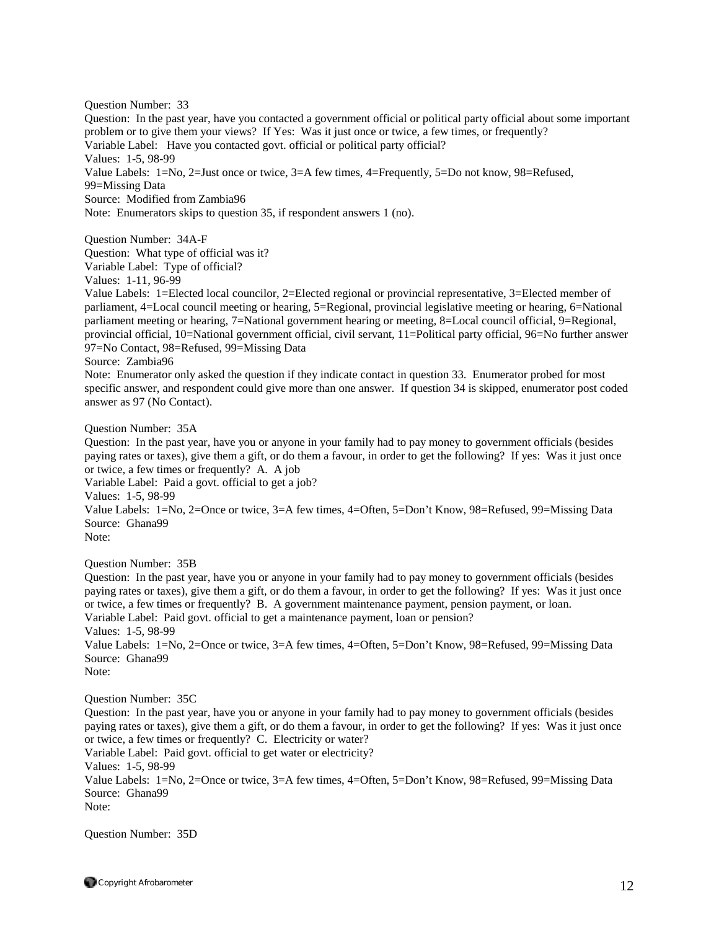Question Number: 33

Question: In the past year, have you contacted a government official or political party official about some important problem or to give them your views? If Yes: Was it just once or twice, a few times, or frequently?

Variable Label: Have you contacted govt. official or political party official?

Values: 1-5, 98-99

Value Labels: 1=No, 2=Just once or twice, 3=A few times, 4=Frequently, 5=Do not know, 98=Refused, 99=Missing Data

Source: Modified from Zambia96

Note: Enumerators skips to question 35, if respondent answers 1 (no).

Question Number: 34A-F

Question: What type of official was it?

Variable Label: Type of official?

Values: 1-11, 96-99

Value Labels: 1=Elected local councilor, 2=Elected regional or provincial representative, 3=Elected member of parliament, 4=Local council meeting or hearing, 5=Regional, provincial legislative meeting or hearing, 6=National parliament meeting or hearing, 7=National government hearing or meeting, 8=Local council official, 9=Regional, provincial official, 10=National government official, civil servant, 11=Political party official, 96=No further answer 97=No Contact, 98=Refused, 99=Missing Data

Source: Zambia96

Note: Enumerator only asked the question if they indicate contact in question 33. Enumerator probed for most specific answer, and respondent could give more than one answer. If question 34 is skipped, enumerator post coded answer as 97 (No Contact).

Question Number: 35A

Question: In the past year, have you or anyone in your family had to pay money to government officials (besides paying rates or taxes), give them a gift, or do them a favour, in order to get the following? If yes: Was it just once or twice, a few times or frequently? A. A job

Variable Label: Paid a govt. official to get a job?

Values: 1-5, 98-99

Value Labels: 1=No, 2=Once or twice, 3=A few times, 4=Often, 5=Don't Know, 98=Refused, 99=Missing Data Source: Ghana99

Note:

Question Number: 35B

Question: In the past year, have you or anyone in your family had to pay money to government officials (besides paying rates or taxes), give them a gift, or do them a favour, in order to get the following? If yes: Was it just once or twice, a few times or frequently? B. A government maintenance payment, pension payment, or loan. Variable Label: Paid govt. official to get a maintenance payment, loan or pension? Values: 1-5, 98-99

Value Labels: 1=No, 2=Once or twice, 3=A few times, 4=Often, 5=Don't Know, 98=Refused, 99=Missing Data Source: Ghana99

Note:

Question Number: 35C

Question: In the past year, have you or anyone in your family had to pay money to government officials (besides paying rates or taxes), give them a gift, or do them a favour, in order to get the following? If yes: Was it just once or twice, a few times or frequently? C. Electricity or water? Variable Label: Paid govt. official to get water or electricity?

Values: 1-5, 98-99 Value Labels: 1=No, 2=Once or twice, 3=A few times, 4=Often, 5=Don't Know, 98=Refused, 99=Missing Data Source: Ghana99 Note:

Question Number: 35D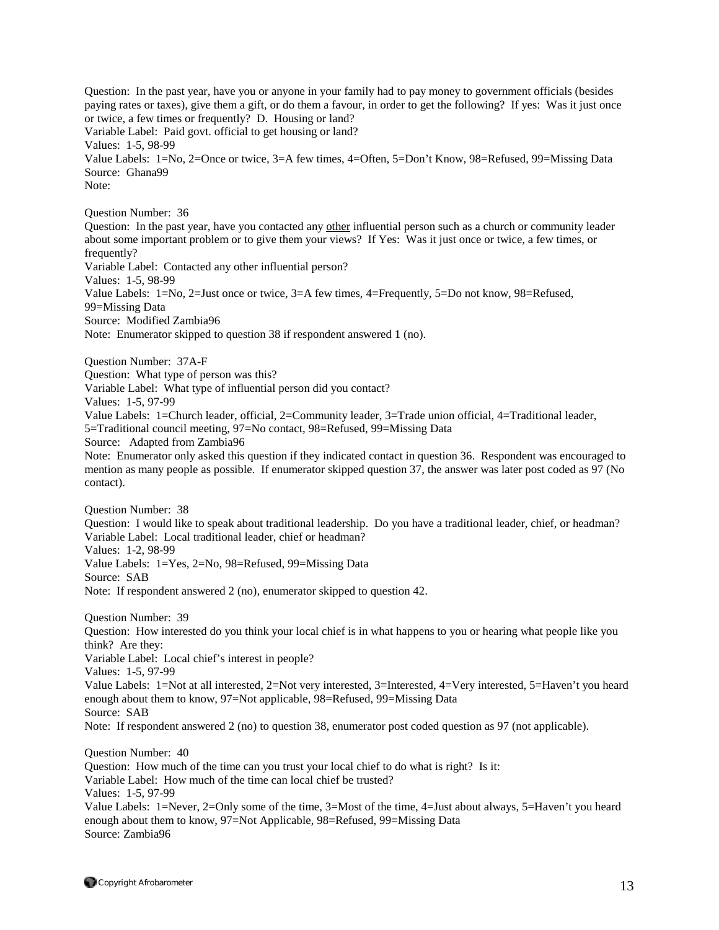Question: In the past year, have you or anyone in your family had to pay money to government officials (besides paying rates or taxes), give them a gift, or do them a favour, in order to get the following? If yes: Was it just once or twice, a few times or frequently? D. Housing or land? Variable Label: Paid govt. official to get housing or land? Values: 1-5, 98-99 Value Labels: 1=No, 2=Once or twice, 3=A few times, 4=Often, 5=Don't Know, 98=Refused, 99=Missing Data Source: Ghana99 Note: Question Number: 36 Question: In the past year, have you contacted any other influential person such as a church or community leader about some important problem or to give them your views? If Yes: Was it just once or twice, a few times, or frequently? Variable Label: Contacted any other influential person? Values: 1-5, 98-99 Value Labels: 1=No, 2=Just once or twice, 3=A few times, 4=Frequently, 5=Do not know, 98=Refused, 99=Missing Data Source: Modified Zambia96 Note: Enumerator skipped to question 38 if respondent answered 1 (no). Question Number: 37A-F Question: What type of person was this? Variable Label: What type of influential person did you contact? Values: 1-5, 97-99 Value Labels: 1=Church leader, official, 2=Community leader, 3=Trade union official, 4=Traditional leader, 5=Traditional council meeting, 97=No contact, 98=Refused, 99=Missing Data Source: Adapted from Zambia96 Note: Enumerator only asked this question if they indicated contact in question 36. Respondent was encouraged to mention as many people as possible. If enumerator skipped question 37, the answer was later post coded as 97 (No contact). Question Number: 38 Question: I would like to speak about traditional leadership. Do you have a traditional leader, chief, or headman? Variable Label: Local traditional leader, chief or headman? Values: 1-2, 98-99 Value Labels: 1=Yes, 2=No, 98=Refused, 99=Missing Data Source: SAB Note: If respondent answered 2 (no), enumerator skipped to question 42. Question Number: 39 Question: How interested do you think your local chief is in what happens to you or hearing what people like you think? Are they: Variable Label: Local chief's interest in people? Values: 1-5, 97-99 Value Labels: 1=Not at all interested, 2=Not very interested, 3=Interested, 4=Very interested, 5=Haven't you heard enough about them to know, 97=Not applicable, 98=Refused, 99=Missing Data Source: SAB Note: If respondent answered 2 (no) to question 38, enumerator post coded question as 97 (not applicable). Question Number: 40 Question: How much of the time can you trust your local chief to do what is right? Is it: Variable Label: How much of the time can local chief be trusted? Values: 1-5, 97-99 Value Labels: 1=Never, 2=Only some of the time, 3=Most of the time, 4=Just about always, 5=Haven't you heard enough about them to know, 97=Not Applicable, 98=Refused, 99=Missing Data Source: Zambia96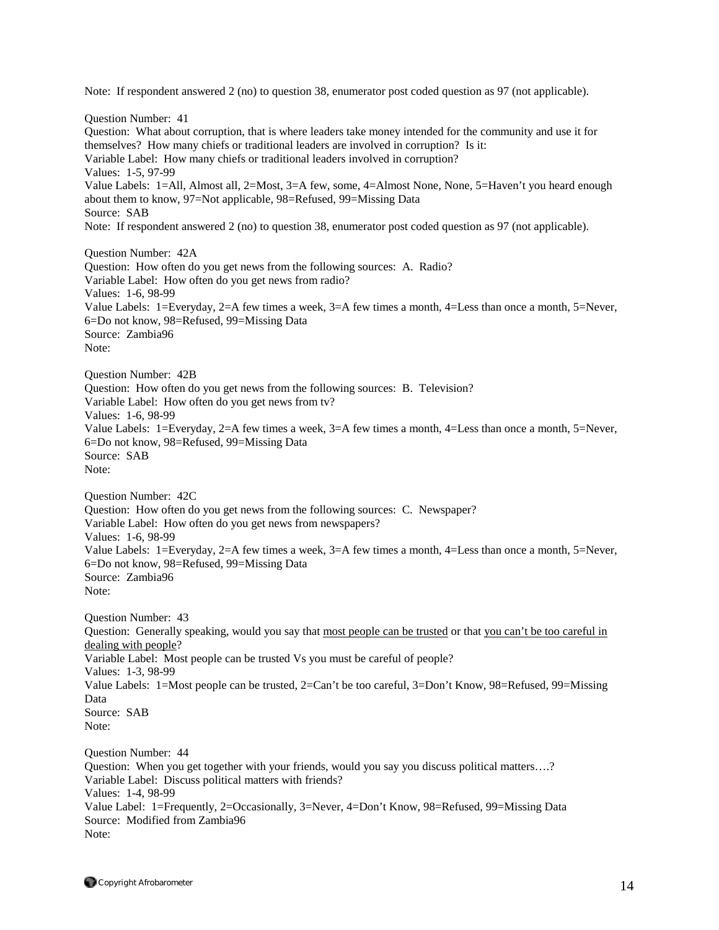Note: If respondent answered 2 (no) to question 38, enumerator post coded question as 97 (not applicable). Question Number: 41 Question: What about corruption, that is where leaders take money intended for the community and use it for themselves? How many chiefs or traditional leaders are involved in corruption? Is it: Variable Label: How many chiefs or traditional leaders involved in corruption? Values: 1-5, 97-99 Value Labels: 1=All, Almost all, 2=Most, 3=A few, some, 4=Almost None, None, 5=Haven't you heard enough about them to know, 97=Not applicable, 98=Refused, 99=Missing Data Source: SAB Note: If respondent answered 2 (no) to question 38, enumerator post coded question as 97 (not applicable). Question Number: 42A Question: How often do you get news from the following sources: A. Radio? Variable Label: How often do you get news from radio? Values: 1-6, 98-99 Value Labels: 1=Everyday, 2=A few times a week, 3=A few times a month, 4=Less than once a month, 5=Never, 6=Do not know, 98=Refused, 99=Missing Data Source: Zambia96 Note: Question Number: 42B Question: How often do you get news from the following sources: B. Television? Variable Label: How often do you get news from tv? Values: 1-6, 98-99 Value Labels: 1=Everyday, 2=A few times a week, 3=A few times a month, 4=Less than once a month, 5=Never, 6=Do not know, 98=Refused, 99=Missing Data Source: SAB Note: Question Number: 42C Question: How often do you get news from the following sources: C. Newspaper? Variable Label: How often do you get news from newspapers? Values: 1-6, 98-99 Value Labels: 1=Everyday, 2=A few times a week, 3=A few times a month, 4=Less than once a month, 5=Never, 6=Do not know, 98=Refused, 99=Missing Data Source: Zambia96 Note: Question Number: 43 Question: Generally speaking, would you say that most people can be trusted or that you can't be too careful in dealing with people? Variable Label: Most people can be trusted Vs you must be careful of people? Values: 1-3, 98-99 Value Labels: 1=Most people can be trusted, 2=Can't be too careful, 3=Don't Know, 98=Refused, 99=Missing Data Source: SAB Note: Question Number: 44 Question: When you get together with your friends, would you say you discuss political matters….? Variable Label: Discuss political matters with friends? Values: 1-4, 98-99 Value Label: 1=Frequently, 2=Occasionally, 3=Never, 4=Don't Know, 98=Refused, 99=Missing Data Source: Modified from Zambia96 Note: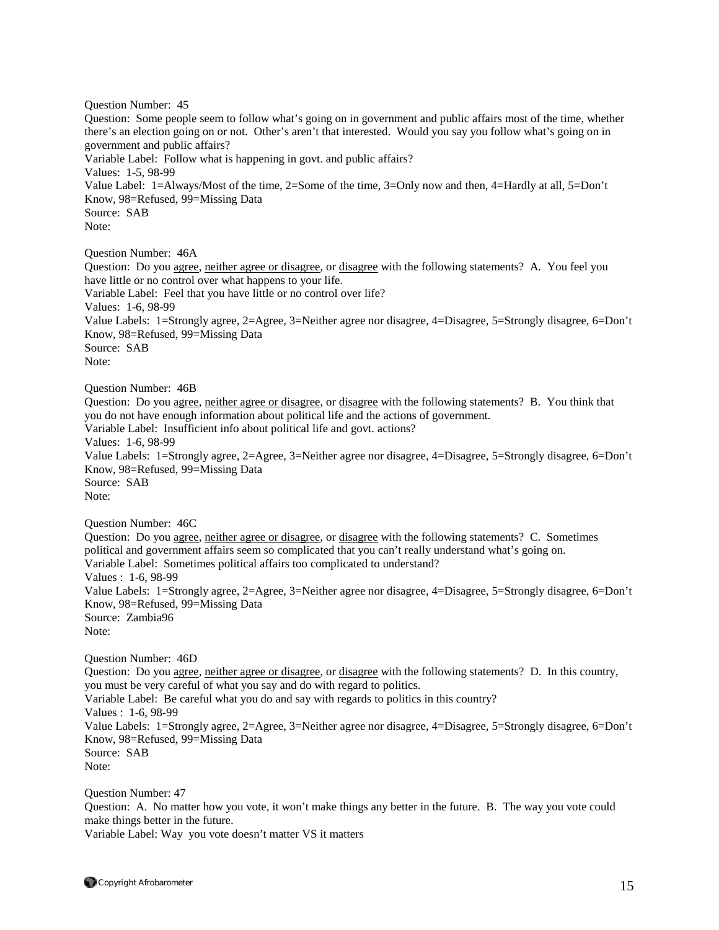Question Number: 45 Question: Some people seem to follow what's going on in government and public affairs most of the time, whether there's an election going on or not. Other's aren't that interested. Would you say you follow what's going on in government and public affairs? Variable Label: Follow what is happening in govt. and public affairs? Values: 1-5, 98-99 Value Label: 1=Always/Most of the time, 2=Some of the time, 3=Only now and then, 4=Hardly at all, 5=Don't Know, 98=Refused, 99=Missing Data Source: SAB Note: Question Number: 46A Question: Do you agree, neither agree or disagree, or disagree with the following statements? A. You feel you have little or no control over what happens to your life. Variable Label: Feel that you have little or no control over life? Values: 1-6, 98-99 Value Labels: 1=Strongly agree, 2=Agree, 3=Neither agree nor disagree, 4=Disagree, 5=Strongly disagree, 6=Don't Know, 98=Refused, 99=Missing Data Source: SAB Note: Question Number: 46B Question: Do you agree, neither agree or disagree, or disagree with the following statements? B. You think that you do not have enough information about political life and the actions of government. Variable Label: Insufficient info about political life and govt. actions? Values: 1-6, 98-99 Value Labels: 1=Strongly agree, 2=Agree, 3=Neither agree nor disagree, 4=Disagree, 5=Strongly disagree, 6=Don't Know, 98=Refused, 99=Missing Data Source: SAB Note: Question Number: 46C Question: Do you <u>agree, neither agree or disagree</u>, or disagree with the following statements? C. Sometimes political and government affairs seem so complicated that you can't really understand what's going on. Variable Label: Sometimes political affairs too complicated to understand? Values : 1-6, 98-99 Value Labels: 1=Strongly agree, 2=Agree, 3=Neither agree nor disagree, 4=Disagree, 5=Strongly disagree, 6=Don't Know, 98=Refused, 99=Missing Data Source: Zambia96 Note: Question Number: 46D Question: Do you agree, neither agree or disagree, or disagree with the following statements? D. In this country, you must be very careful of what you say and do with regard to politics. Variable Label: Be careful what you do and say with regards to politics in this country? Values : 1-6, 98-99 Value Labels: 1=Strongly agree, 2=Agree, 3=Neither agree nor disagree, 4=Disagree, 5=Strongly disagree, 6=Don't Know, 98=Refused, 99=Missing Data Source: SAB Note: Question Number: 47

Question: A. No matter how you vote, it won't make things any better in the future. B. The way you vote could make things better in the future.

Variable Label: Way you vote doesn't matter VS it matters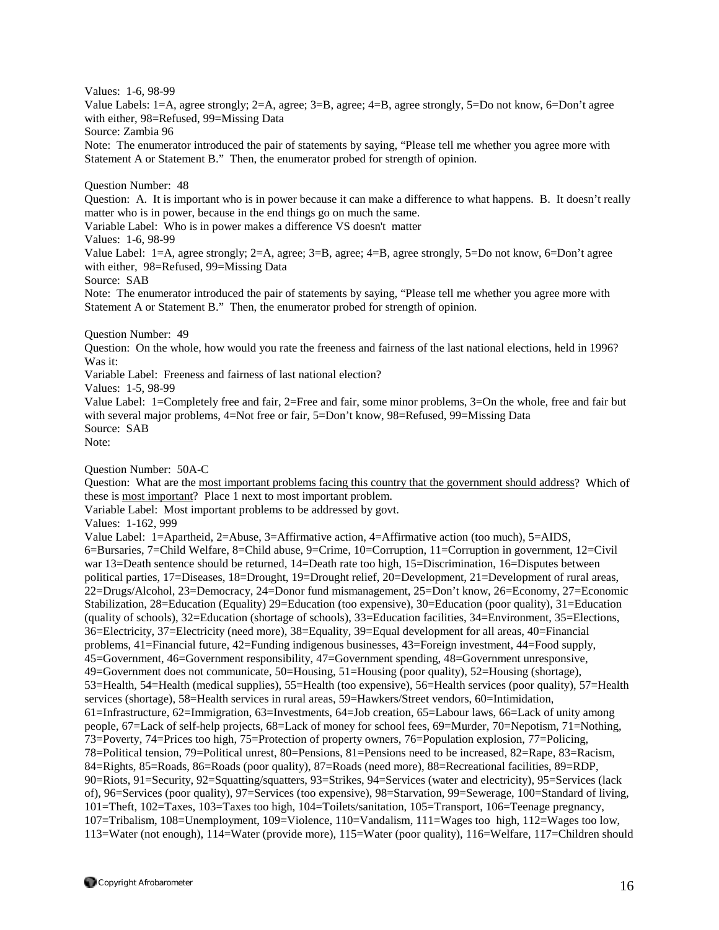Values: 1-6, 98-99

Value Labels: 1=A, agree strongly; 2=A, agree; 3=B, agree; 4=B, agree strongly, 5=Do not know, 6=Don't agree with either, 98=Refused, 99=Missing Data

Source: Zambia 96

Note: The enumerator introduced the pair of statements by saying, "Please tell me whether you agree more with Statement A or Statement B." Then, the enumerator probed for strength of opinion.

Question Number: 48

Question: A. It is important who is in power because it can make a difference to what happens. B. It doesn't really matter who is in power, because in the end things go on much the same.

Variable Label: Who is in power makes a difference VS doesn't matter

Values: 1-6, 98-99

Value Label: 1=A, agree strongly; 2=A, agree; 3=B, agree; 4=B, agree strongly, 5=Do not know, 6=Don't agree with either, 98=Refused, 99=Missing Data

Source: SAB

Note: The enumerator introduced the pair of statements by saying, "Please tell me whether you agree more with Statement A or Statement B." Then, the enumerator probed for strength of opinion.

Question Number: 49

Question: On the whole, how would you rate the freeness and fairness of the last national elections, held in 1996? Was it:

Variable Label: Freeness and fairness of last national election?

Values: 1-5, 98-99

Value Label: 1=Completely free and fair, 2=Free and fair, some minor problems, 3=On the whole, free and fair but with several major problems, 4=Not free or fair, 5=Don't know, 98=Refused, 99=Missing Data Source: SAB

Note:

Question Number: 50A-C

Question: What are the most important problems facing this country that the government should address? Which of these is most important? Place 1 next to most important problem.

Variable Label: Most important problems to be addressed by govt.

Values: 1-162, 999

Value Label: 1=Apartheid, 2=Abuse, 3=Affirmative action, 4=Affirmative action (too much), 5=AIDS, 6=Bursaries, 7=Child Welfare, 8=Child abuse, 9=Crime, 10=Corruption, 11=Corruption in government, 12=Civil war 13=Death sentence should be returned, 14=Death rate too high, 15=Discrimination, 16=Disputes between political parties, 17=Diseases, 18=Drought, 19=Drought relief, 20=Development, 21=Development of rural areas, 22=Drugs/Alcohol, 23=Democracy, 24=Donor fund mismanagement, 25=Don't know, 26=Economy, 27=Economic Stabilization, 28=Education (Equality) 29=Education (too expensive), 30=Education (poor quality), 31=Education (quality of schools), 32=Education (shortage of schools), 33=Education facilities, 34=Environment, 35=Elections, 36=Electricity, 37=Electricity (need more), 38=Equality, 39=Equal development for all areas, 40=Financial problems, 41=Financial future, 42=Funding indigenous businesses, 43=Foreign investment, 44=Food supply, 45=Government, 46=Government responsibility, 47=Government spending, 48=Government unresponsive, 49=Government does not communicate, 50=Housing, 51=Housing (poor quality), 52=Housing (shortage), 53=Health, 54=Health (medical supplies), 55=Health (too expensive), 56=Health services (poor quality), 57=Health services (shortage), 58=Health services in rural areas, 59=Hawkers/Street vendors, 60=Intimidation, 61=Infrastructure, 62=Immigration, 63=Investments, 64=Job creation, 65=Labour laws, 66=Lack of unity among people, 67=Lack of self-help projects, 68=Lack of money for school fees, 69=Murder, 70=Nepotism, 71=Nothing, 73=Poverty, 74=Prices too high, 75=Protection of property owners, 76=Population explosion, 77=Policing, 78=Political tension, 79=Political unrest, 80=Pensions, 81=Pensions need to be increased, 82=Rape, 83=Racism, 84=Rights, 85=Roads, 86=Roads (poor quality), 87=Roads (need more), 88=Recreational facilities, 89=RDP, 90=Riots, 91=Security, 92=Squatting/squatters, 93=Strikes, 94=Services (water and electricity), 95=Services (lack of), 96=Services (poor quality), 97=Services (too expensive), 98=Starvation, 99=Sewerage, 100=Standard of living, 101=Theft, 102=Taxes, 103=Taxes too high, 104=Toilets/sanitation, 105=Transport, 106=Teenage pregnancy, 107=Tribalism, 108=Unemployment, 109=Violence, 110=Vandalism, 111=Wages too high, 112=Wages too low, 113=Water (not enough), 114=Water (provide more), 115=Water (poor quality), 116=Welfare, 117=Children should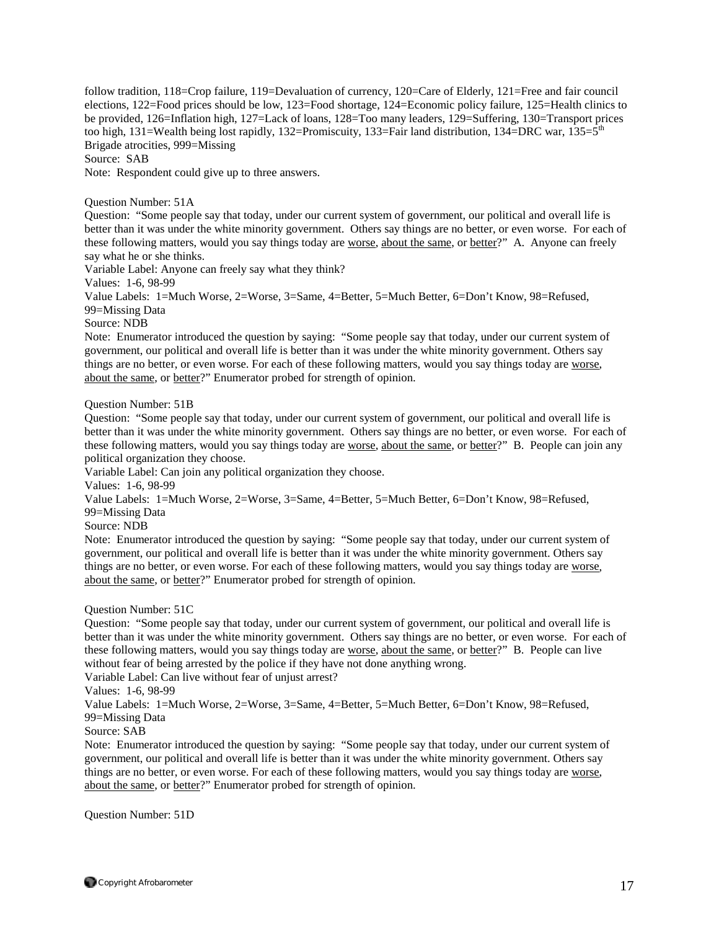follow tradition, 118=Crop failure, 119=Devaluation of currency, 120=Care of Elderly, 121=Free and fair council elections, 122=Food prices should be low, 123=Food shortage, 124=Economic policy failure, 125=Health clinics to be provided, 126=Inflation high, 127=Lack of loans, 128=Too many leaders, 129=Suffering, 130=Transport prices too high, 131=Wealth being lost rapidly, 132=Promiscuity, 133=Fair land distribution, 134=DRC war, 135=5<sup>th</sup> Brigade atrocities, 999=Missing

Source: SAB

Note: Respondent could give up to three answers.

Question Number: 51A

Question: "Some people say that today, under our current system of government, our political and overall life is better than it was under the white minority government. Others say things are no better, or even worse. For each of these following matters, would you say things today are worse, about the same, or better?" A. Anyone can freely say what he or she thinks.

Variable Label: Anyone can freely say what they think?

Values: 1-6, 98-99

Value Labels: 1=Much Worse, 2=Worse, 3=Same, 4=Better, 5=Much Better, 6=Don't Know, 98=Refused, 99=Missing Data

Source: NDB

Note: Enumerator introduced the question by saying: "Some people say that today, under our current system of government, our political and overall life is better than it was under the white minority government. Others say things are no better, or even worse. For each of these following matters, would you say things today are worse, about the same, or better?" Enumerator probed for strength of opinion.

Question Number: 51B

Question: "Some people say that today, under our current system of government, our political and overall life is better than it was under the white minority government. Others say things are no better, or even worse. For each of these following matters, would you say things today are worse, about the same, or better?" B. People can join any political organization they choose.

Variable Label: Can join any political organization they choose.

Values: 1-6, 98-99

Value Labels: 1=Much Worse, 2=Worse, 3=Same, 4=Better, 5=Much Better, 6=Don't Know, 98=Refused,

99=Missing Data

Source: NDB

Note: Enumerator introduced the question by saying: "Some people say that today, under our current system of government, our political and overall life is better than it was under the white minority government. Others say things are no better, or even worse. For each of these following matters, would you say things today are worse, about the same, or better?" Enumerator probed for strength of opinion.

Question Number: 51C

Question: "Some people say that today, under our current system of government, our political and overall life is better than it was under the white minority government. Others say things are no better, or even worse. For each of these following matters, would you say things today are worse, about the same, or better?" B. People can live without fear of being arrested by the police if they have not done anything wrong.

Variable Label: Can live without fear of unjust arrest?

Values: 1-6, 98-99

Value Labels: 1=Much Worse, 2=Worse, 3=Same, 4=Better, 5=Much Better, 6=Don't Know, 98=Refused,

# 99=Missing Data

#### Source: SAB

Note: Enumerator introduced the question by saying: "Some people say that today, under our current system of government, our political and overall life is better than it was under the white minority government. Others say things are no better, or even worse. For each of these following matters, would you say things today are worse, about the same, or better?" Enumerator probed for strength of opinion.

Question Number: 51D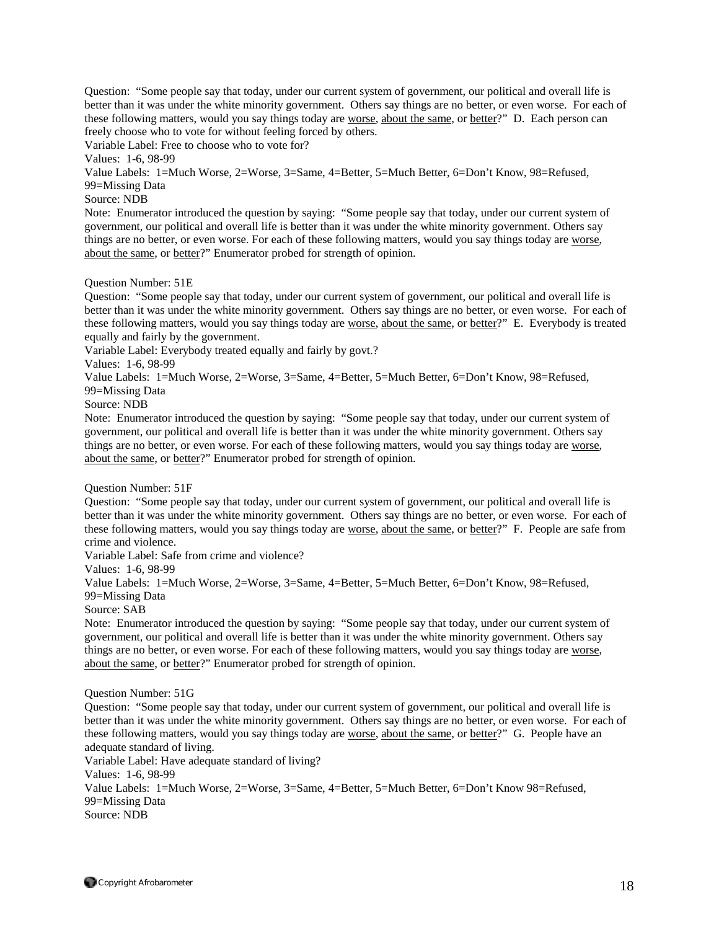Question: "Some people say that today, under our current system of government, our political and overall life is better than it was under the white minority government. Others say things are no better, or even worse. For each of these following matters, would you say things today are worse, about the same, or better?" D. Each person can freely choose who to vote for without feeling forced by others.

Variable Label: Free to choose who to vote for?

Values: 1-6, 98-99

Value Labels: 1=Much Worse, 2=Worse, 3=Same, 4=Better, 5=Much Better, 6=Don't Know, 98=Refused, 99=Missing Data

Source: NDB

Note: Enumerator introduced the question by saying: "Some people say that today, under our current system of government, our political and overall life is better than it was under the white minority government. Others say things are no better, or even worse. For each of these following matters, would you say things today are worse, about the same, or better?" Enumerator probed for strength of opinion.

#### Question Number: 51E

Question: "Some people say that today, under our current system of government, our political and overall life is better than it was under the white minority government. Others say things are no better, or even worse. For each of these following matters, would you say things today are worse, about the same, or better?" E. Everybody is treated equally and fairly by the government.

Variable Label: Everybody treated equally and fairly by govt.?

Values: 1-6, 98-99

Value Labels: 1=Much Worse, 2=Worse, 3=Same, 4=Better, 5=Much Better, 6=Don't Know, 98=Refused,

99=Missing Data

Source: NDB

Note: Enumerator introduced the question by saying: "Some people say that today, under our current system of government, our political and overall life is better than it was under the white minority government. Others say things are no better, or even worse. For each of these following matters, would you say things today are worse, about the same, or better?" Enumerator probed for strength of opinion.

Question Number: 51F

Question: "Some people say that today, under our current system of government, our political and overall life is better than it was under the white minority government. Others say things are no better, or even worse. For each of these following matters, would you say things today are worse, about the same, or better?" F. People are safe from crime and violence.

Variable Label: Safe from crime and violence?

Values: 1-6, 98-99

Value Labels: 1=Much Worse, 2=Worse, 3=Same, 4=Better, 5=Much Better, 6=Don't Know, 98=Refused, 99=Missing Data

Source: SAB

Note: Enumerator introduced the question by saying: "Some people say that today, under our current system of government, our political and overall life is better than it was under the white minority government. Others say things are no better, or even worse. For each of these following matters, would you say things today are worse, about the same, or better?" Enumerator probed for strength of opinion.

Question Number: 51G

Question: "Some people say that today, under our current system of government, our political and overall life is better than it was under the white minority government. Others say things are no better, or even worse. For each of these following matters, would you say things today are worse, about the same, or better?" G. People have an adequate standard of living.

Variable Label: Have adequate standard of living?

Values: 1-6, 98-99

Value Labels: 1=Much Worse, 2=Worse, 3=Same, 4=Better, 5=Much Better, 6=Don't Know 98=Refused, 99=Missing Data

Source: NDB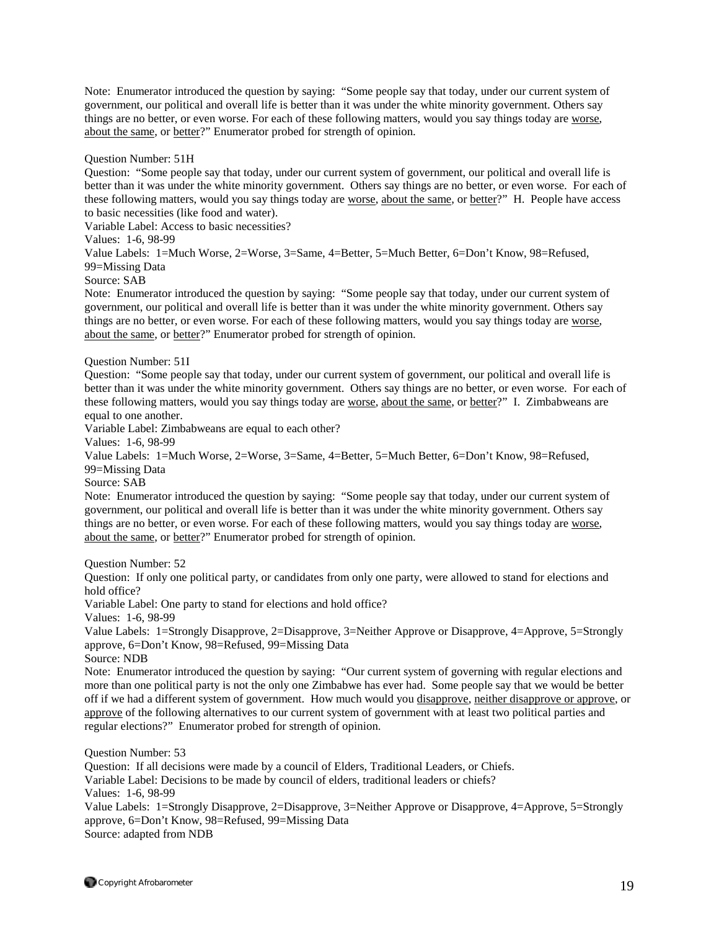Note: Enumerator introduced the question by saying: "Some people say that today, under our current system of government, our political and overall life is better than it was under the white minority government. Others say things are no better, or even worse. For each of these following matters, would you say things today are worse, about the same, or better?" Enumerator probed for strength of opinion.

#### Question Number: 51H

Question: "Some people say that today, under our current system of government, our political and overall life is better than it was under the white minority government. Others say things are no better, or even worse. For each of these following matters, would you say things today are worse, about the same, or better?" H. People have access to basic necessities (like food and water).

Variable Label: Access to basic necessities?

Values: 1-6, 98-99

Value Labels: 1=Much Worse, 2=Worse, 3=Same, 4=Better, 5=Much Better, 6=Don't Know, 98=Refused, 99=Missing Data

Source: SAB

Note: Enumerator introduced the question by saying: "Some people say that today, under our current system of government, our political and overall life is better than it was under the white minority government. Others say things are no better, or even worse. For each of these following matters, would you say things today are worse, about the same, or better?" Enumerator probed for strength of opinion.

#### Question Number: 51I

Question: "Some people say that today, under our current system of government, our political and overall life is better than it was under the white minority government. Others say things are no better, or even worse. For each of these following matters, would you say things today are worse, about the same, or better?" I. Zimbabweans are equal to one another.

Variable Label: Zimbabweans are equal to each other?

Values: 1-6, 98-99

Value Labels: 1=Much Worse, 2=Worse, 3=Same, 4=Better, 5=Much Better, 6=Don't Know, 98=Refused,

99=Missing Data

Source: SAB

Note: Enumerator introduced the question by saying: "Some people say that today, under our current system of government, our political and overall life is better than it was under the white minority government. Others say things are no better, or even worse. For each of these following matters, would you say things today are worse, about the same, or better?" Enumerator probed for strength of opinion.

Question Number: 52

Question: If only one political party, or candidates from only one party, were allowed to stand for elections and hold office?

Variable Label: One party to stand for elections and hold office?

Values: 1-6, 98-99

Value Labels: 1=Strongly Disapprove, 2=Disapprove, 3=Neither Approve or Disapprove, 4=Approve, 5=Strongly approve, 6=Don't Know, 98=Refused, 99=Missing Data

Source: NDB

Note: Enumerator introduced the question by saying: "Our current system of governing with regular elections and more than one political party is not the only one Zimbabwe has ever had. Some people say that we would be better off if we had a different system of government. How much would you disapprove, neither disapprove or approve, or approve of the following alternatives to our current system of government with at least two political parties and regular elections?" Enumerator probed for strength of opinion.

Question Number: 53

Question: If all decisions were made by a council of Elders, Traditional Leaders, or Chiefs. Variable Label: Decisions to be made by council of elders, traditional leaders or chiefs? Values: 1-6, 98-99 Value Labels: 1=Strongly Disapprove, 2=Disapprove, 3=Neither Approve or Disapprove, 4=Approve, 5=Strongly approve, 6=Don't Know, 98=Refused, 99=Missing Data Source: adapted from NDB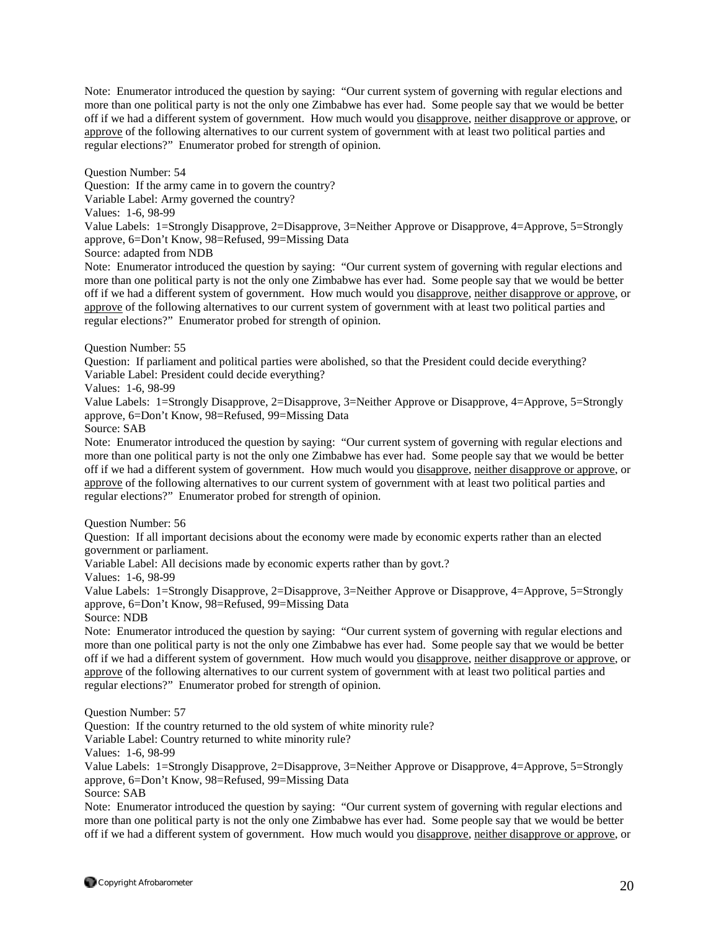Note: Enumerator introduced the question by saying: "Our current system of governing with regular elections and more than one political party is not the only one Zimbabwe has ever had. Some people say that we would be better off if we had a different system of government. How much would you disapprove, neither disapprove or approve, or approve of the following alternatives to our current system of government with at least two political parties and regular elections?" Enumerator probed for strength of opinion.

Question Number: 54

Question: If the army came in to govern the country?

Variable Label: Army governed the country?

Values: 1-6, 98-99

Value Labels: 1=Strongly Disapprove, 2=Disapprove, 3=Neither Approve or Disapprove, 4=Approve, 5=Strongly approve, 6=Don't Know, 98=Refused, 99=Missing Data

Source: adapted from NDB

Note: Enumerator introduced the question by saying: "Our current system of governing with regular elections and more than one political party is not the only one Zimbabwe has ever had. Some people say that we would be better off if we had a different system of government. How much would you disapprove, neither disapprove or approve, or approve of the following alternatives to our current system of government with at least two political parties and regular elections?" Enumerator probed for strength of opinion.

Question Number: 55

Question: If parliament and political parties were abolished, so that the President could decide everything? Variable Label: President could decide everything?

Values: 1-6, 98-99

Value Labels: 1=Strongly Disapprove, 2=Disapprove, 3=Neither Approve or Disapprove, 4=Approve, 5=Strongly approve, 6=Don't Know, 98=Refused, 99=Missing Data

Source: SAB

Note: Enumerator introduced the question by saying: "Our current system of governing with regular elections and more than one political party is not the only one Zimbabwe has ever had. Some people say that we would be better off if we had a different system of government. How much would you disapprove, neither disapprove or approve, or approve of the following alternatives to our current system of government with at least two political parties and regular elections?" Enumerator probed for strength of opinion.

Question Number: 56

Question: If all important decisions about the economy were made by economic experts rather than an elected government or parliament.

Variable Label: All decisions made by economic experts rather than by govt.?

Values: 1-6, 98-99

Value Labels: 1=Strongly Disapprove, 2=Disapprove, 3=Neither Approve or Disapprove, 4=Approve, 5=Strongly approve, 6=Don't Know, 98=Refused, 99=Missing Data

Source: NDB

Note: Enumerator introduced the question by saying: "Our current system of governing with regular elections and more than one political party is not the only one Zimbabwe has ever had. Some people say that we would be better off if we had a different system of government. How much would you disapprove, neither disapprove or approve, or approve of the following alternatives to our current system of government with at least two political parties and regular elections?" Enumerator probed for strength of opinion.

Question Number: 57

Question: If the country returned to the old system of white minority rule?

Variable Label: Country returned to white minority rule?

Values: 1-6, 98-99

Value Labels: 1=Strongly Disapprove, 2=Disapprove, 3=Neither Approve or Disapprove, 4=Approve, 5=Strongly approve, 6=Don't Know, 98=Refused, 99=Missing Data

Source: SAB

Note: Enumerator introduced the question by saying: "Our current system of governing with regular elections and more than one political party is not the only one Zimbabwe has ever had. Some people say that we would be better off if we had a different system of government. How much would you disapprove, neither disapprove or approve, or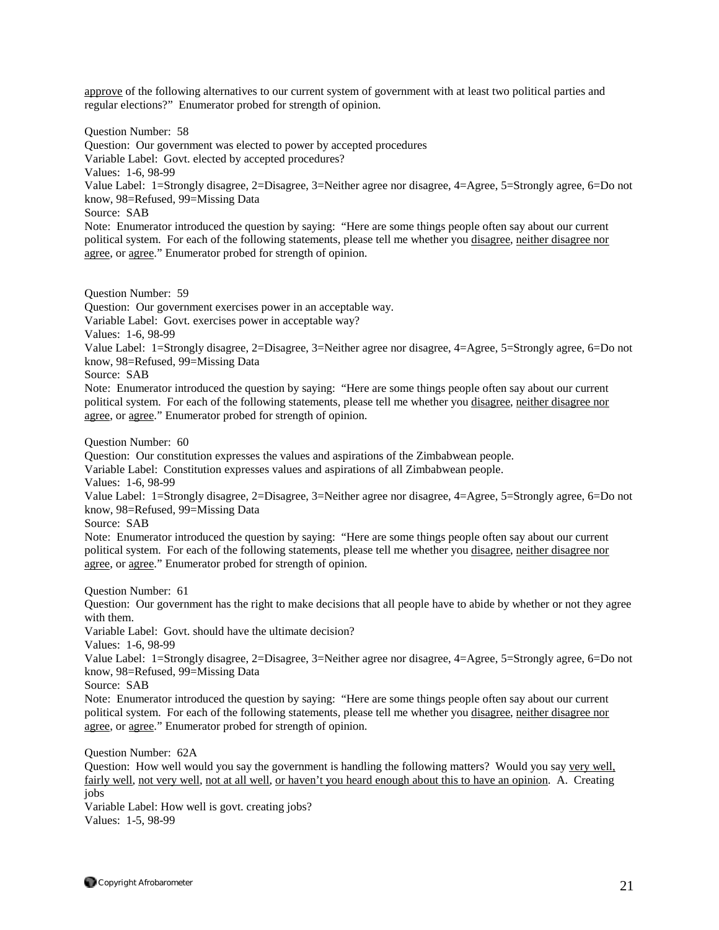approve of the following alternatives to our current system of government with at least two political parties and regular elections?" Enumerator probed for strength of opinion.

Question Number: 58 Question: Our government was elected to power by accepted procedures Variable Label: Govt. elected by accepted procedures? Values: 1-6, 98-99 Value Label: 1=Strongly disagree, 2=Disagree, 3=Neither agree nor disagree, 4=Agree, 5=Strongly agree, 6=Do not know, 98=Refused, 99=Missing Data Source: SAB Note: Enumerator introduced the question by saying: "Here are some things people often say about our current political system. For each of the following statements, please tell me whether you disagree, neither disagree nor agree, or agree." Enumerator probed for strength of opinion.

Question Number: 59

Question: Our government exercises power in an acceptable way.

Variable Label: Govt. exercises power in acceptable way?

Values: 1-6, 98-99

Value Label: 1=Strongly disagree, 2=Disagree, 3=Neither agree nor disagree, 4=Agree, 5=Strongly agree, 6=Do not know, 98=Refused, 99=Missing Data

Source: SAB

Note: Enumerator introduced the question by saying: "Here are some things people often say about our current political system. For each of the following statements, please tell me whether you disagree, neither disagree nor agree, or agree." Enumerator probed for strength of opinion.

Question Number: 60

Question: Our constitution expresses the values and aspirations of the Zimbabwean people.

Variable Label: Constitution expresses values and aspirations of all Zimbabwean people.

Values: 1-6, 98-99

Value Label: 1=Strongly disagree, 2=Disagree, 3=Neither agree nor disagree, 4=Agree, 5=Strongly agree, 6=Do not know, 98=Refused, 99=Missing Data

Source: SAB

Note: Enumerator introduced the question by saying: "Here are some things people often say about our current political system. For each of the following statements, please tell me whether you disagree, neither disagree nor agree, or agree." Enumerator probed for strength of opinion.

Question Number: 61

Question: Our government has the right to make decisions that all people have to abide by whether or not they agree with them.

Variable Label: Govt. should have the ultimate decision?

Values: 1-6, 98-99

Value Label: 1=Strongly disagree, 2=Disagree, 3=Neither agree nor disagree, 4=Agree, 5=Strongly agree, 6=Do not know, 98=Refused, 99=Missing Data

Source: SAB

Note: Enumerator introduced the question by saying: "Here are some things people often say about our current political system. For each of the following statements, please tell me whether you disagree, neither disagree nor agree, or agree." Enumerator probed for strength of opinion.

Question Number: 62A

Question: How well would you say the government is handling the following matters? Would you say very well, fairly well, not very well, not at all well, or haven't you heard enough about this to have an opinion. A. Creating jobs

Variable Label: How well is govt. creating jobs? Values: 1-5, 98-99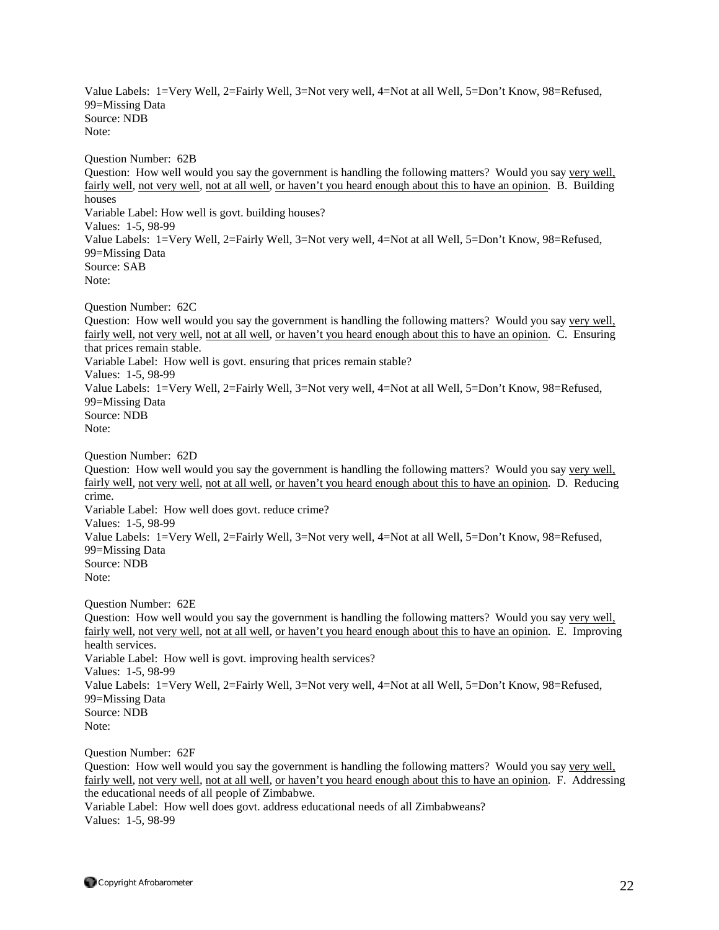Value Labels: 1=Very Well, 2=Fairly Well, 3=Not very well, 4=Not at all Well, 5=Don't Know, 98=Refused, 99=Missing Data Source: NDB Note:

Question Number: 62B Question: How well would you say the government is handling the following matters? Would you say very well, fairly well, not very well, not at all well, or haven't you heard enough about this to have an opinion. B. Building houses Variable Label: How well is govt. building houses? Values: 1-5, 98-99 Value Labels: 1=Very Well, 2=Fairly Well, 3=Not very well, 4=Not at all Well, 5=Don't Know, 98=Refused, 99=Missing Data Source: SAB Note:

Question Number: 62C

Question: How well would you say the government is handling the following matters? Would you say very well, fairly well, not very well, not at all well, or haven't you heard enough about this to have an opinion. C. Ensuring that prices remain stable. Variable Label: How well is govt. ensuring that prices remain stable? Values: 1-5, 98-99 Value Labels: 1=Very Well, 2=Fairly Well, 3=Not very well, 4=Not at all Well, 5=Don't Know, 98=Refused, 99=Missing Data Source: NDB Note:

Question Number: 62D

Question: How well would you say the government is handling the following matters? Would you say very well, fairly well, not very well, not at all well, or haven't you heard enough about this to have an opinion. D. Reducing crime. Variable Label: How well does govt. reduce crime? Values: 1-5, 98-99 Value Labels: 1=Very Well, 2=Fairly Well, 3=Not very well, 4=Not at all Well, 5=Don't Know, 98=Refused, 99=Missing Data Source: NDB Note:

Question Number: 62E

Question: How well would you say the government is handling the following matters? Would you say very well, fairly well, not very well, not at all well, or haven't you heard enough about this to have an opinion. E. Improving health services. Variable Label: How well is govt. improving health services? Values: 1-5, 98-99 Value Labels: 1=Very Well, 2=Fairly Well, 3=Not very well, 4=Not at all Well, 5=Don't Know, 98=Refused, 99=Missing Data Source: NDB Note:

Question Number: 62F

Question: How well would you say the government is handling the following matters? Would you say very well, fairly well, not very well, not at all well, or haven't you heard enough about this to have an opinion. F. Addressing the educational needs of all people of Zimbabwe.

Variable Label: How well does govt. address educational needs of all Zimbabweans? Values: 1-5, 98-99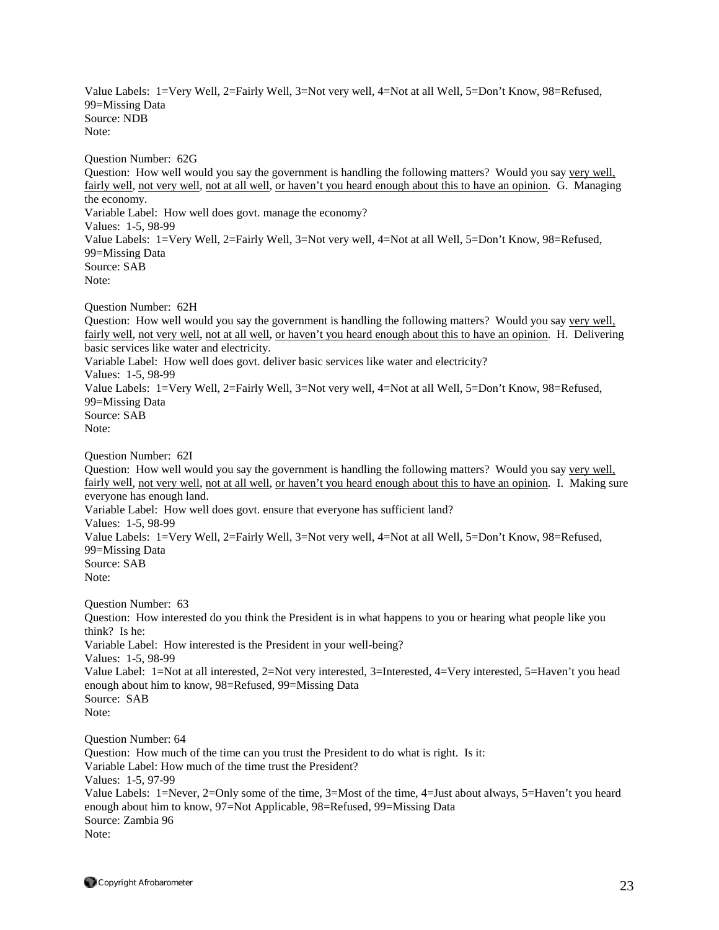Value Labels: 1=Very Well, 2=Fairly Well, 3=Not very well, 4=Not at all Well, 5=Don't Know, 98=Refused, 99=Missing Data Source: NDB Note:

Question Number: 62G

Question: How well would you say the government is handling the following matters? Would you say very well, fairly well, not very well, not at all well, or haven't you heard enough about this to have an opinion. G. Managing the economy. Variable Label: How well does govt. manage the economy? Values: 1-5, 98-99 Value Labels: 1=Very Well, 2=Fairly Well, 3=Not very well, 4=Not at all Well, 5=Don't Know, 98=Refused, 99=Missing Data Source: SAB Note:

Question Number: 62H

Question: How well would you say the government is handling the following matters? Would you say very well, fairly well, not very well, not at all well, or haven't you heard enough about this to have an opinion. H. Delivering basic services like water and electricity. Variable Label: How well does govt. deliver basic services like water and electricity? Values: 1-5, 98-99 Value Labels: 1=Very Well, 2=Fairly Well, 3=Not very well, 4=Not at all Well, 5=Don't Know, 98=Refused, 99=Missing Data Source: SAB Note:

Question Number: 62I

Question: How well would you say the government is handling the following matters? Would you say very well, fairly well, not very well, not at all well, or haven't you heard enough about this to have an opinion. I. Making sure everyone has enough land. Variable Label: How well does govt. ensure that everyone has sufficient land? Values: 1-5, 98-99 Value Labels: 1=Very Well, 2=Fairly Well, 3=Not very well, 4=Not at all Well, 5=Don't Know, 98=Refused, 99=Missing Data Source: SAB Note: Question Number: 63

Question: How interested do you think the President is in what happens to you or hearing what people like you think? Is he: Variable Label: How interested is the President in your well-being? Values: 1-5, 98-99 Value Label: 1=Not at all interested, 2=Not very interested, 3=Interested, 4=Very interested, 5=Haven't you head enough about him to know, 98=Refused, 99=Missing Data Source: SAB Note:

Question Number: 64 Question: How much of the time can you trust the President to do what is right. Is it: Variable Label: How much of the time trust the President? Values: 1-5, 97-99 Value Labels: 1=Never, 2=Only some of the time, 3=Most of the time, 4=Just about always, 5=Haven't you heard enough about him to know, 97=Not Applicable, 98=Refused, 99=Missing Data Source: Zambia 96 Note: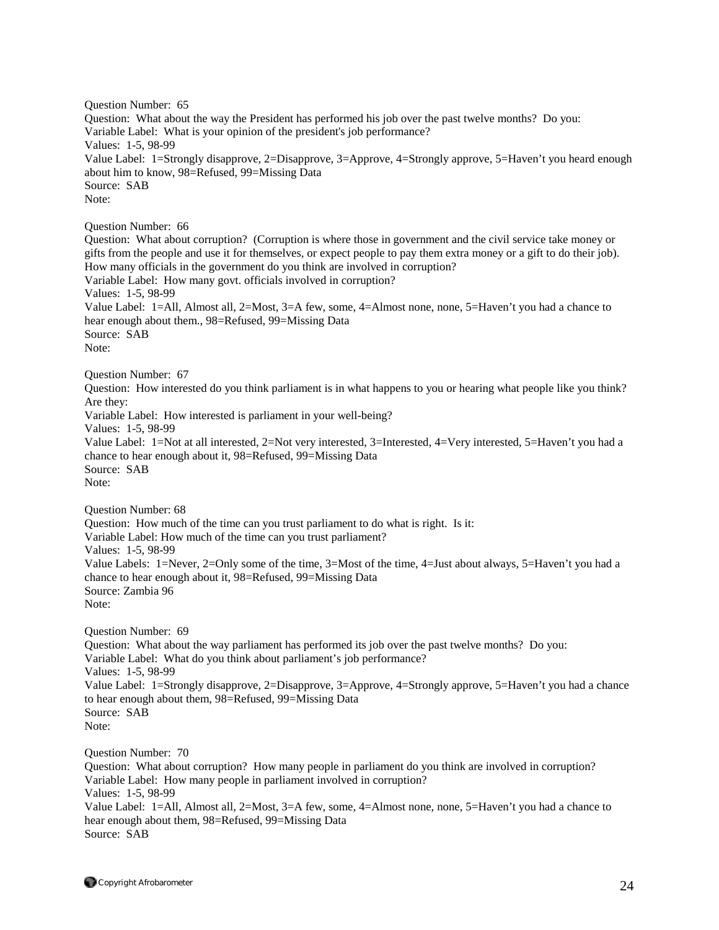Question Number: 65 Question: What about the way the President has performed his job over the past twelve months? Do you: Variable Label: What is your opinion of the president's job performance? Values: 1-5, 98-99 Value Label: 1=Strongly disapprove, 2=Disapprove, 3=Approve, 4=Strongly approve, 5=Haven't you heard enough about him to know, 98=Refused, 99=Missing Data Source: SAB Note: Question Number: 66 Question: What about corruption? (Corruption is where those in government and the civil service take money or gifts from the people and use it for themselves, or expect people to pay them extra money or a gift to do their job). How many officials in the government do you think are involved in corruption? Variable Label: How many govt. officials involved in corruption? Values: 1-5, 98-99 Value Label: 1=All, Almost all, 2=Most, 3=A few, some, 4=Almost none, none, 5=Haven't you had a chance to hear enough about them., 98=Refused, 99=Missing Data Source: SAB Note: Question Number: 67 Question: How interested do you think parliament is in what happens to you or hearing what people like you think? Are they: Variable Label: How interested is parliament in your well-being? Values: 1-5, 98-99 Value Label: 1=Not at all interested, 2=Not very interested, 3=Interested, 4=Very interested, 5=Haven't you had a chance to hear enough about it, 98=Refused, 99=Missing Data Source: SAB Note: Question Number: 68 Question: How much of the time can you trust parliament to do what is right. Is it: Variable Label: How much of the time can you trust parliament? Values: 1-5, 98-99 Value Labels: 1=Never, 2=Only some of the time, 3=Most of the time, 4=Just about always, 5=Haven't you had a chance to hear enough about it, 98=Refused, 99=Missing Data Source: Zambia 96 Note: Question Number: 69 Question: What about the way parliament has performed its job over the past twelve months? Do you: Variable Label: What do you think about parliament's job performance? Values: 1-5, 98-99 Value Label: 1=Strongly disapprove, 2=Disapprove, 3=Approve, 4=Strongly approve, 5=Haven't you had a chance to hear enough about them, 98=Refused, 99=Missing Data Source: SAB Note: Question Number: 70 Question: What about corruption? How many people in parliament do you think are involved in corruption? Variable Label: How many people in parliament involved in corruption? Values: 1-5, 98-99 Value Label: 1=All, Almost all, 2=Most, 3=A few, some, 4=Almost none, none, 5=Haven't you had a chance to hear enough about them, 98=Refused, 99=Missing Data

Source: SAB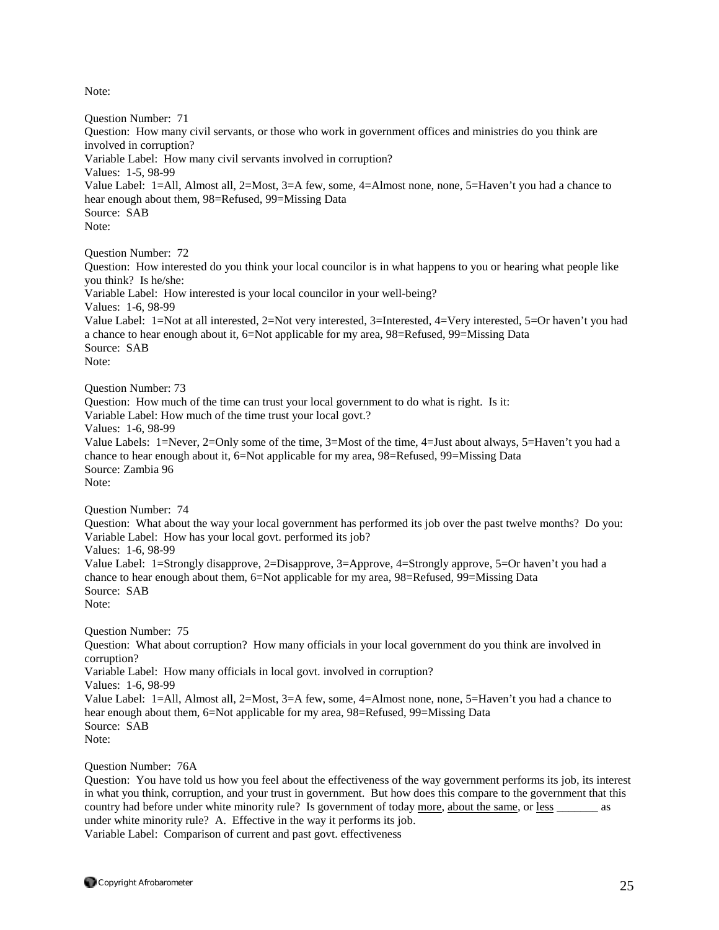Note:

Question Number: 71 Question: How many civil servants, or those who work in government offices and ministries do you think are involved in corruption? Variable Label: How many civil servants involved in corruption? Values: 1-5, 98-99 Value Label: 1=All, Almost all, 2=Most, 3=A few, some, 4=Almost none, none, 5=Haven't you had a chance to hear enough about them, 98=Refused, 99=Missing Data Source: SAB Note: Question Number: 72 Question: How interested do you think your local councilor is in what happens to you or hearing what people like you think? Is he/she: Variable Label: How interested is your local councilor in your well-being? Values: 1-6, 98-99 Value Label: 1=Not at all interested, 2=Not very interested, 3=Interested, 4=Very interested, 5=Or haven't you had a chance to hear enough about it, 6=Not applicable for my area, 98=Refused, 99=Missing Data Source: SAB Note: Question Number: 73 Question: How much of the time can trust your local government to do what is right. Is it: Variable Label: How much of the time trust your local govt.? Values: 1-6, 98-99 Value Labels: 1=Never, 2=Only some of the time, 3=Most of the time, 4=Just about always, 5=Haven't you had a chance to hear enough about it, 6=Not applicable for my area, 98=Refused, 99=Missing Data Source: Zambia 96 Note: Question Number: 74 Question: What about the way your local government has performed its job over the past twelve months? Do you: Variable Label: How has your local govt. performed its job? Values: 1-6, 98-99 Value Label: 1=Strongly disapprove, 2=Disapprove, 3=Approve, 4=Strongly approve, 5=Or haven't you had a chance to hear enough about them, 6=Not applicable for my area, 98=Refused, 99=Missing Data Source: SAB Note: Question Number: 75 Question: What about corruption? How many officials in your local government do you think are involved in corruption? Variable Label: How many officials in local govt. involved in corruption? Values: 1-6, 98-99 Value Label: 1=All, Almost all, 2=Most, 3=A few, some, 4=Almost none, none, 5=Haven't you had a chance to hear enough about them, 6=Not applicable for my area, 98=Refused, 99=Missing Data Source: SAB Note:

Question Number: 76A

Question: You have told us how you feel about the effectiveness of the way government performs its job, its interest in what you think, corruption, and your trust in government. But how does this compare to the government that this country had before under white minority rule? Is government of today more, about the same, or less \_\_\_\_\_\_\_ as under white minority rule? A. Effective in the way it performs its job. Variable Label: Comparison of current and past govt. effectiveness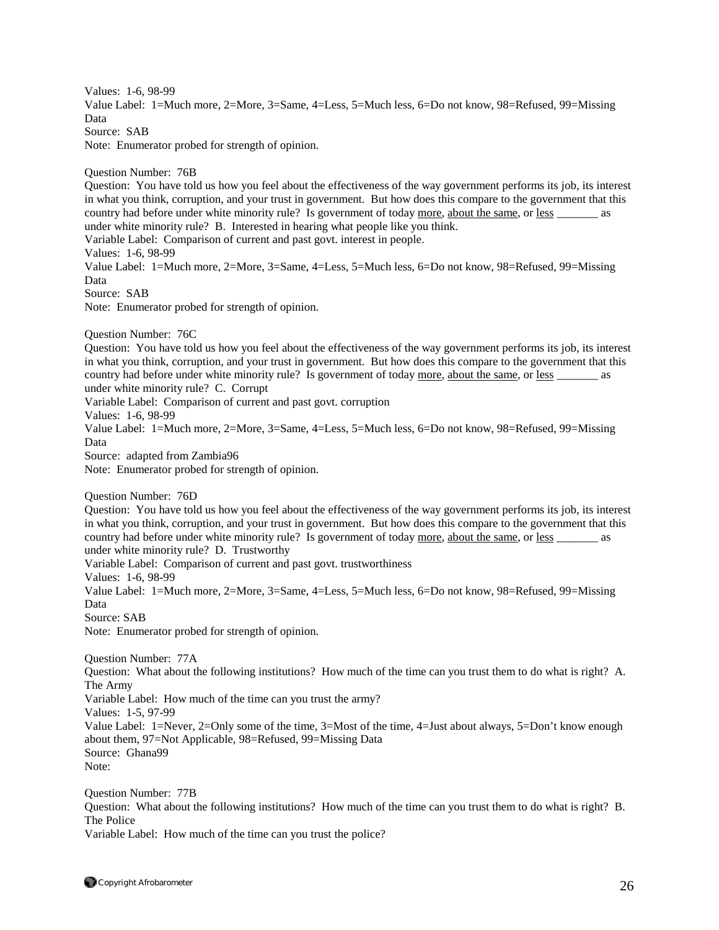Values: 1-6, 98-99 Value Label: 1=Much more, 2=More, 3=Same, 4=Less, 5=Much less, 6=Do not know, 98=Refused, 99=Missing Data Source: SAB Note: Enumerator probed for strength of opinion. Question Number: 76B Question: You have told us how you feel about the effectiveness of the way government performs its job, its interest in what you think, corruption, and your trust in government. But how does this compare to the government that this country had before under white minority rule? Is government of today more, about the same, or less \_\_\_\_\_\_\_ as under white minority rule? B. Interested in hearing what people like you think. Variable Label: Comparison of current and past govt. interest in people. Values: 1-6, 98-99 Value Label: 1=Much more, 2=More, 3=Same, 4=Less, 5=Much less, 6=Do not know, 98=Refused, 99=Missing Data Source: SAB Note: Enumerator probed for strength of opinion. Question Number: 76C Question: You have told us how you feel about the effectiveness of the way government performs its job, its interest in what you think, corruption, and your trust in government. But how does this compare to the government that this country had before under white minority rule? Is government of today more, about the same, or less as under white minority rule? C. Corrupt Variable Label: Comparison of current and past govt. corruption Values: 1-6, 98-99 Value Label: 1=Much more, 2=More, 3=Same, 4=Less, 5=Much less, 6=Do not know, 98=Refused, 99=Missing Data Source: adapted from Zambia96 Note: Enumerator probed for strength of opinion. Question Number: 76D Question: You have told us how you feel about the effectiveness of the way government performs its job, its interest in what you think, corruption, and your trust in government. But how does this compare to the government that this country had before under white minority rule? Is government of today more, about the same, or less \_\_\_\_\_\_\_ as under white minority rule? D. Trustworthy Variable Label: Comparison of current and past govt. trustworthiness Values: 1-6, 98-99 Value Label: 1=Much more, 2=More, 3=Same, 4=Less, 5=Much less, 6=Do not know, 98=Refused, 99=Missing Data Source: SAB Note: Enumerator probed for strength of opinion. Question Number: 77A Question: What about the following institutions? How much of the time can you trust them to do what is right? A. The Army Variable Label: How much of the time can you trust the army? Values: 1-5, 97-99 Value Label: 1=Never, 2=Only some of the time, 3=Most of the time, 4=Just about always, 5=Don't know enough about them, 97=Not Applicable, 98=Refused, 99=Missing Data Source: Ghana99 Note: Question Number: 77B Question: What about the following institutions? How much of the time can you trust them to do what is right? B. The Police

Variable Label: How much of the time can you trust the police?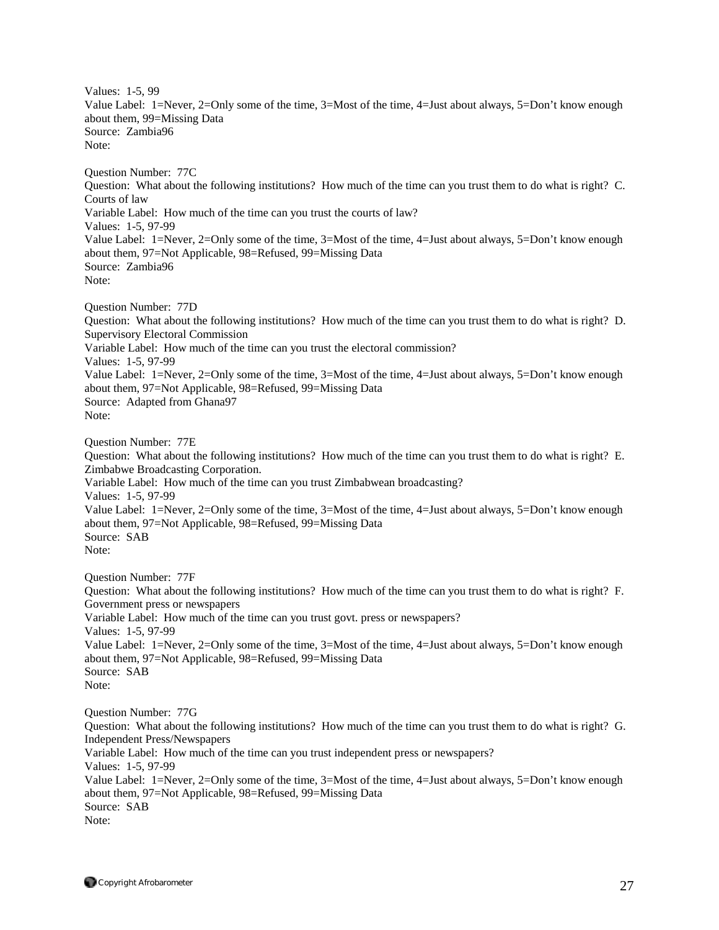Values: 1-5, 99 Value Label: 1=Never, 2=Only some of the time, 3=Most of the time, 4=Just about always, 5=Don't know enough about them, 99=Missing Data Source: Zambia96 Note: Question Number: 77C Question: What about the following institutions? How much of the time can you trust them to do what is right? C. Courts of law

Variable Label: How much of the time can you trust the courts of law? Values: 1-5, 97-99

Value Label: 1=Never, 2=Only some of the time, 3=Most of the time, 4=Just about always, 5=Don't know enough about them, 97=Not Applicable, 98=Refused, 99=Missing Data Source: Zambia96

Note:

Question Number: 77D

Question: What about the following institutions? How much of the time can you trust them to do what is right? D. Supervisory Electoral Commission Variable Label: How much of the time can you trust the electoral commission?

Values: 1-5, 97-99

Value Label: 1=Never, 2=Only some of the time, 3=Most of the time, 4=Just about always, 5=Don't know enough about them, 97=Not Applicable, 98=Refused, 99=Missing Data Source: Adapted from Ghana97

Note:

Question Number: 77E

Question: What about the following institutions? How much of the time can you trust them to do what is right? E. Zimbabwe Broadcasting Corporation.

Variable Label: How much of the time can you trust Zimbabwean broadcasting? Values: 1-5, 97-99

Value Label: 1=Never, 2=Only some of the time, 3=Most of the time, 4=Just about always, 5=Don't know enough about them, 97=Not Applicable, 98=Refused, 99=Missing Data Source: SAB

Note:

Question Number: 77F

Question: What about the following institutions? How much of the time can you trust them to do what is right? F. Government press or newspapers Variable Label: How much of the time can you trust govt. press or newspapers?

Values: 1-5, 97-99

Value Label: 1=Never, 2=Only some of the time, 3=Most of the time, 4=Just about always, 5=Don't know enough about them, 97=Not Applicable, 98=Refused, 99=Missing Data Source: SAB

Note:

Question Number: 77G Question: What about the following institutions? How much of the time can you trust them to do what is right? G. Independent Press/Newspapers Variable Label: How much of the time can you trust independent press or newspapers? Values: 1-5, 97-99 Value Label: 1=Never, 2=Only some of the time, 3=Most of the time, 4=Just about always, 5=Don't know enough about them, 97=Not Applicable, 98=Refused, 99=Missing Data Source: SAB Note: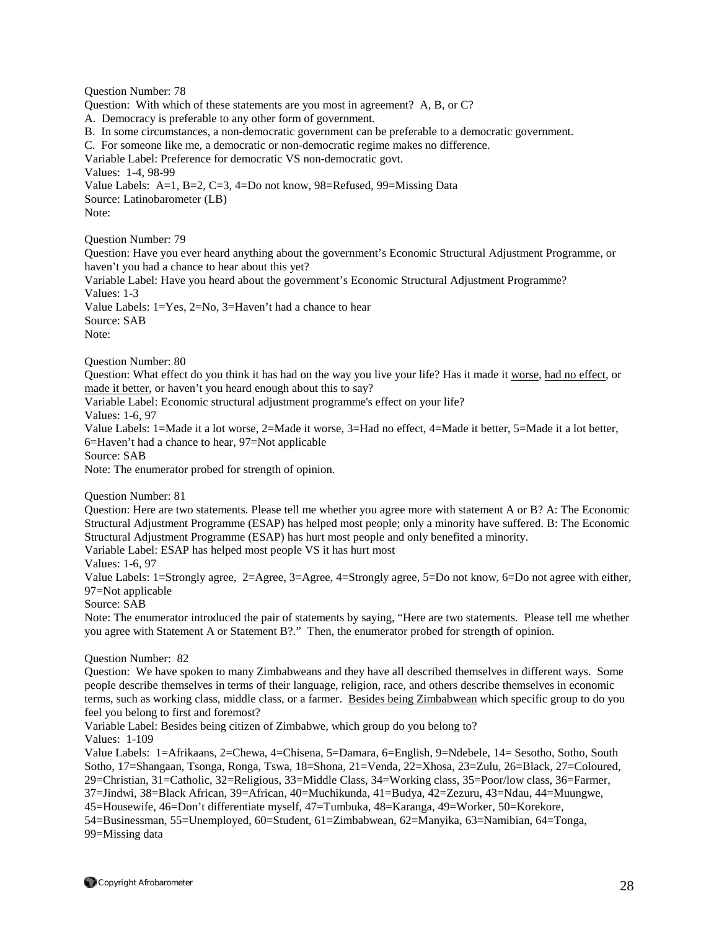Question Number: 78 Question: With which of these statements are you most in agreement? A, B, or C? A. Democracy is preferable to any other form of government. B. In some circumstances, a non-democratic government can be preferable to a democratic government. C. For someone like me, a democratic or non-democratic regime makes no difference. Variable Label: Preference for democratic VS non-democratic govt. Values: 1-4, 98-99 Value Labels: A=1, B=2, C=3, 4=Do not know, 98=Refused, 99=Missing Data Source: Latinobarometer (LB) Note: Question Number: 79 Question: Have you ever heard anything about the government's Economic Structural Adjustment Programme, or haven't you had a chance to hear about this yet? Variable Label: Have you heard about the government's Economic Structural Adjustment Programme? Values: 1-3 Value Labels: 1=Yes, 2=No, 3=Haven't had a chance to hear Source: SAB Note: Question Number: 80 Question: What effect do you think it has had on the way you live your life? Has it made it worse, had no effect, or made it better, or haven't you heard enough about this to say? Variable Label: Economic structural adjustment programme's effect on your life? Values: 1-6, 97 Value Labels: 1=Made it a lot worse, 2=Made it worse, 3=Had no effect, 4=Made it better, 5=Made it a lot better, 6=Haven't had a chance to hear, 97=Not applicable Source: SAB Note: The enumerator probed for strength of opinion. Question Number: 81 Question: Here are two statements. Please tell me whether you agree more with statement A or B? A: The Economic Structural Adjustment Programme (ESAP) has helped most people; only a minority have suffered. B: The Economic Structural Adjustment Programme (ESAP) has hurt most people and only benefited a minority. Variable Label: ESAP has helped most people VS it has hurt most Values: 1-6, 97 Value Labels: 1=Strongly agree, 2=Agree, 3=Agree, 4=Strongly agree, 5=Do not know, 6=Do not agree with either, 97=Not applicable Source: SAB Note: The enumerator introduced the pair of statements by saying, "Here are two statements. Please tell me whether you agree with Statement A or Statement B?." Then, the enumerator probed for strength of opinion. Question Number: 82 Question: We have spoken to many Zimbabweans and they have all described themselves in different ways. Some people describe themselves in terms of their language, religion, race, and others describe themselves in economic terms, such as working class, middle class, or a farmer. Besides being Zimbabwean which specific group to do you feel you belong to first and foremost? Variable Label: Besides being citizen of Zimbabwe, which group do you belong to? Values: 1-109 Value Labels: 1=Afrikaans, 2=Chewa, 4=Chisena, 5=Damara, 6=English, 9=Ndebele, 14= Sesotho, Sotho, South Sotho, 17=Shangaan, Tsonga, Ronga, Tswa, 18=Shona, 21=Venda, 22=Xhosa, 23=Zulu, 26=Black, 27=Coloured, 29=Christian, 31=Catholic, 32=Religious, 33=Middle Class, 34=Working class, 35=Poor/low class, 36=Farmer, 37=Jindwi, 38=Black African, 39=African, 40=Muchikunda, 41=Budya, 42=Zezuru, 43=Ndau, 44=Muungwe, 45=Housewife, 46=Don't differentiate myself, 47=Tumbuka, 48=Karanga, 49=Worker, 50=Korekore,

54=Businessman, 55=Unemployed, 60=Student, 61=Zimbabwean, 62=Manyika, 63=Namibian, 64=Tonga, 99=Missing data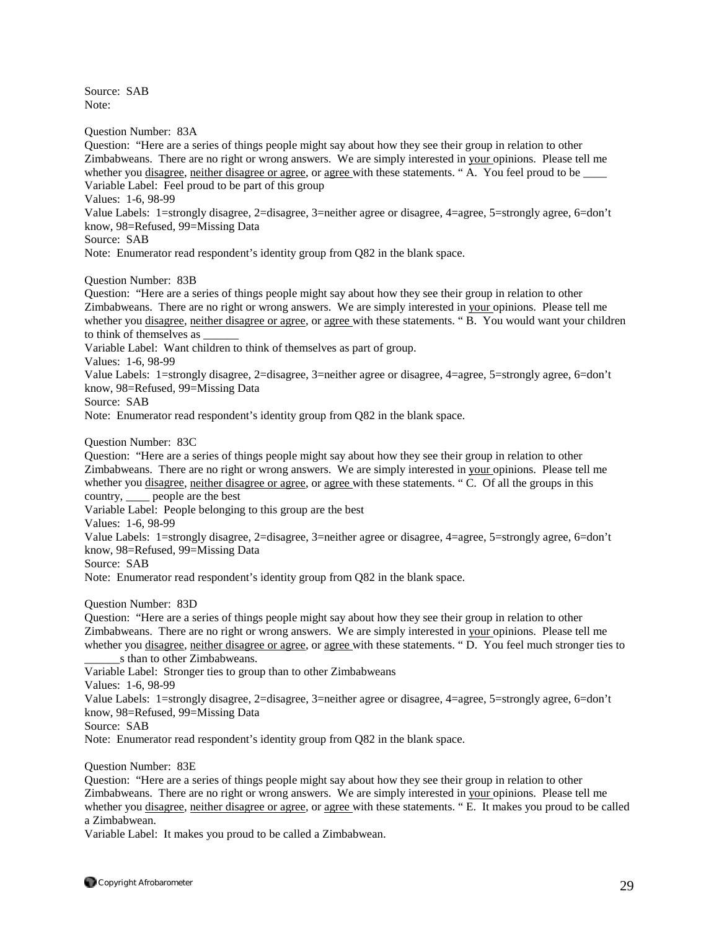Source: SAB Note:

Question Number: 83A

Question: "Here are a series of things people might say about how they see their group in relation to other Zimbabweans. There are no right or wrong answers. We are simply interested in your opinions. Please tell me whether you disagree, neither disagree or agree, or agree with these statements. "A. You feel proud to be Variable Label: Feel proud to be part of this group

Values: 1-6, 98-99

Value Labels: 1=strongly disagree, 2=disagree, 3=neither agree or disagree, 4=agree, 5=strongly agree, 6=don't know, 98=Refused, 99=Missing Data

Source: SAB

Note: Enumerator read respondent's identity group from Q82 in the blank space.

Question Number: 83B

Question: "Here are a series of things people might say about how they see their group in relation to other Zimbabweans. There are no right or wrong answers. We are simply interested in your opinions. Please tell me whether you disagree, neither disagree or agree, or agree with these statements. "B. You would want your children to think of themselves as

Variable Label: Want children to think of themselves as part of group.

Values: 1-6, 98-99

Value Labels: 1=strongly disagree, 2=disagree, 3=neither agree or disagree, 4=agree, 5=strongly agree, 6=don't know, 98=Refused, 99=Missing Data

Source: SAB

Note: Enumerator read respondent's identity group from Q82 in the blank space.

Question Number: 83C

Question: "Here are a series of things people might say about how they see their group in relation to other Zimbabweans. There are no right or wrong answers. We are simply interested in your opinions. Please tell me whether you disagree, neither disagree or agree, or agree with these statements. "C. Of all the groups in this country, \_\_\_\_ people are the best

Variable Label: People belonging to this group are the best

Values: 1-6, 98-99

Value Labels: 1=strongly disagree, 2=disagree, 3=neither agree or disagree, 4=agree, 5=strongly agree, 6=don't know, 98=Refused, 99=Missing Data

Source: SAB

Note: Enumerator read respondent's identity group from Q82 in the blank space.

Question Number: 83D

Question: "Here are a series of things people might say about how they see their group in relation to other Zimbabweans. There are no right or wrong answers. We are simply interested in your opinions. Please tell me whether you disagree, neither disagree or agree, or agree with these statements. "D. You feel much stronger ties to \_\_\_\_\_\_s than to other Zimbabweans.

Variable Label: Stronger ties to group than to other Zimbabweans

Values: 1-6, 98-99

Value Labels: 1=strongly disagree, 2=disagree, 3=neither agree or disagree, 4=agree, 5=strongly agree, 6=don't know, 98=Refused, 99=Missing Data

Source: SAB

Note: Enumerator read respondent's identity group from Q82 in the blank space.

Question Number: 83E

Question: "Here are a series of things people might say about how they see their group in relation to other Zimbabweans. There are no right or wrong answers. We are simply interested in your opinions. Please tell me whether you disagree, neither disagree or agree, or agree with these statements. "E. It makes you proud to be called a Zimbabwean.

Variable Label: It makes you proud to be called a Zimbabwean.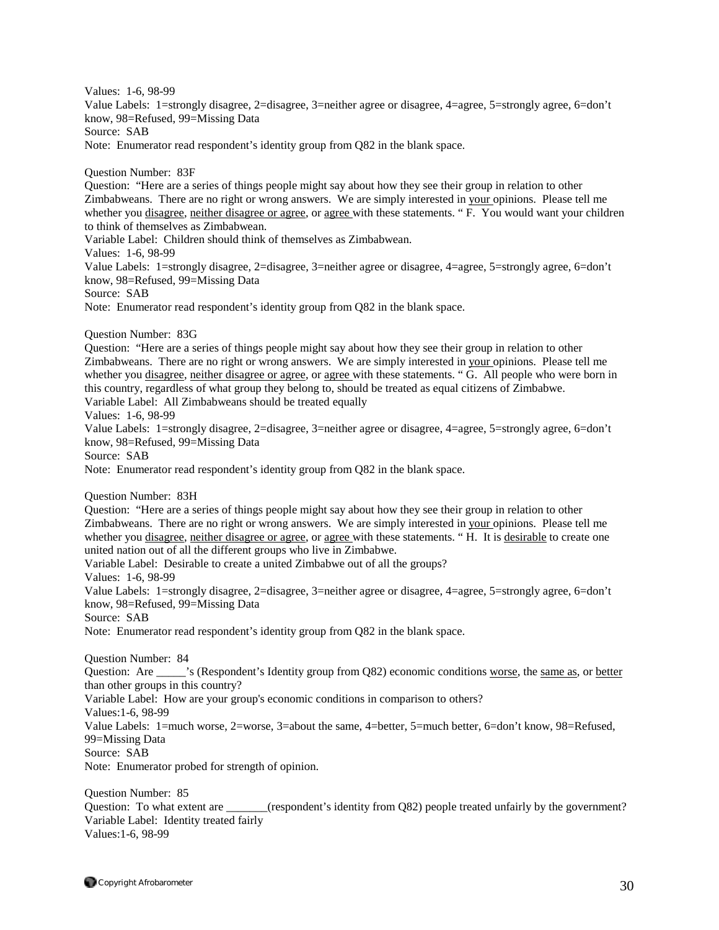Values: 1-6, 98-99 Value Labels: 1=strongly disagree, 2=disagree, 3=neither agree or disagree, 4=agree, 5=strongly agree, 6=don't know, 98=Refused, 99=Missing Data Source: SAB Note: Enumerator read respondent's identity group from Q82 in the blank space. Question Number: 83F Question: "Here are a series of things people might say about how they see their group in relation to other Zimbabweans. There are no right or wrong answers. We are simply interested in your opinions. Please tell me whether you disagree, neither disagree or agree, or agree with these statements. "F. You would want your children to think of themselves as Zimbabwean. Variable Label: Children should think of themselves as Zimbabwean. Values: 1-6, 98-99 Value Labels: 1=strongly disagree, 2=disagree, 3=neither agree or disagree, 4=agree, 5=strongly agree, 6=don't know, 98=Refused, 99=Missing Data Source: SAB Note: Enumerator read respondent's identity group from Q82 in the blank space. Question Number: 83G Question: "Here are a series of things people might say about how they see their group in relation to other Zimbabweans. There are no right or wrong answers. We are simply interested in your opinions. Please tell me whether you disagree, neither disagree or agree, or agree with these statements. "G. All people who were born in this country, regardless of what group they belong to, should be treated as equal citizens of Zimbabwe. Variable Label: All Zimbabweans should be treated equally Values: 1-6, 98-99 Value Labels: 1=strongly disagree, 2=disagree, 3=neither agree or disagree, 4=agree, 5=strongly agree, 6=don't know, 98=Refused, 99=Missing Data Source: SAB Note: Enumerator read respondent's identity group from Q82 in the blank space. Question Number: 83H Question: "Here are a series of things people might say about how they see their group in relation to other Zimbabweans. There are no right or wrong answers. We are simply interested in your opinions. Please tell me whether you disagree, neither disagree or agree, or agree with these statements. "H. It is desirable to create one united nation out of all the different groups who live in Zimbabwe. Variable Label: Desirable to create a united Zimbabwe out of all the groups? Values: 1-6, 98-99 Value Labels: 1=strongly disagree, 2=disagree, 3=neither agree or disagree, 4=agree, 5=strongly agree, 6=don't know, 98=Refused, 99=Missing Data Source: SAB Note: Enumerator read respondent's identity group from Q82 in the blank space. Question Number: 84 Question: Are \_\_\_\_\_'s (Respondent's Identity group from Q82) economic conditions worse, the same as, or better than other groups in this country? Variable Label: How are your group's economic conditions in comparison to others? Values:1-6, 98-99 Value Labels: 1=much worse, 2=worse, 3=about the same, 4=better, 5=much better, 6=don't know, 98=Refused, 99=Missing Data Source: SAB Note: Enumerator probed for strength of opinion. Question Number: 85 Question: To what extent are \_\_\_\_\_\_\_(respondent's identity from Q82) people treated unfairly by the government? Variable Label: Identity treated fairly

Values:1-6, 98-99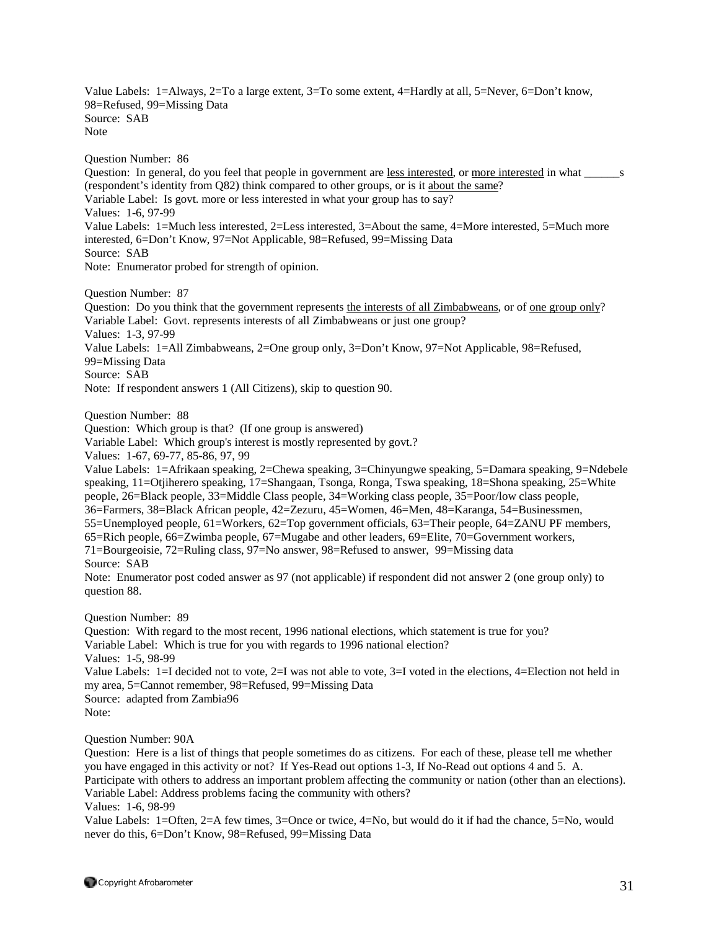Value Labels: 1=Always, 2=To a large extent, 3=To some extent, 4=Hardly at all, 5=Never, 6=Don't know, 98=Refused, 99=Missing Data Source: SAB Note

Question Number: 86 Question: In general, do you feel that people in government are less interested, or more interested in what s (respondent's identity from Q82) think compared to other groups, or is it about the same? Variable Label: Is govt. more or less interested in what your group has to say? Values: 1-6, 97-99 Value Labels: 1=Much less interested, 2=Less interested, 3=About the same, 4=More interested, 5=Much more interested, 6=Don't Know, 97=Not Applicable, 98=Refused, 99=Missing Data Source: SAB Note: Enumerator probed for strength of opinion.

Question Number: 87

Question: Do you think that the government represents the interests of all Zimbabweans, or of one group only? Variable Label: Govt. represents interests of all Zimbabweans or just one group? Values: 1-3, 97-99 Value Labels: 1=All Zimbabweans, 2=One group only, 3=Don't Know, 97=Not Applicable, 98=Refused, 99=Missing Data Source: SAB Note: If respondent answers 1 (All Citizens), skip to question 90.

Question Number: 88

Question: Which group is that? (If one group is answered)

Variable Label: Which group's interest is mostly represented by govt.?

Values: 1-67, 69-77, 85-86, 97, 99

Value Labels: 1=Afrikaan speaking, 2=Chewa speaking, 3=Chinyungwe speaking, 5=Damara speaking, 9=Ndebele speaking, 11=Otjiherero speaking, 17=Shangaan, Tsonga, Ronga, Tswa speaking, 18=Shona speaking, 25=White people, 26=Black people, 33=Middle Class people, 34=Working class people, 35=Poor/low class people, 36=Farmers, 38=Black African people, 42=Zezuru, 45=Women, 46=Men, 48=Karanga, 54=Businessmen, 55=Unemployed people, 61=Workers, 62=Top government officials, 63=Their people, 64=ZANU PF members, 65=Rich people, 66=Zwimba people, 67=Mugabe and other leaders, 69=Elite, 70=Government workers, 71=Bourgeoisie, 72=Ruling class, 97=No answer, 98=Refused to answer, 99=Missing data Source: SAB

Note: Enumerator post coded answer as 97 (not applicable) if respondent did not answer 2 (one group only) to question 88.

Question Number: 89

Question: With regard to the most recent, 1996 national elections, which statement is true for you? Variable Label: Which is true for you with regards to 1996 national election? Values: 1-5, 98-99 Value Labels: 1=I decided not to vote, 2=I was not able to vote, 3=I voted in the elections, 4=Election not held in my area, 5=Cannot remember, 98=Refused, 99=Missing Data Source: adapted from Zambia96 Note:

Question Number: 90A

Question: Here is a list of things that people sometimes do as citizens. For each of these, please tell me whether you have engaged in this activity or not? If Yes-Read out options 1-3, If No-Read out options 4 and 5. A. Participate with others to address an important problem affecting the community or nation (other than an elections). Variable Label: Address problems facing the community with others?

Values: 1-6, 98-99

Value Labels: 1=Often, 2=A few times, 3=Once or twice, 4=No, but would do it if had the chance, 5=No, would never do this, 6=Don't Know, 98=Refused, 99=Missing Data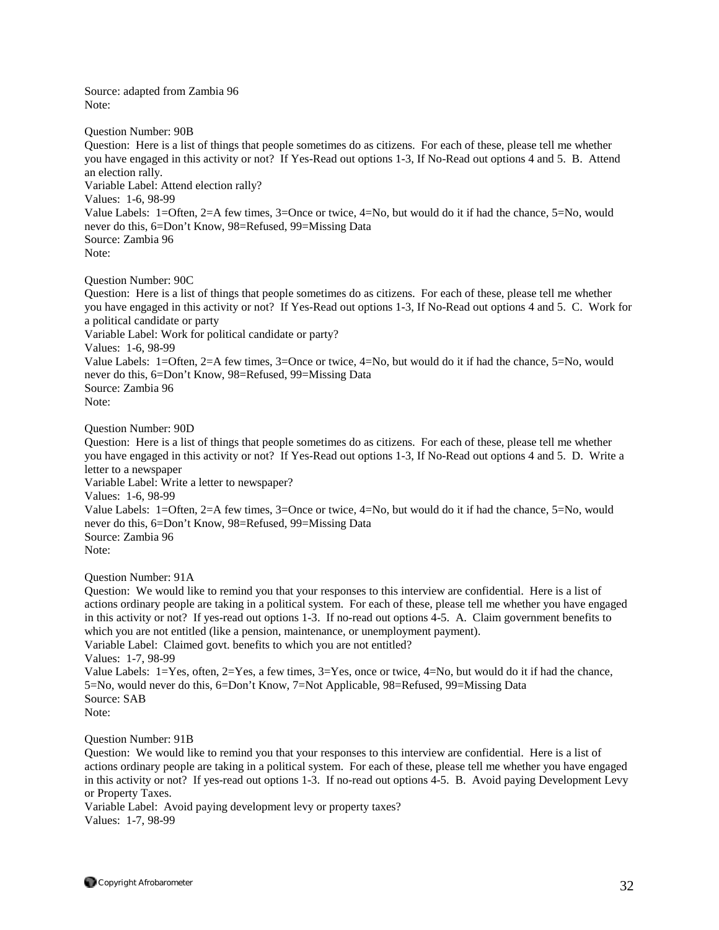Source: adapted from Zambia 96 Note:

Question Number: 90B Question: Here is a list of things that people sometimes do as citizens. For each of these, please tell me whether you have engaged in this activity or not? If Yes-Read out options 1-3, If No-Read out options 4 and 5. B. Attend an election rally. Variable Label: Attend election rally? Values: 1-6, 98-99 Value Labels: 1=Often, 2=A few times, 3=Once or twice, 4=No, but would do it if had the chance, 5=No, would never do this, 6=Don't Know, 98=Refused, 99=Missing Data Source: Zambia 96 Note: Question Number: 90C

Question: Here is a list of things that people sometimes do as citizens. For each of these, please tell me whether you have engaged in this activity or not? If Yes-Read out options 1-3, If No-Read out options 4 and 5. C. Work for a political candidate or party Variable Label: Work for political candidate or party? Values: 1-6, 98-99 Value Labels: 1=Often, 2=A few times, 3=Once or twice, 4=No, but would do it if had the chance, 5=No, would never do this, 6=Don't Know, 98=Refused, 99=Missing Data Source: Zambia 96 Note:

Question Number: 90D

Question: Here is a list of things that people sometimes do as citizens. For each of these, please tell me whether you have engaged in this activity or not? If Yes-Read out options 1-3, If No-Read out options 4 and 5. D. Write a letter to a newspaper Variable Label: Write a letter to newspaper? Values: 1-6, 98-99 Value Labels: 1=Often, 2=A few times, 3=Once or twice, 4=No, but would do it if had the chance, 5=No, would never do this, 6=Don't Know, 98=Refused, 99=Missing Data Source: Zambia 96 Note:

Question Number: 91A

Question: We would like to remind you that your responses to this interview are confidential. Here is a list of actions ordinary people are taking in a political system. For each of these, please tell me whether you have engaged in this activity or not? If yes-read out options 1-3. If no-read out options 4-5. A. Claim government benefits to which you are not entitled (like a pension, maintenance, or unemployment payment). Variable Label: Claimed govt. benefits to which you are not entitled? Values: 1-7, 98-99 Value Labels: 1=Yes, often, 2=Yes, a few times, 3=Yes, once or twice, 4=No, but would do it if had the chance, 5=No, would never do this, 6=Don't Know, 7=Not Applicable, 98=Refused, 99=Missing Data Source: SAB Note:

Question Number: 91B

Question: We would like to remind you that your responses to this interview are confidential. Here is a list of actions ordinary people are taking in a political system. For each of these, please tell me whether you have engaged in this activity or not? If yes-read out options 1-3. If no-read out options 4-5. B. Avoid paying Development Levy or Property Taxes.

Variable Label: Avoid paying development levy or property taxes? Values: 1-7, 98-99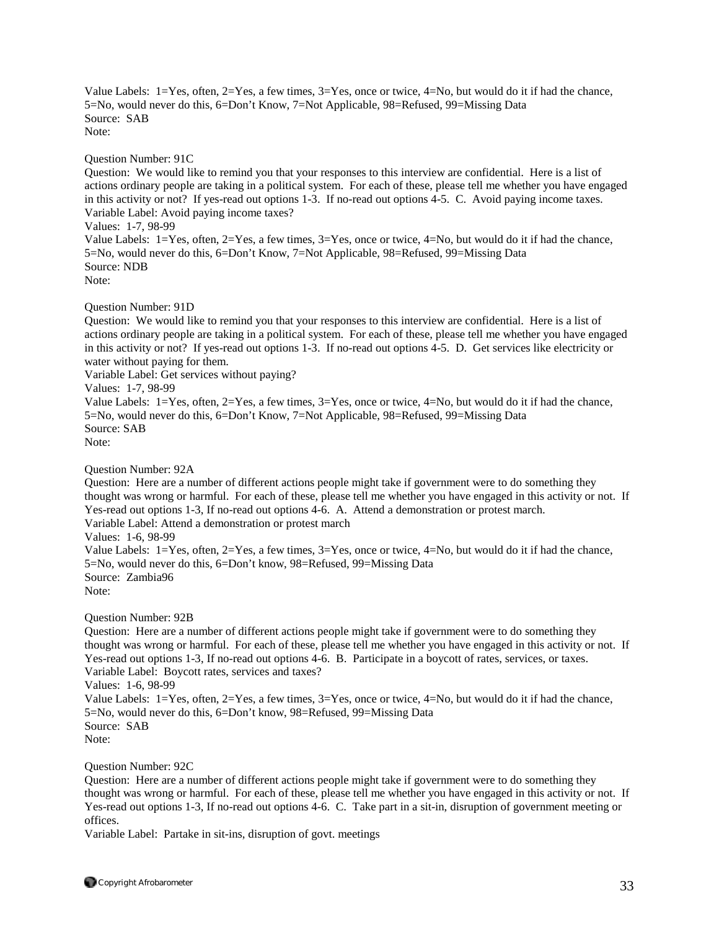Value Labels: 1=Yes, often, 2=Yes, a few times, 3=Yes, once or twice, 4=No, but would do it if had the chance, 5=No, would never do this, 6=Don't Know, 7=Not Applicable, 98=Refused, 99=Missing Data Source: SAB Note:

Question Number: 91C

Question: We would like to remind you that your responses to this interview are confidential. Here is a list of actions ordinary people are taking in a political system. For each of these, please tell me whether you have engaged in this activity or not? If yes-read out options 1-3. If no-read out options 4-5. C. Avoid paying income taxes. Variable Label: Avoid paying income taxes? Values: 1-7, 98-99 Value Labels: 1=Yes, often, 2=Yes, a few times, 3=Yes, once or twice, 4=No, but would do it if had the chance, 5=No, would never do this, 6=Don't Know, 7=Not Applicable, 98=Refused, 99=Missing Data Source: NDB

Note:

Question Number: 91D

Question: We would like to remind you that your responses to this interview are confidential. Here is a list of actions ordinary people are taking in a political system. For each of these, please tell me whether you have engaged in this activity or not? If yes-read out options 1-3. If no-read out options 4-5. D. Get services like electricity or water without paying for them.

Variable Label: Get services without paying?

Values: 1-7, 98-99

Value Labels: 1=Yes, often, 2=Yes, a few times, 3=Yes, once or twice, 4=No, but would do it if had the chance, 5=No, would never do this, 6=Don't Know, 7=Not Applicable, 98=Refused, 99=Missing Data Source: SAB

Note:

Question Number: 92A

Question: Here are a number of different actions people might take if government were to do something they thought was wrong or harmful. For each of these, please tell me whether you have engaged in this activity or not. If Yes-read out options 1-3, If no-read out options 4-6. A. Attend a demonstration or protest march. Variable Label: Attend a demonstration or protest march Values: 1-6, 98-99 Value Labels: 1=Yes, often, 2=Yes, a few times, 3=Yes, once or twice, 4=No, but would do it if had the chance, 5=No, would never do this, 6=Don't know, 98=Refused, 99=Missing Data Source: Zambia96

Note:

Question Number: 92B

Question: Here are a number of different actions people might take if government were to do something they thought was wrong or harmful. For each of these, please tell me whether you have engaged in this activity or not. If Yes-read out options 1-3, If no-read out options 4-6. B. Participate in a boycott of rates, services, or taxes. Variable Label: Boycott rates, services and taxes?

Values: 1-6, 98-99

Value Labels: 1=Yes, often, 2=Yes, a few times, 3=Yes, once or twice, 4=No, but would do it if had the chance, 5=No, would never do this, 6=Don't know, 98=Refused, 99=Missing Data Source: SAB

Note:

Question Number: 92C

Question: Here are a number of different actions people might take if government were to do something they thought was wrong or harmful. For each of these, please tell me whether you have engaged in this activity or not. If Yes-read out options 1-3, If no-read out options 4-6. C. Take part in a sit-in, disruption of government meeting or offices.

Variable Label: Partake in sit-ins, disruption of govt. meetings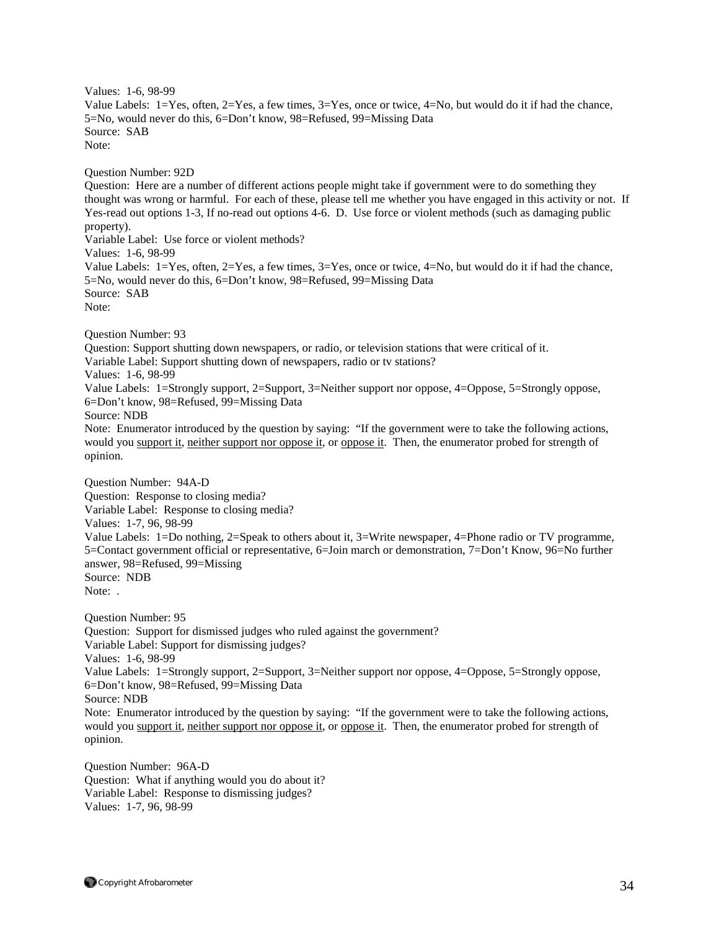Values: 1-6, 98-99 Value Labels: 1=Yes, often, 2=Yes, a few times, 3=Yes, once or twice, 4=No, but would do it if had the chance, 5=No, would never do this, 6=Don't know, 98=Refused, 99=Missing Data Source: SAB Note: Question Number: 92D Question: Here are a number of different actions people might take if government were to do something they thought was wrong or harmful. For each of these, please tell me whether you have engaged in this activity or not. If Yes-read out options 1-3, If no-read out options 4-6. D. Use force or violent methods (such as damaging public property). Variable Label: Use force or violent methods? Values: 1-6, 98-99 Value Labels: 1=Yes, often, 2=Yes, a few times, 3=Yes, once or twice, 4=No, but would do it if had the chance, 5=No, would never do this, 6=Don't know, 98=Refused, 99=Missing Data Source: SAB Note: Question Number: 93 Question: Support shutting down newspapers, or radio, or television stations that were critical of it. Variable Label: Support shutting down of newspapers, radio or tv stations? Values: 1-6, 98-99 Value Labels: 1=Strongly support, 2=Support, 3=Neither support nor oppose, 4=Oppose, 5=Strongly oppose, 6=Don't know, 98=Refused, 99=Missing Data Source: NDB Note: Enumerator introduced by the question by saying: "If the government were to take the following actions, would you support it, neither support nor oppose it, or oppose it. Then, the enumerator probed for strength of opinion. Question Number: 94A-D Question: Response to closing media? Variable Label: Response to closing media? Values: 1-7, 96, 98-99 Value Labels: 1=Do nothing, 2=Speak to others about it, 3=Write newspaper, 4=Phone radio or TV programme, 5=Contact government official or representative, 6=Join march or demonstration, 7=Don't Know, 96=No further answer, 98=Refused, 99=Missing Source: NDB Note: . Question Number: 95 Question: Support for dismissed judges who ruled against the government? Variable Label: Support for dismissing judges? Values: 1-6, 98-99 Value Labels: 1=Strongly support, 2=Support, 3=Neither support nor oppose, 4=Oppose, 5=Strongly oppose, 6=Don't know, 98=Refused, 99=Missing Data Source: NDB Note: Enumerator introduced by the question by saying: "If the government were to take the following actions, would you support it, neither support nor oppose it, or oppose it. Then, the enumerator probed for strength of opinion.

Question Number: 96A-D Question: What if anything would you do about it? Variable Label: Response to dismissing judges? Values: 1-7, 96, 98-99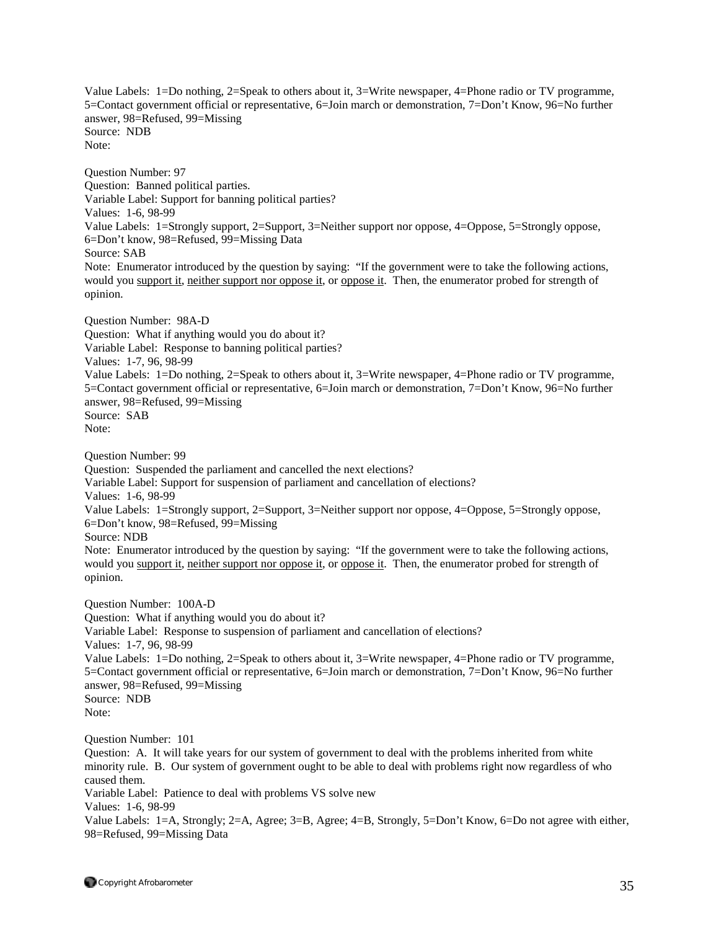Value Labels: 1=Do nothing, 2=Speak to others about it, 3=Write newspaper, 4=Phone radio or TV programme, 5=Contact government official or representative, 6=Join march or demonstration, 7=Don't Know, 96=No further answer, 98=Refused, 99=Missing Source: NDB Note:

Question Number: 97 Question: Banned political parties. Variable Label: Support for banning political parties? Values: 1-6, 98-99 Value Labels: 1=Strongly support, 2=Support, 3=Neither support nor oppose, 4=Oppose, 5=Strongly oppose, 6=Don't know, 98=Refused, 99=Missing Data Source: SAB Note: Enumerator introduced by the question by saying: "If the government were to take the following actions, would you support it, neither support nor oppose it, or oppose it. Then, the enumerator probed for strength of opinion.

Question Number: 98A-D Question: What if anything would you do about it? Variable Label: Response to banning political parties? Values: 1-7, 96, 98-99 Value Labels: 1=Do nothing, 2=Speak to others about it, 3=Write newspaper, 4=Phone radio or TV programme, 5=Contact government official or representative, 6=Join march or demonstration, 7=Don't Know, 96=No further answer, 98=Refused, 99=Missing Source: SAB Note:

Question Number: 99

Question: Suspended the parliament and cancelled the next elections?

Variable Label: Support for suspension of parliament and cancellation of elections?

Values: 1-6, 98-99

Value Labels: 1=Strongly support, 2=Support, 3=Neither support nor oppose, 4=Oppose, 5=Strongly oppose, 6=Don't know, 98=Refused, 99=Missing

Source: NDB

Note: Enumerator introduced by the question by saying: "If the government were to take the following actions, would you support it, neither support nor oppose it, or oppose it. Then, the enumerator probed for strength of opinion.

Question Number: 100A-D Question: What if anything would you do about it? Variable Label: Response to suspension of parliament and cancellation of elections? Values: 1-7, 96, 98-99 Value Labels: 1=Do nothing, 2=Speak to others about it, 3=Write newspaper, 4=Phone radio or TV programme, 5=Contact government official or representative, 6=Join march or demonstration, 7=Don't Know, 96=No further answer, 98=Refused, 99=Missing Source: NDB Note:

Question Number: 101

Question: A. It will take years for our system of government to deal with the problems inherited from white minority rule. B. Our system of government ought to be able to deal with problems right now regardless of who caused them. Variable Label: Patience to deal with problems VS solve new Values: 1-6, 98-99 Value Labels: 1=A, Strongly; 2=A, Agree; 3=B, Agree; 4=B, Strongly, 5=Don't Know, 6=Do not agree with either,

98=Refused, 99=Missing Data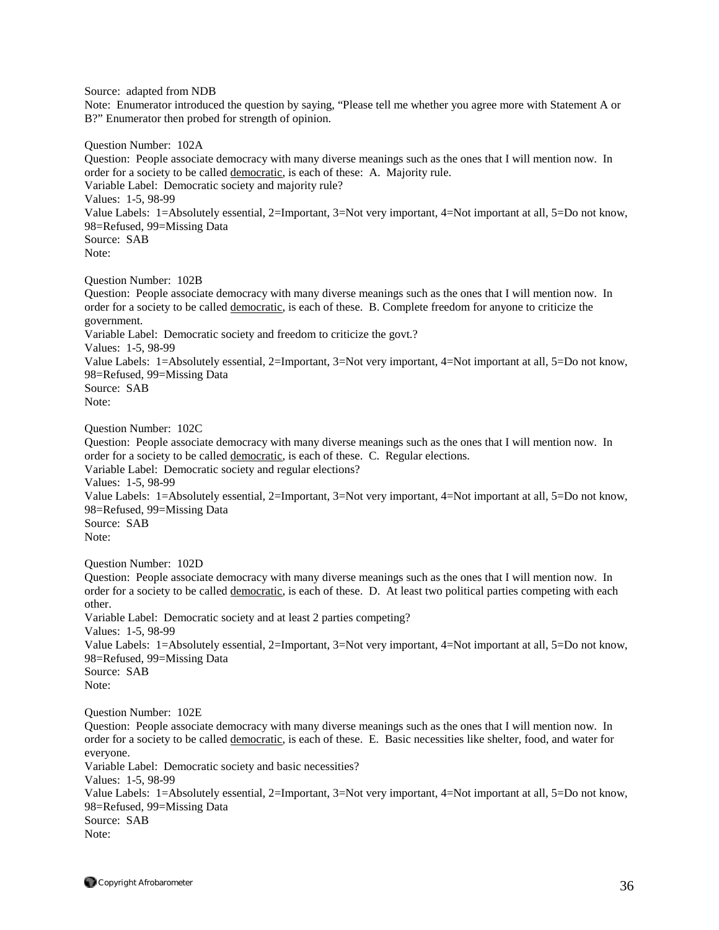Source: adapted from NDB

Note: Enumerator introduced the question by saying, "Please tell me whether you agree more with Statement A or B?" Enumerator then probed for strength of opinion.

Question Number: 102A Question: People associate democracy with many diverse meanings such as the ones that I will mention now. In order for a society to be called democratic, is each of these: A. Majority rule. Variable Label: Democratic society and majority rule? Values: 1-5, 98-99 Value Labels: 1=Absolutely essential, 2=Important, 3=Not very important, 4=Not important at all, 5=Do not know, 98=Refused, 99=Missing Data Source: SAB Note: Question Number: 102B Question: People associate democracy with many diverse meanings such as the ones that I will mention now. In

order for a society to be called democratic, is each of these. B. Complete freedom for anyone to criticize the government. Variable Label: Democratic society and freedom to criticize the govt.? Values: 1-5, 98-99 Value Labels: 1=Absolutely essential, 2=Important, 3=Not very important, 4=Not important at all, 5=Do not know, 98=Refused, 99=Missing Data Source: SAB Note:

Question Number: 102C

Question: People associate democracy with many diverse meanings such as the ones that I will mention now. In order for a society to be called democratic, is each of these. C. Regular elections.

Variable Label: Democratic society and regular elections?

Values: 1-5, 98-99

Value Labels: 1=Absolutely essential, 2=Important, 3=Not very important, 4=Not important at all, 5=Do not know, 98=Refused, 99=Missing Data

Source: SAB Note:

Question Number: 102D

Question: People associate democracy with many diverse meanings such as the ones that I will mention now. In order for a society to be called democratic, is each of these. D. At least two political parties competing with each other.

Variable Label: Democratic society and at least 2 parties competing? Values: 1-5, 98-99 Value Labels: 1=Absolutely essential, 2=Important, 3=Not very important, 4=Not important at all, 5=Do not know, 98=Refused, 99=Missing Data Source: SAB

Note:

Question Number: 102E

Question: People associate democracy with many diverse meanings such as the ones that I will mention now. In order for a society to be called democratic, is each of these. E. Basic necessities like shelter, food, and water for everyone.

Variable Label: Democratic society and basic necessities? Values: 1-5, 98-99 Value Labels: 1=Absolutely essential, 2=Important, 3=Not very important, 4=Not important at all, 5=Do not know, 98=Refused, 99=Missing Data Source: SAB Note: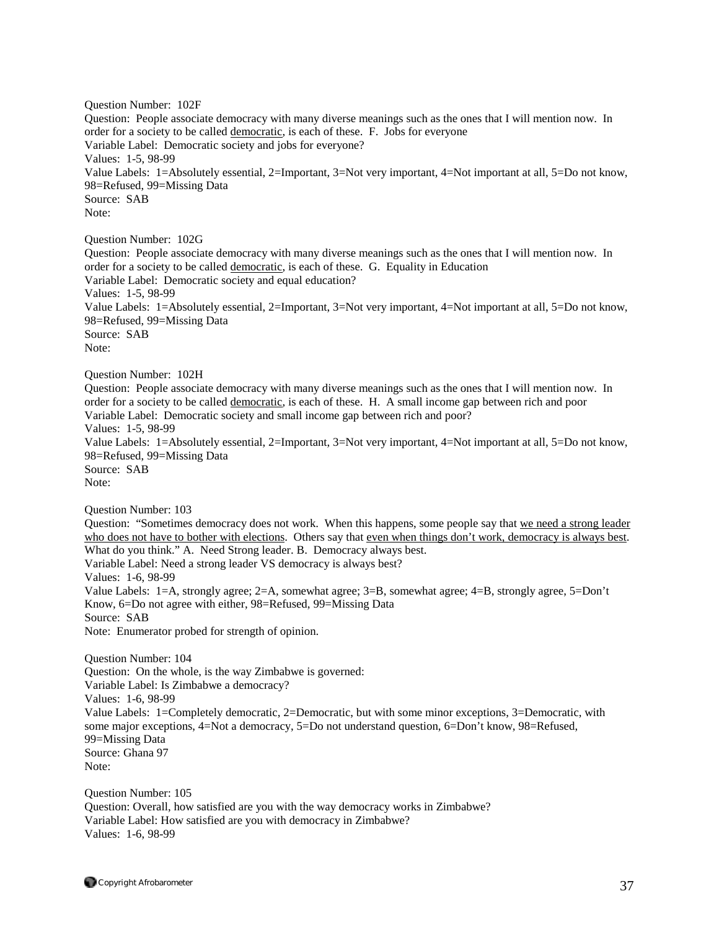Question Number: 102F Question: People associate democracy with many diverse meanings such as the ones that I will mention now. In order for a society to be called democratic, is each of these. F. Jobs for everyone Variable Label: Democratic society and jobs for everyone? Values: 1-5, 98-99 Value Labels: 1=Absolutely essential, 2=Important, 3=Not very important, 4=Not important at all, 5=Do not know, 98=Refused, 99=Missing Data Source: SAB Note: Question Number: 102G Question: People associate democracy with many diverse meanings such as the ones that I will mention now. In order for a society to be called democratic, is each of these. G. Equality in Education Variable Label: Democratic society and equal education? Values: 1-5, 98-99 Value Labels: 1=Absolutely essential, 2=Important, 3=Not very important, 4=Not important at all, 5=Do not know, 98=Refused, 99=Missing Data Source: SAB Note: Question Number: 102H Question: People associate democracy with many diverse meanings such as the ones that I will mention now. In order for a society to be called democratic, is each of these. H. A small income gap between rich and poor Variable Label: Democratic society and small income gap between rich and poor? Values: 1-5, 98-99 Value Labels: 1=Absolutely essential, 2=Important, 3=Not very important, 4=Not important at all, 5=Do not know, 98=Refused, 99=Missing Data Source: SAB Note: Question Number: 103 Question: "Sometimes democracy does not work. When this happens, some people say that we need a strong leader who does not have to bother with elections. Others say that even when things don't work, democracy is always best. What do you think." A. Need Strong leader. B. Democracy always best. Variable Label: Need a strong leader VS democracy is always best? Values: 1-6, 98-99 Value Labels: 1=A, strongly agree; 2=A, somewhat agree; 3=B, somewhat agree; 4=B, strongly agree, 5=Don't Know, 6=Do not agree with either, 98=Refused, 99=Missing Data Source: SAB Note: Enumerator probed for strength of opinion. Question Number: 104 Question: On the whole, is the way Zimbabwe is governed: Variable Label: Is Zimbabwe a democracy? Values: 1-6, 98-99 Value Labels: 1=Completely democratic, 2=Democratic, but with some minor exceptions, 3=Democratic, with some major exceptions, 4=Not a democracy, 5=Do not understand question, 6=Don't know, 98=Refused, 99=Missing Data Source: Ghana 97 Note: Question Number: 105 Question: Overall, how satisfied are you with the way democracy works in Zimbabwe?

Variable Label: How satisfied are you with democracy in Zimbabwe? Values: 1-6, 98-99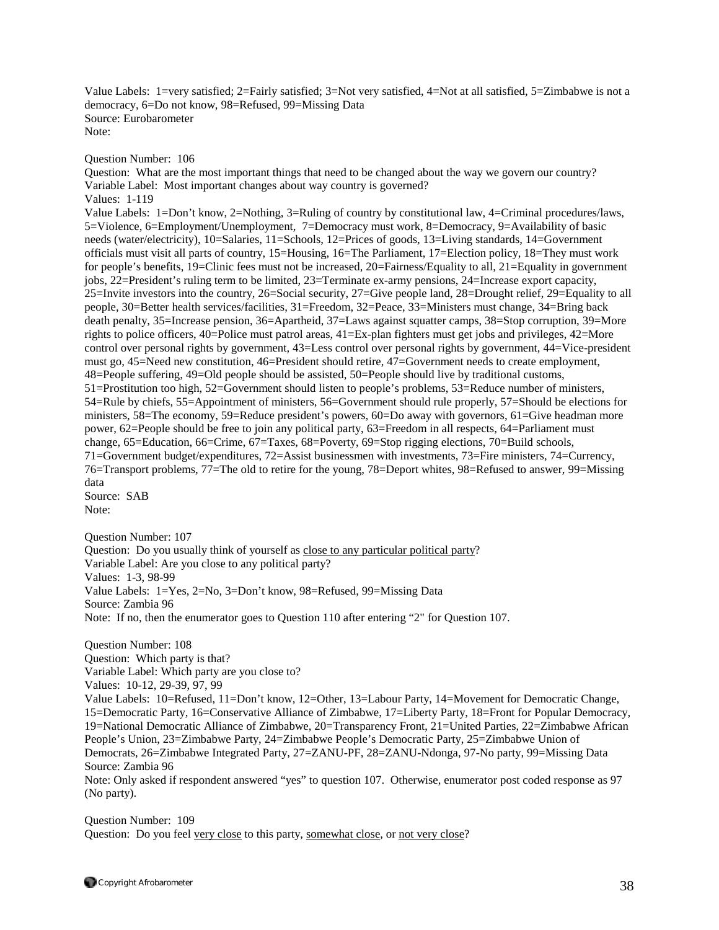Value Labels: 1=very satisfied; 2=Fairly satisfied; 3=Not very satisfied, 4=Not at all satisfied, 5=Zimbabwe is not a democracy, 6=Do not know, 98=Refused, 99=Missing Data Source: Eurobarometer Note:

Question Number: 106

Question: What are the most important things that need to be changed about the way we govern our country? Variable Label: Most important changes about way country is governed? Values: 1-119

Value Labels: 1=Don't know, 2=Nothing, 3=Ruling of country by constitutional law, 4=Criminal procedures/laws, 5=Violence, 6=Employment/Unemployment, 7=Democracy must work, 8=Democracy, 9=Availability of basic needs (water/electricity), 10=Salaries, 11=Schools, 12=Prices of goods, 13=Living standards, 14=Government officials must visit all parts of country, 15=Housing, 16=The Parliament, 17=Election policy, 18=They must work for people's benefits, 19=Clinic fees must not be increased, 20=Fairness/Equality to all, 21=Equality in government jobs, 22=President's ruling term to be limited, 23=Terminate ex-army pensions, 24=Increase export capacity, 25=Invite investors into the country, 26=Social security, 27=Give people land, 28=Drought relief, 29=Equality to all people, 30=Better health services/facilities, 31=Freedom, 32=Peace, 33=Ministers must change, 34=Bring back death penalty, 35=Increase pension, 36=Apartheid, 37=Laws against squatter camps, 38=Stop corruption, 39=More rights to police officers, 40=Police must patrol areas, 41=Ex-plan fighters must get jobs and privileges, 42=More control over personal rights by government, 43=Less control over personal rights by government, 44=Vice-president must go, 45=Need new constitution, 46=President should retire, 47=Government needs to create employment, 48=People suffering, 49=Old people should be assisted, 50=People should live by traditional customs, 51=Prostitution too high, 52=Government should listen to people's problems, 53=Reduce number of ministers, 54=Rule by chiefs, 55=Appointment of ministers, 56=Government should rule properly, 57=Should be elections for ministers, 58=The economy, 59=Reduce president's powers, 60=Do away with governors, 61=Give headman more power, 62=People should be free to join any political party, 63=Freedom in all respects, 64=Parliament must change, 65=Education, 66=Crime, 67=Taxes, 68=Poverty, 69=Stop rigging elections, 70=Build schools, 71=Government budget/expenditures, 72=Assist businessmen with investments, 73=Fire ministers, 74=Currency, 76=Transport problems, 77=The old to retire for the young, 78=Deport whites, 98=Refused to answer, 99=Missing data Source: SAB Note:

Question Number: 107

Question: Do you usually think of yourself as close to any particular political party? Variable Label: Are you close to any political party? Values: 1-3, 98-99 Value Labels: 1=Yes, 2=No, 3=Don't know, 98=Refused, 99=Missing Data Source: Zambia 96 Note: If no, then the enumerator goes to Question 110 after entering "2" for Question 107.

Question Number: 108 Question: Which party is that? Variable Label: Which party are you close to? Values: 10-12, 29-39, 97, 99 Value Labels: 10=Refused, 11=Don't know, 12=Other, 13=Labour Party, 14=Movement for Democratic Change, 15=Democratic Party, 16=Conservative Alliance of Zimbabwe, 17=Liberty Party, 18=Front for Popular Democracy, 19=National Democratic Alliance of Zimbabwe, 20=Transparency Front, 21=United Parties, 22=Zimbabwe African People's Union, 23=Zimbabwe Party, 24=Zimbabwe People's Democratic Party, 25=Zimbabwe Union of Democrats, 26=Zimbabwe Integrated Party, 27=ZANU-PF, 28=ZANU-Ndonga, 97-No party, 99=Missing Data Source: Zambia 96

Note: Only asked if respondent answered "yes" to question 107. Otherwise, enumerator post coded response as 97 (No party).

Question Number: 109 Question: Do you feel very close to this party, somewhat close, or not very close?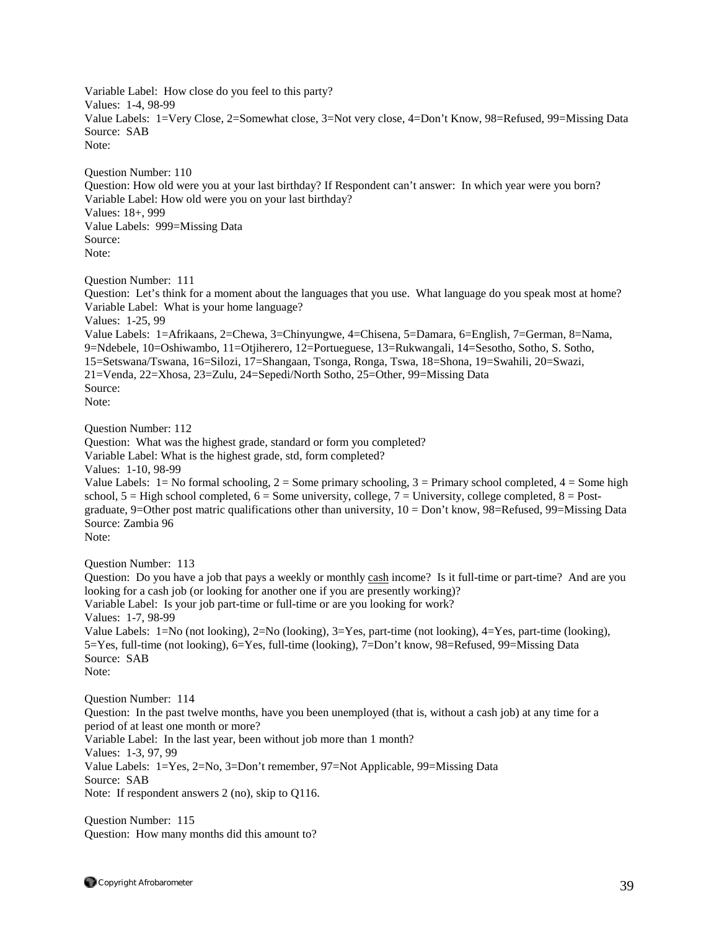Variable Label: How close do you feel to this party? Values: 1-4, 98-99 Value Labels: 1=Very Close, 2=Somewhat close, 3=Not very close, 4=Don't Know, 98=Refused, 99=Missing Data Source: SAB Note:

Question Number: 110 Question: How old were you at your last birthday? If Respondent can't answer: In which year were you born? Variable Label: How old were you on your last birthday? Values: 18+, 999 Value Labels: 999=Missing Data Source: Note:

Question Number: 111

Question: Let's think for a moment about the languages that you use. What language do you speak most at home? Variable Label: What is your home language? Values: 1-25, 99 Value Labels: 1=Afrikaans, 2=Chewa, 3=Chinyungwe, 4=Chisena, 5=Damara, 6=English, 7=German, 8=Nama, 9=Ndebele, 10=Oshiwambo, 11=Otjiherero, 12=Portueguese, 13=Rukwangali, 14=Sesotho, Sotho, S. Sotho, 15=Setswana/Tswana, 16=Silozi, 17=Shangaan, Tsonga, Ronga, Tswa, 18=Shona, 19=Swahili, 20=Swazi, 21=Venda, 22=Xhosa, 23=Zulu, 24=Sepedi/North Sotho, 25=Other, 99=Missing Data Source: Note:

Question Number: 112

Question: What was the highest grade, standard or form you completed? Variable Label: What is the highest grade, std, form completed?

Values: 1-10, 98-99

Value Labels:  $1 = No$  formal schooling,  $2 = Some$  primary schooling,  $3 = Primary$  school completed,  $4 = Some$  high school,  $5 =$  High school completed,  $6 =$  Some university, college,  $7 =$  University, college completed,  $8 =$  Postgraduate, 9=Other post matric qualifications other than university,  $10 = Don't know$ ,  $98 = Refused$ ,  $99 = Missing Data$ Source: Zambia 96 Note:

Question Number: 113

Question: Do you have a job that pays a weekly or monthly cash income? Is it full-time or part-time? And are you looking for a cash job (or looking for another one if you are presently working)? Variable Label: Is your job part-time or full-time or are you looking for work? Values: 1-7, 98-99 Value Labels: 1=No (not looking), 2=No (looking), 3=Yes, part-time (not looking), 4=Yes, part-time (looking), 5=Yes, full-time (not looking), 6=Yes, full-time (looking), 7=Don't know, 98=Refused, 99=Missing Data Source: SAB Note:

Question Number: 114 Question: In the past twelve months, have you been unemployed (that is, without a cash job) at any time for a period of at least one month or more? Variable Label: In the last year, been without job more than 1 month? Values: 1-3, 97, 99 Value Labels: 1=Yes, 2=No, 3=Don't remember, 97=Not Applicable, 99=Missing Data Source: SAB Note: If respondent answers 2 (no), skip to Q116.

Question Number: 115 Question: How many months did this amount to?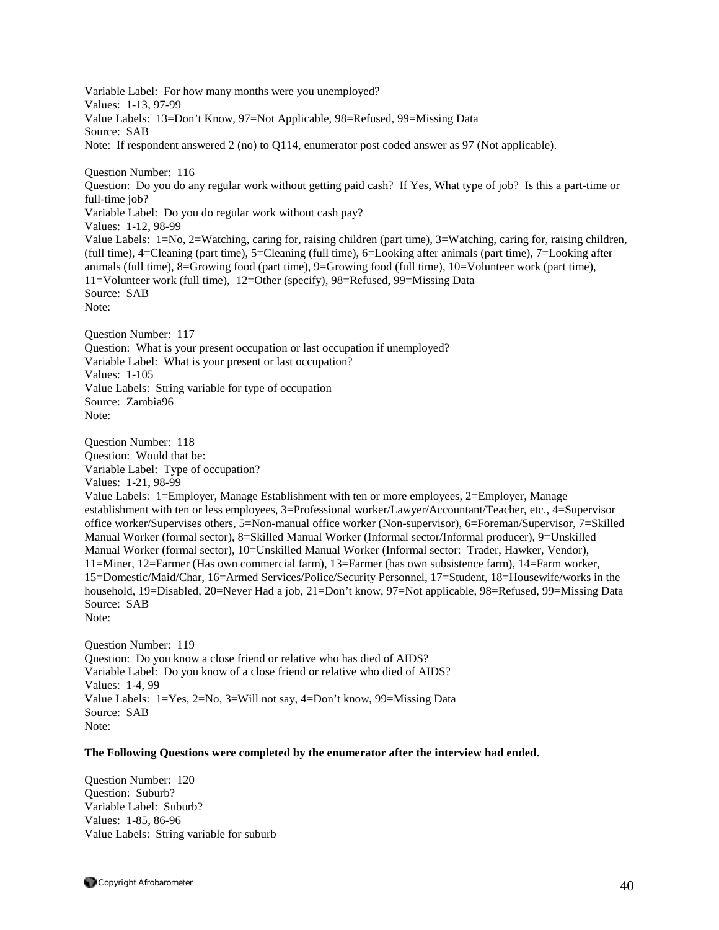Variable Label: For how many months were you unemployed? Values: 1-13, 97-99 Value Labels: 13=Don't Know, 97=Not Applicable, 98=Refused, 99=Missing Data Source: SAB Note: If respondent answered 2 (no) to Q114, enumerator post coded answer as 97 (Not applicable). Question Number: 116 Question: Do you do any regular work without getting paid cash? If Yes, What type of job? Is this a part-time or full-time job? Variable Label: Do you do regular work without cash pay? Values: 1-12, 98-99 Value Labels: 1=No, 2=Watching, caring for, raising children (part time), 3=Watching, caring for, raising children, (full time), 4=Cleaning (part time), 5=Cleaning (full time), 6=Looking after animals (part time), 7=Looking after animals (full time), 8=Growing food (part time), 9=Growing food (full time), 10=Volunteer work (part time), 11=Volunteer work (full time), 12=Other (specify), 98=Refused, 99=Missing Data Source: SAB Note: Question Number: 117 Question: What is your present occupation or last occupation if unemployed? Variable Label: What is your present or last occupation? Values: 1-105 Value Labels: String variable for type of occupation Source: Zambia96 Note: Question Number: 118 Question: Would that be: Variable Label: Type of occupation? Values: 1-21, 98-99 Value Labels: 1=Employer, Manage Establishment with ten or more employees, 2=Employer, Manage establishment with ten or less employees, 3=Professional worker/Lawyer/Accountant/Teacher, etc., 4=Supervisor office worker/Supervises others, 5=Non-manual office worker (Non-supervisor), 6=Foreman/Supervisor, 7=Skilled Manual Worker (formal sector), 8=Skilled Manual Worker (Informal sector/Informal producer), 9=Unskilled Manual Worker (formal sector), 10=Unskilled Manual Worker (Informal sector: Trader, Hawker, Vendor), 11=Miner, 12=Farmer (Has own commercial farm), 13=Farmer (has own subsistence farm), 14=Farm worker, 15=Domestic/Maid/Char, 16=Armed Services/Police/Security Personnel, 17=Student, 18=Housewife/works in the household, 19=Disabled, 20=Never Had a job, 21=Don't know, 97=Not applicable, 98=Refused, 99=Missing Data Source: SAB Note: Question Number: 119 Question: Do you know a close friend or relative who has died of AIDS?

Variable Label: Do you know of a close friend or relative who died of AIDS? Values: 1-4, 99 Value Labels: 1=Yes, 2=No, 3=Will not say, 4=Don't know, 99=Missing Data Source: SAB Note:

#### **The Following Questions were completed by the enumerator after the interview had ended.**

Question Number: 120 Question: Suburb? Variable Label: Suburb? Values: 1-85, 86-96 Value Labels: String variable for suburb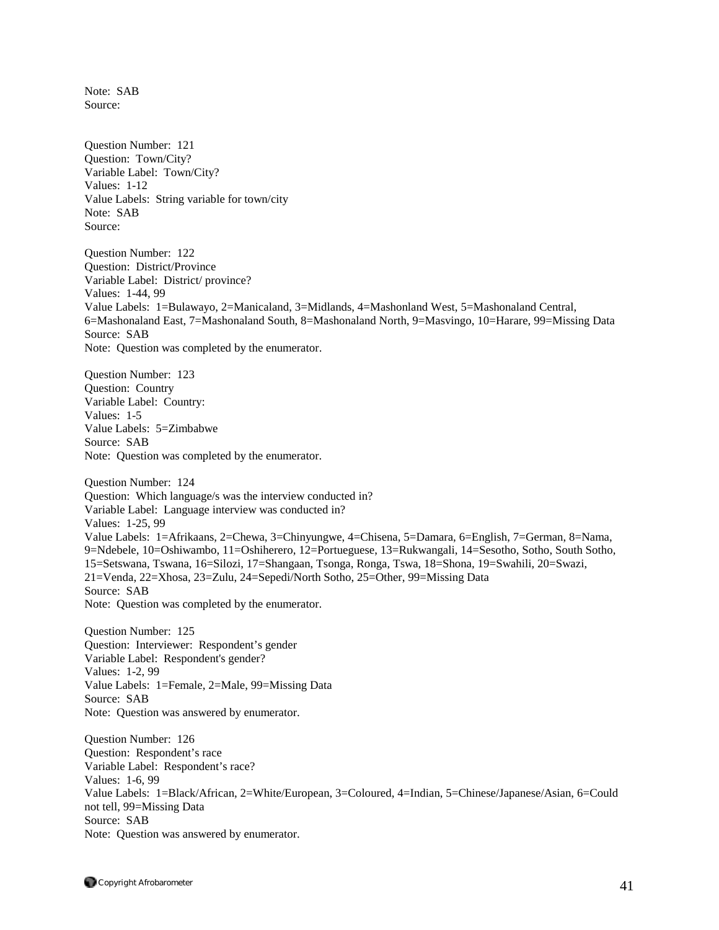Note: SAB Source:

Question Number: 121 Question: Town/City? Variable Label: Town/City? Values: 1-12 Value Labels: String variable for town/city Note: SAB Source:

Question Number: 122 Question: District/Province Variable Label: District/ province? Values: 1-44, 99 Value Labels: 1=Bulawayo, 2=Manicaland, 3=Midlands, 4=Mashonland West, 5=Mashonaland Central, 6=Mashonaland East, 7=Mashonaland South, 8=Mashonaland North, 9=Masvingo, 10=Harare, 99=Missing Data Source: SAB Note: Question was completed by the enumerator.

Question Number: 123 Question: Country Variable Label: Country: Values: 1-5 Value Labels: 5=Zimbabwe Source: SAB Note: Question was completed by the enumerator.

Question Number: 124 Question: Which language/s was the interview conducted in? Variable Label: Language interview was conducted in? Values: 1-25, 99 Value Labels: 1=Afrikaans, 2=Chewa, 3=Chinyungwe, 4=Chisena, 5=Damara, 6=English, 7=German, 8=Nama, 9=Ndebele, 10=Oshiwambo, 11=Oshiherero, 12=Portueguese, 13=Rukwangali, 14=Sesotho, Sotho, South Sotho, 15=Setswana, Tswana, 16=Silozi, 17=Shangaan, Tsonga, Ronga, Tswa, 18=Shona, 19=Swahili, 20=Swazi, 21=Venda, 22=Xhosa, 23=Zulu, 24=Sepedi/North Sotho, 25=Other, 99=Missing Data Source: SAB Note: Question was completed by the enumerator.

Question Number: 125 Question: Interviewer: Respondent's gender Variable Label: Respondent's gender? Values: 1-2, 99 Value Labels: 1=Female, 2=Male, 99=Missing Data Source: SAB Note: Question was answered by enumerator.

Question Number: 126 Question: Respondent's race Variable Label: Respondent's race? Values: 1-6, 99 Value Labels: 1=Black/African, 2=White/European, 3=Coloured, 4=Indian, 5=Chinese/Japanese/Asian, 6=Could not tell, 99=Missing Data Source: SAB Note: Question was answered by enumerator.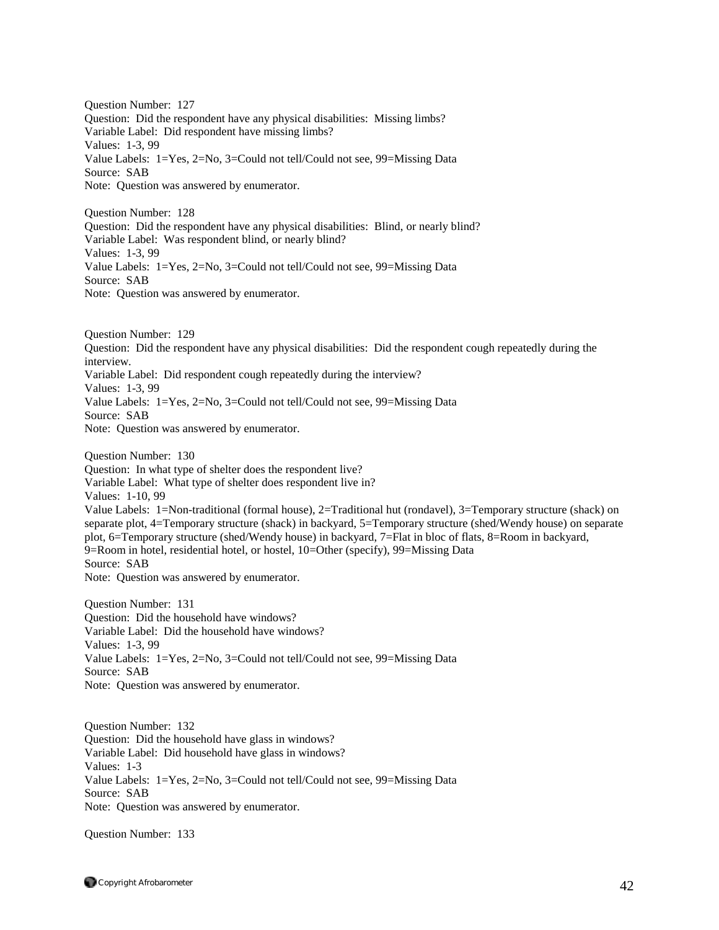Question Number: 127 Question: Did the respondent have any physical disabilities: Missing limbs? Variable Label: Did respondent have missing limbs? Values: 1-3, 99 Value Labels: 1=Yes, 2=No, 3=Could not tell/Could not see, 99=Missing Data Source: SAB Note: Question was answered by enumerator.

Question Number: 128 Question: Did the respondent have any physical disabilities: Blind, or nearly blind? Variable Label: Was respondent blind, or nearly blind? Values: 1-3, 99 Value Labels: 1=Yes, 2=No, 3=Could not tell/Could not see, 99=Missing Data Source: SAB Note: Question was answered by enumerator.

Question Number: 129 Question: Did the respondent have any physical disabilities: Did the respondent cough repeatedly during the interview. Variable Label: Did respondent cough repeatedly during the interview? Values: 1-3, 99 Value Labels: 1=Yes, 2=No, 3=Could not tell/Could not see, 99=Missing Data Source: SAB Note: Question was answered by enumerator.

Question Number: 130 Question: In what type of shelter does the respondent live? Variable Label: What type of shelter does respondent live in? Values: 1-10, 99 Value Labels: 1=Non-traditional (formal house), 2=Traditional hut (rondavel), 3=Temporary structure (shack) on separate plot, 4=Temporary structure (shack) in backyard, 5=Temporary structure (shed/Wendy house) on separate plot, 6=Temporary structure (shed/Wendy house) in backyard, 7=Flat in bloc of flats, 8=Room in backyard, 9=Room in hotel, residential hotel, or hostel, 10=Other (specify), 99=Missing Data Source: SAB

Note: Question was answered by enumerator.

Question Number: 131 Question: Did the household have windows? Variable Label: Did the household have windows? Values: 1-3, 99 Value Labels: 1=Yes, 2=No, 3=Could not tell/Could not see, 99=Missing Data Source: SAB Note: Question was answered by enumerator.

Question Number: 132 Question: Did the household have glass in windows? Variable Label: Did household have glass in windows? Values: 1-3 Value Labels: 1=Yes, 2=No, 3=Could not tell/Could not see, 99=Missing Data Source: SAB Note: Question was answered by enumerator.

Question Number: 133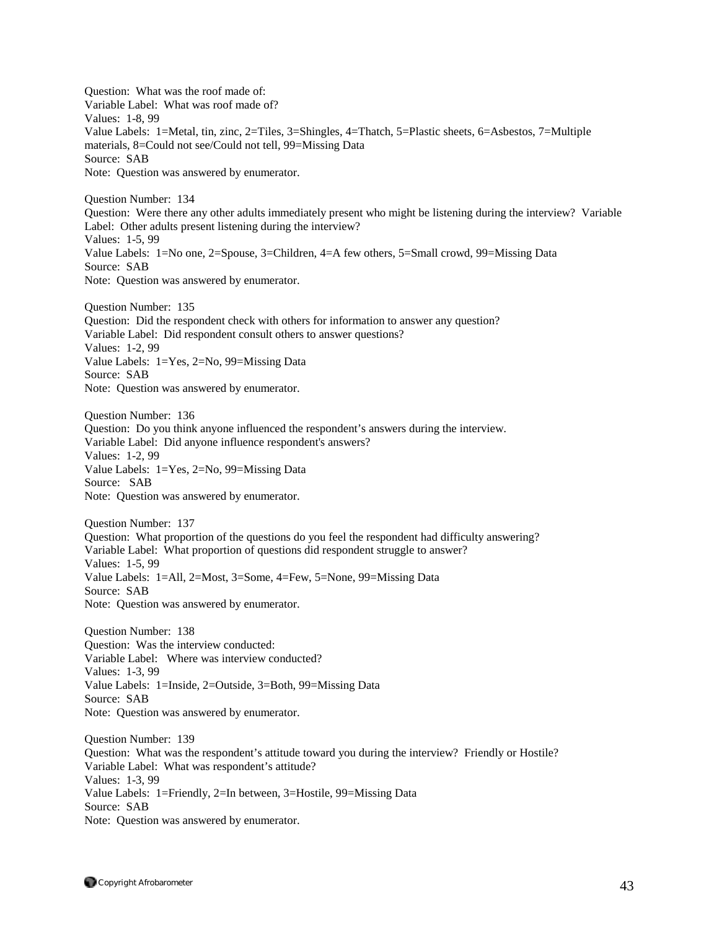Question: What was the roof made of: Variable Label: What was roof made of? Values: 1-8, 99 Value Labels: 1=Metal, tin, zinc, 2=Tiles, 3=Shingles, 4=Thatch, 5=Plastic sheets, 6=Asbestos, 7=Multiple materials, 8=Could not see/Could not tell, 99=Missing Data Source: SAB Note: Question was answered by enumerator. Question Number: 134 Question: Were there any other adults immediately present who might be listening during the interview? Variable Label: Other adults present listening during the interview? Values: 1-5, 99 Value Labels: 1=No one, 2=Spouse, 3=Children, 4=A few others, 5=Small crowd, 99=Missing Data Source: SAB Note: Question was answered by enumerator. Question Number: 135 Question: Did the respondent check with others for information to answer any question? Variable Label: Did respondent consult others to answer questions? Values: 1-2, 99 Value Labels: 1=Yes, 2=No, 99=Missing Data Source: SAB Note: Question was answered by enumerator. Question Number: 136 Question: Do you think anyone influenced the respondent's answers during the interview. Variable Label: Did anyone influence respondent's answers? Values: 1-2, 99 Value Labels: 1=Yes, 2=No, 99=Missing Data Source: SAB Note: Question was answered by enumerator. Question Number: 137 Question: What proportion of the questions do you feel the respondent had difficulty answering? Variable Label: What proportion of questions did respondent struggle to answer? Values: 1-5, 99 Value Labels: 1=All, 2=Most, 3=Some, 4=Few, 5=None, 99=Missing Data Source: SAB Note: Question was answered by enumerator. Question Number: 138 Question: Was the interview conducted: Variable Label: Where was interview conducted? Values: 1-3, 99 Value Labels: 1=Inside, 2=Outside, 3=Both, 99=Missing Data Source: SAB Note: Question was answered by enumerator. Question Number: 139 Question: What was the respondent's attitude toward you during the interview? Friendly or Hostile? Variable Label: What was respondent's attitude? Values: 1-3, 99 Value Labels: 1=Friendly, 2=In between, 3=Hostile, 99=Missing Data Source: SAB Note: Question was answered by enumerator.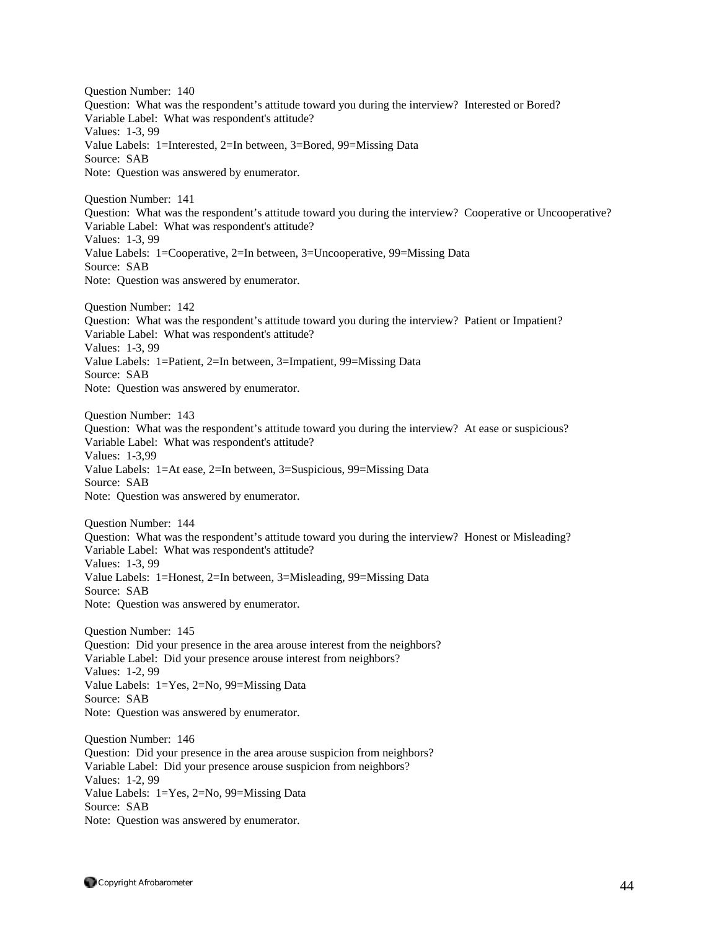Question Number: 140 Question: What was the respondent's attitude toward you during the interview? Interested or Bored? Variable Label: What was respondent's attitude? Values: 1-3, 99 Value Labels: 1=Interested, 2=In between, 3=Bored, 99=Missing Data Source: SAB Note: Question was answered by enumerator. Question Number: 141 Question: What was the respondent's attitude toward you during the interview? Cooperative or Uncooperative? Variable Label: What was respondent's attitude? Values: 1-3, 99 Value Labels: 1=Cooperative, 2=In between, 3=Uncooperative, 99=Missing Data Source: SAB Note: Question was answered by enumerator. Question Number: 142 Question: What was the respondent's attitude toward you during the interview? Patient or Impatient? Variable Label: What was respondent's attitude? Values: 1-3, 99 Value Labels: 1=Patient, 2=In between, 3=Impatient, 99=Missing Data Source: SAB Note: Question was answered by enumerator. Question Number: 143 Question: What was the respondent's attitude toward you during the interview? At ease or suspicious? Variable Label: What was respondent's attitude? Values: 1-3,99 Value Labels: 1=At ease, 2=In between, 3=Suspicious, 99=Missing Data Source: SAB Note: Question was answered by enumerator. Question Number: 144 Question: What was the respondent's attitude toward you during the interview? Honest or Misleading? Variable Label: What was respondent's attitude? Values: 1-3, 99 Value Labels: 1=Honest, 2=In between, 3=Misleading, 99=Missing Data Source: SAB Note: Question was answered by enumerator. Question Number: 145 Question: Did your presence in the area arouse interest from the neighbors? Variable Label: Did your presence arouse interest from neighbors? Values: 1-2, 99 Value Labels: 1=Yes, 2=No, 99=Missing Data Source: SAB Note: Question was answered by enumerator. Question Number: 146 Question: Did your presence in the area arouse suspicion from neighbors? Variable Label: Did your presence arouse suspicion from neighbors? Values: 1-2, 99 Value Labels: 1=Yes, 2=No, 99=Missing Data Source: SAB

Note: Question was answered by enumerator.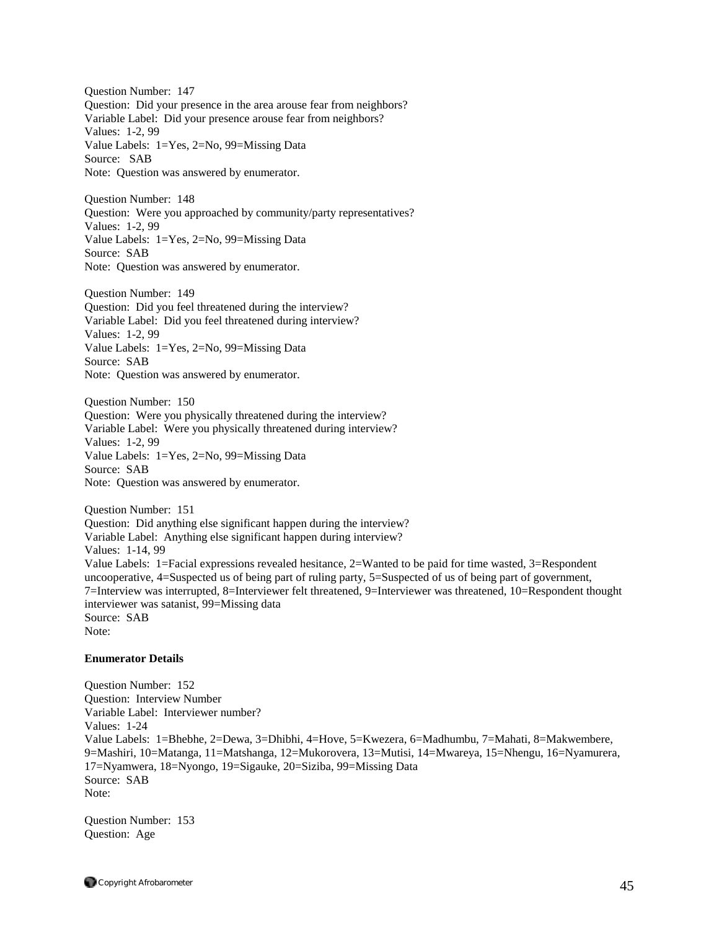Question Number: 147 Question: Did your presence in the area arouse fear from neighbors? Variable Label: Did your presence arouse fear from neighbors? Values: 1-2, 99 Value Labels: 1=Yes, 2=No, 99=Missing Data Source: SAB Note: Question was answered by enumerator.

Question Number: 148 Question: Were you approached by community/party representatives? Values: 1-2, 99 Value Labels: 1=Yes, 2=No, 99=Missing Data Source: SAB Note: Question was answered by enumerator.

Question Number: 149 Question: Did you feel threatened during the interview? Variable Label: Did you feel threatened during interview? Values: 1-2, 99 Value Labels: 1=Yes, 2=No, 99=Missing Data Source: SAB Note: Question was answered by enumerator.

Question Number: 150 Question: Were you physically threatened during the interview? Variable Label: Were you physically threatened during interview? Values: 1-2, 99 Value Labels: 1=Yes, 2=No, 99=Missing Data Source: SAB Note: Question was answered by enumerator.

Question Number: 151 Question: Did anything else significant happen during the interview? Variable Label: Anything else significant happen during interview? Values: 1-14, 99 Value Labels: 1=Facial expressions revealed hesitance, 2=Wanted to be paid for time wasted, 3=Respondent uncooperative, 4=Suspected us of being part of ruling party, 5=Suspected of us of being part of government, 7=Interview was interrupted, 8=Interviewer felt threatened, 9=Interviewer was threatened, 10=Respondent thought interviewer was satanist, 99=Missing data Source: SAB Note:

## **Enumerator Details**

Question Number: 152 Question: Interview Number Variable Label: Interviewer number? Values: 1-24 Value Labels: 1=Bhebhe, 2=Dewa, 3=Dhibhi, 4=Hove, 5=Kwezera, 6=Madhumbu, 7=Mahati, 8=Makwembere, 9=Mashiri, 10=Matanga, 11=Matshanga, 12=Mukorovera, 13=Mutisi, 14=Mwareya, 15=Nhengu, 16=Nyamurera, 17=Nyamwera, 18=Nyongo, 19=Sigauke, 20=Siziba, 99=Missing Data Source: SAB Note:

Question Number: 153 Question: Age

Copyright Afrobarometer  $45$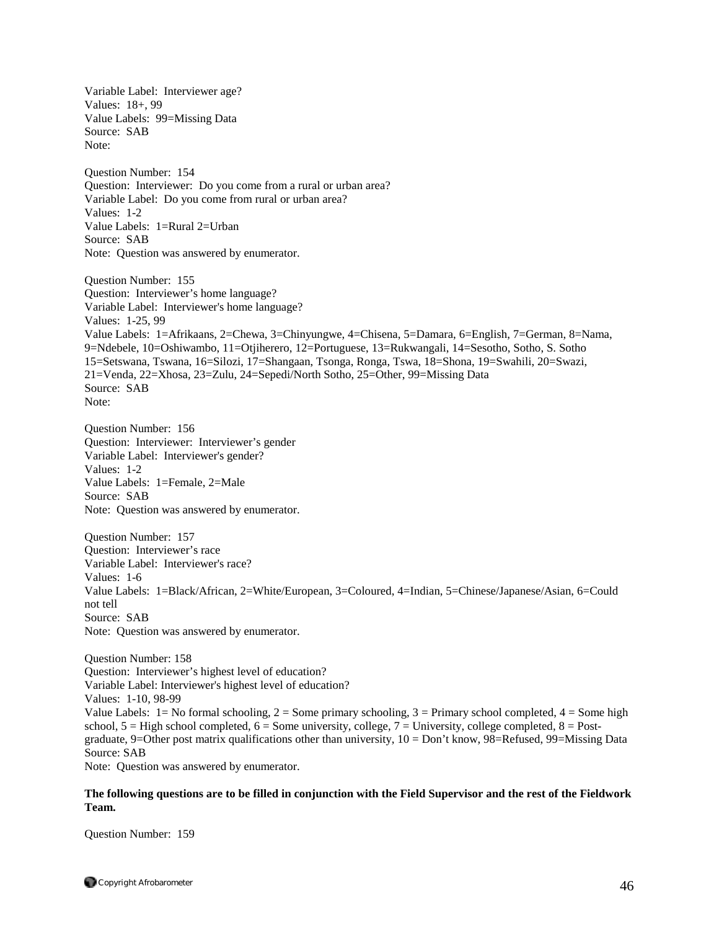Variable Label: Interviewer age? Values: 18+, 99 Value Labels: 99=Missing Data Source: SAB Note: Question Number: 154 Question: Interviewer: Do you come from a rural or urban area? Variable Label: Do you come from rural or urban area? Values: 1-2 Value Labels: 1=Rural 2=Urban Source: SAB Note: Question was answered by enumerator. Question Number: 155 Question: Interviewer's home language? Variable Label: Interviewer's home language? Values: 1-25, 99 Value Labels: 1=Afrikaans, 2=Chewa, 3=Chinyungwe, 4=Chisena, 5=Damara, 6=English, 7=German, 8=Nama, 9=Ndebele, 10=Oshiwambo, 11=Otjiherero, 12=Portuguese, 13=Rukwangali, 14=Sesotho, Sotho, S. Sotho 15=Setswana, Tswana, 16=Silozi, 17=Shangaan, Tsonga, Ronga, Tswa, 18=Shona, 19=Swahili, 20=Swazi, 21=Venda, 22=Xhosa, 23=Zulu, 24=Sepedi/North Sotho, 25=Other, 99=Missing Data Source: SAB Note: Question Number: 156 Question: Interviewer: Interviewer's gender Variable Label: Interviewer's gender? Values: 1-2 Value Labels: 1=Female, 2=Male Source: SAB Note: Question was answered by enumerator. Question Number: 157 Question: Interviewer's race Variable Label: Interviewer's race? Values: 1-6 Value Labels: 1=Black/African, 2=White/European, 3=Coloured, 4=Indian, 5=Chinese/Japanese/Asian, 6=Could not tell Source: SAB Note: Question was answered by enumerator. Question Number: 158 Question: Interviewer's highest level of education? Variable Label: Interviewer's highest level of education? Values: 1-10, 98-99 Value Labels:  $1 = No$  formal schooling,  $2 = Some$  primary schooling,  $3 = Primary$  school completed,  $4 = Some$  high school,  $5 =$  High school completed,  $6 =$  Some university, college,  $7 =$  University, college completed,  $8 =$  Postgraduate, 9=Other post matrix qualifications other than university, 10 = Don't know, 98=Refused, 99=Missing Data

Source: SAB

Note: Question was answered by enumerator.

## **The following questions are to be filled in conjunction with the Field Supervisor and the rest of the Fieldwork Team.**

Question Number: 159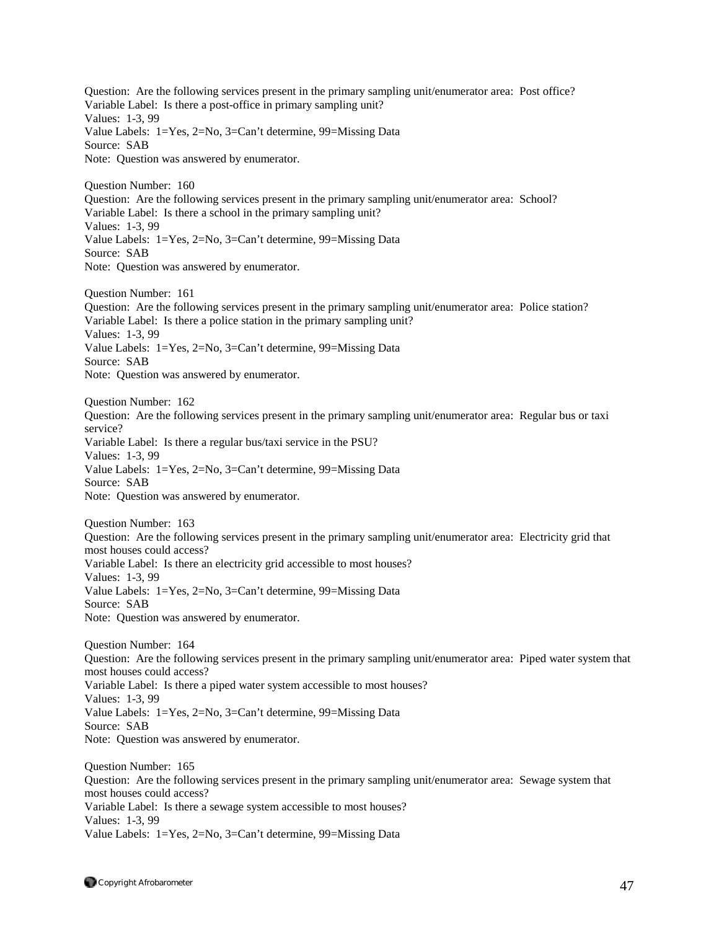Question: Are the following services present in the primary sampling unit/enumerator area: Post office? Variable Label: Is there a post-office in primary sampling unit? Values: 1-3, 99 Value Labels: 1=Yes, 2=No, 3=Can't determine, 99=Missing Data Source: SAB Note: Question was answered by enumerator. Question Number: 160 Question: Are the following services present in the primary sampling unit/enumerator area: School? Variable Label: Is there a school in the primary sampling unit? Values: 1-3, 99 Value Labels: 1=Yes, 2=No, 3=Can't determine, 99=Missing Data Source: SAB Note: Question was answered by enumerator. Question Number: 161 Question: Are the following services present in the primary sampling unit/enumerator area: Police station? Variable Label: Is there a police station in the primary sampling unit? Values: 1-3, 99 Value Labels: 1=Yes, 2=No, 3=Can't determine, 99=Missing Data Source: SAB Note: Question was answered by enumerator. Question Number: 162 Question: Are the following services present in the primary sampling unit/enumerator area: Regular bus or taxi service? Variable Label: Is there a regular bus/taxi service in the PSU? Values: 1-3, 99 Value Labels: 1=Yes, 2=No, 3=Can't determine, 99=Missing Data Source: SAB Note: Question was answered by enumerator. Question Number: 163 Question: Are the following services present in the primary sampling unit/enumerator area: Electricity grid that most houses could access? Variable Label: Is there an electricity grid accessible to most houses? Values: 1-3, 99 Value Labels: 1=Yes, 2=No, 3=Can't determine, 99=Missing Data Source: SAB Note: Question was answered by enumerator. Question Number: 164 Question: Are the following services present in the primary sampling unit/enumerator area: Piped water system that most houses could access? Variable Label: Is there a piped water system accessible to most houses? Values: 1-3, 99 Value Labels: 1=Yes, 2=No, 3=Can't determine, 99=Missing Data Source: SAB Note: Question was answered by enumerator. Question Number: 165 Question: Are the following services present in the primary sampling unit/enumerator area: Sewage system that most houses could access? Variable Label: Is there a sewage system accessible to most houses? Values: 1-3, 99 Value Labels: 1=Yes, 2=No, 3=Can't determine, 99=Missing Data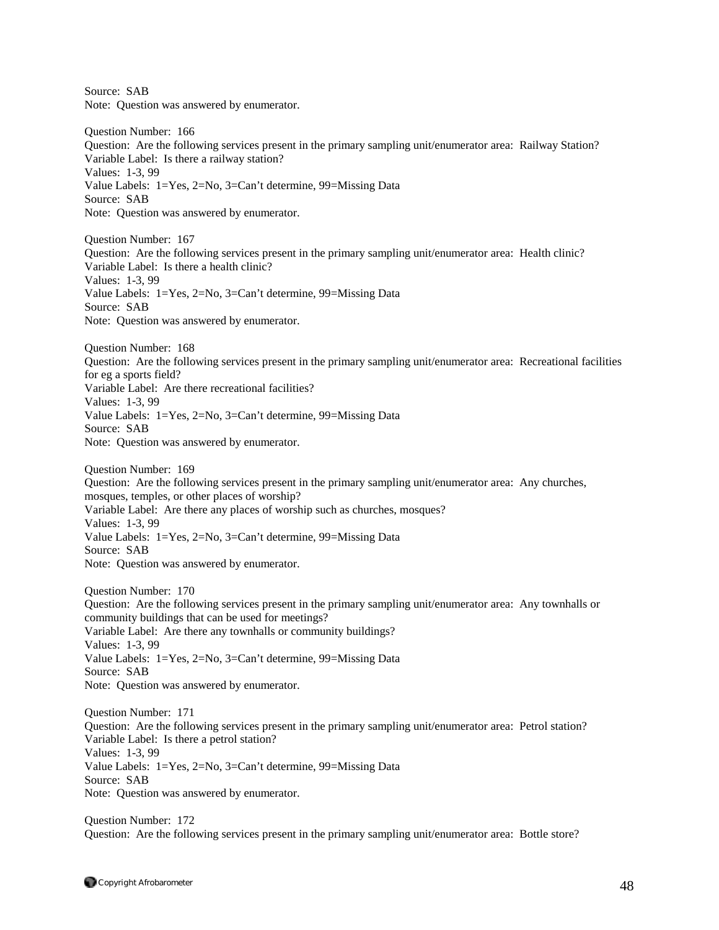Source: SAB Note: Question was answered by enumerator. Question Number: 166 Question: Are the following services present in the primary sampling unit/enumerator area: Railway Station? Variable Label: Is there a railway station? Values: 1-3, 99 Value Labels: 1=Yes, 2=No, 3=Can't determine, 99=Missing Data Source: SAB Note: Question was answered by enumerator. Question Number: 167 Question: Are the following services present in the primary sampling unit/enumerator area: Health clinic? Variable Label: Is there a health clinic? Values: 1-3, 99 Value Labels: 1=Yes, 2=No, 3=Can't determine, 99=Missing Data Source: SAB Note: Question was answered by enumerator. Question Number: 168 Question: Are the following services present in the primary sampling unit/enumerator area: Recreational facilities for eg a sports field? Variable Label: Are there recreational facilities? Values: 1-3, 99 Value Labels: 1=Yes, 2=No, 3=Can't determine, 99=Missing Data Source: SAB Note: Question was answered by enumerator. Question Number: 169 Question: Are the following services present in the primary sampling unit/enumerator area: Any churches, mosques, temples, or other places of worship? Variable Label: Are there any places of worship such as churches, mosques? Values: 1-3, 99 Value Labels: 1=Yes, 2=No, 3=Can't determine, 99=Missing Data Source: SAB Note: Question was answered by enumerator. Question Number: 170 Question: Are the following services present in the primary sampling unit/enumerator area: Any townhalls or community buildings that can be used for meetings? Variable Label: Are there any townhalls or community buildings? Values: 1-3, 99 Value Labels: 1=Yes, 2=No, 3=Can't determine, 99=Missing Data Source: SAB Note: Question was answered by enumerator. Question Number: 171 Question: Are the following services present in the primary sampling unit/enumerator area: Petrol station? Variable Label: Is there a petrol station? Values: 1-3, 99 Value Labels: 1=Yes, 2=No, 3=Can't determine, 99=Missing Data Source: SAB Note: Question was answered by enumerator. Question Number: 172

Question: Are the following services present in the primary sampling unit/enumerator area: Bottle store?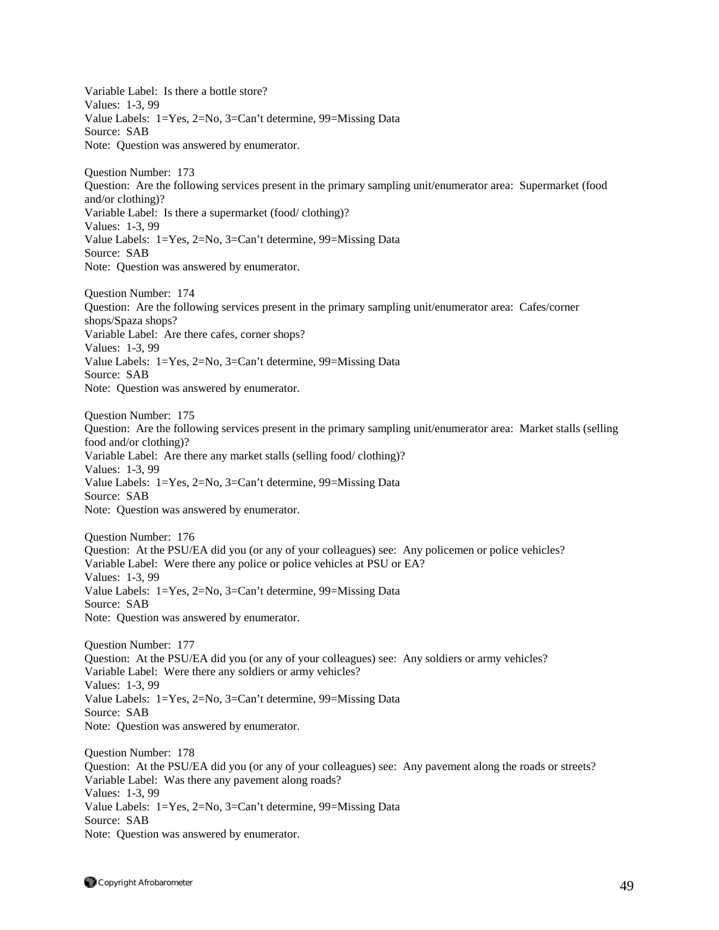Variable Label: Is there a bottle store? Values: 1-3, 99 Value Labels: 1=Yes, 2=No, 3=Can't determine, 99=Missing Data Source: SAB Note: Question was answered by enumerator. Question Number: 173 Question: Are the following services present in the primary sampling unit/enumerator area: Supermarket (food and/or clothing)? Variable Label: Is there a supermarket (food/ clothing)? Values: 1-3, 99 Value Labels: 1=Yes, 2=No, 3=Can't determine, 99=Missing Data Source: SAB Note: Question was answered by enumerator. Question Number: 174 Question: Are the following services present in the primary sampling unit/enumerator area: Cafes/corner shops/Spaza shops? Variable Label: Are there cafes, corner shops? Values: 1-3, 99 Value Labels: 1=Yes, 2=No, 3=Can't determine, 99=Missing Data Source: SAB Note: Question was answered by enumerator. Question Number: 175 Question: Are the following services present in the primary sampling unit/enumerator area: Market stalls (selling food and/or clothing)? Variable Label: Are there any market stalls (selling food/ clothing)? Values: 1-3, 99 Value Labels: 1=Yes, 2=No, 3=Can't determine, 99=Missing Data Source: SAB Note: Question was answered by enumerator. Question Number: 176 Question: At the PSU/EA did you (or any of your colleagues) see: Any policemen or police vehicles? Variable Label: Were there any police or police vehicles at PSU or EA? Values: 1-3, 99 Value Labels: 1=Yes, 2=No, 3=Can't determine, 99=Missing Data Source: SAB Note: Question was answered by enumerator. Question Number: 177 Question: At the PSU/EA did you (or any of your colleagues) see: Any soldiers or army vehicles? Variable Label: Were there any soldiers or army vehicles? Values: 1-3, 99 Value Labels: 1=Yes, 2=No, 3=Can't determine, 99=Missing Data Source: SAB Note: Question was answered by enumerator. Question Number: 178 Question: At the PSU/EA did you (or any of your colleagues) see: Any pavement along the roads or streets? Variable Label: Was there any pavement along roads? Values: 1-3, 99 Value Labels: 1=Yes, 2=No, 3=Can't determine, 99=Missing Data Source: SAB Note: Question was answered by enumerator.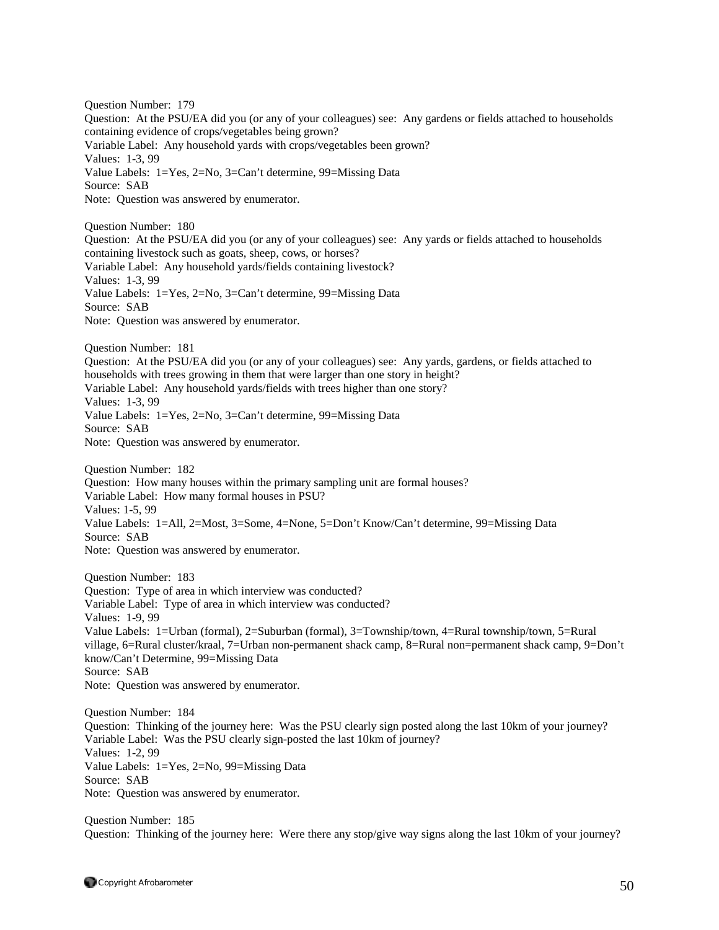Question Number: 179 Question: At the PSU/EA did you (or any of your colleagues) see: Any gardens or fields attached to households containing evidence of crops/vegetables being grown? Variable Label: Any household yards with crops/vegetables been grown? Values: 1-3, 99 Value Labels: 1=Yes, 2=No, 3=Can't determine, 99=Missing Data Source: SAB Note: Question was answered by enumerator. Question Number: 180 Question: At the PSU/EA did you (or any of your colleagues) see: Any yards or fields attached to households containing livestock such as goats, sheep, cows, or horses? Variable Label: Any household yards/fields containing livestock? Values: 1-3, 99 Value Labels: 1=Yes, 2=No, 3=Can't determine, 99=Missing Data Source: SAB Note: Question was answered by enumerator. Question Number: 181 Question: At the PSU/EA did you (or any of your colleagues) see: Any yards, gardens, or fields attached to households with trees growing in them that were larger than one story in height? Variable Label: Any household yards/fields with trees higher than one story? Values: 1-3, 99 Value Labels: 1=Yes, 2=No, 3=Can't determine, 99=Missing Data Source: SAB Note: Question was answered by enumerator. Question Number: 182 Question: How many houses within the primary sampling unit are formal houses? Variable Label: How many formal houses in PSU? Values: 1-5, 99 Value Labels: 1=All, 2=Most, 3=Some, 4=None, 5=Don't Know/Can't determine, 99=Missing Data Source: SAB Note: Question was answered by enumerator. Question Number: 183 Question: Type of area in which interview was conducted? Variable Label: Type of area in which interview was conducted? Values: 1-9, 99 Value Labels: 1=Urban (formal), 2=Suburban (formal), 3=Township/town, 4=Rural township/town, 5=Rural village, 6=Rural cluster/kraal, 7=Urban non-permanent shack camp, 8=Rural non=permanent shack camp, 9=Don't know/Can't Determine, 99=Missing Data Source: SAB Note: Question was answered by enumerator. Question Number: 184 Question: Thinking of the journey here: Was the PSU clearly sign posted along the last 10km of your journey? Variable Label: Was the PSU clearly sign-posted the last 10km of journey? Values: 1-2, 99 Value Labels: 1=Yes, 2=No, 99=Missing Data Source: SAB Note: Question was answered by enumerator.

Question Number: 185 Question: Thinking of the journey here: Were there any stop/give way signs along the last 10km of your journey?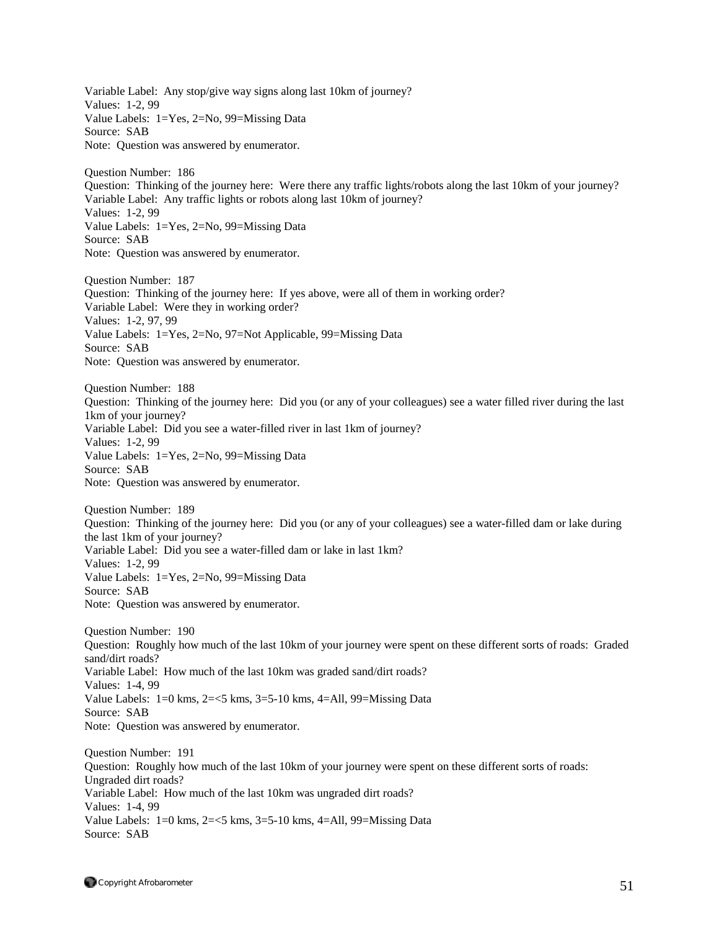Variable Label: Any stop/give way signs along last 10km of journey? Values: 1-2, 99 Value Labels: 1=Yes, 2=No, 99=Missing Data Source: SAB Note: Question was answered by enumerator. Question Number: 186 Question: Thinking of the journey here: Were there any traffic lights/robots along the last 10km of your journey? Variable Label: Any traffic lights or robots along last 10km of journey? Values: 1-2, 99 Value Labels: 1=Yes, 2=No, 99=Missing Data Source: SAB Note: Question was answered by enumerator. Question Number: 187 Question: Thinking of the journey here: If yes above, were all of them in working order? Variable Label: Were they in working order? Values: 1-2, 97, 99 Value Labels: 1=Yes, 2=No, 97=Not Applicable, 99=Missing Data Source: SAB Note: Question was answered by enumerator. Question Number: 188 Question: Thinking of the journey here: Did you (or any of your colleagues) see a water filled river during the last 1km of your journey? Variable Label: Did you see a water-filled river in last 1km of journey? Values: 1-2, 99 Value Labels: 1=Yes, 2=No, 99=Missing Data Source: SAB Note: Question was answered by enumerator. Question Number: 189 Question: Thinking of the journey here: Did you (or any of your colleagues) see a water-filled dam or lake during the last 1km of your journey? Variable Label: Did you see a water-filled dam or lake in last 1km? Values: 1-2, 99 Value Labels: 1=Yes, 2=No, 99=Missing Data Source: SAB Note: Question was answered by enumerator. Question Number: 190 Question: Roughly how much of the last 10km of your journey were spent on these different sorts of roads: Graded sand/dirt roads? Variable Label: How much of the last 10km was graded sand/dirt roads? Values: 1-4, 99 Value Labels:  $1=0$  kms,  $2=<5$  kms,  $3=5-10$  kms,  $4=$ All,  $99=$ Missing Data Source: SAB Note: Question was answered by enumerator. Question Number: 191 Question: Roughly how much of the last 10km of your journey were spent on these different sorts of roads: Ungraded dirt roads? Variable Label: How much of the last 10km was ungraded dirt roads? Values: 1-4, 99 Value Labels: 1=0 kms, 2=<5 kms, 3=5-10 kms, 4=All, 99=Missing Data Source: SAB